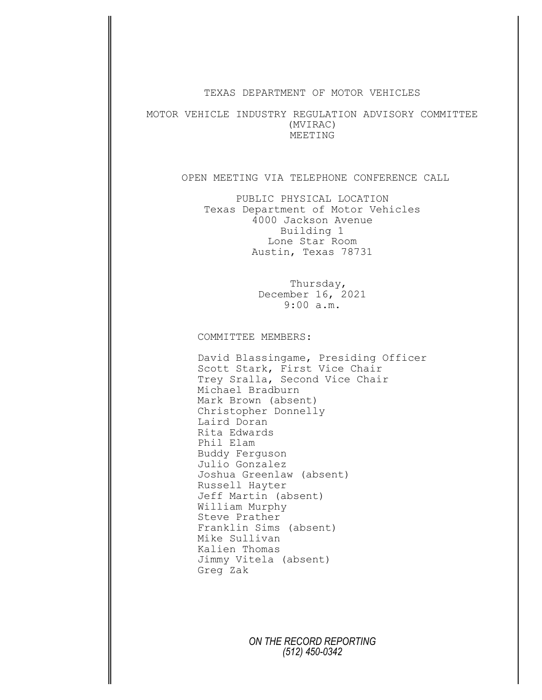## TEXAS DEPARTMENT OF MOTOR VEHICLES

MOTOR VEHICLE INDUSTRY REGULATION ADVISORY COMMITTEE (MVIRAC) MEETING

## OPEN MEETING VIA TELEPHONE CONFERENCE CALL

PUBLIC PHYSICAL LOCATION Texas Department of Motor Vehicles 4000 Jackson Avenue Building 1 Lone Star Room Austin, Texas 78731

> Thursday, December 16, 2021 9:00 a.m.

COMMITTEE MEMBERS:

David Blassingame, Presiding Officer Scott Stark, First Vice Chair Trey Sralla, Second Vice Chair Michael Bradburn Mark Brown (absent) Christopher Donnelly Laird Doran Rita Edwards Phil Elam Buddy Ferguson Julio Gonzalez Joshua Greenlaw (absent) Russell Hayter Jeff Martin (absent) William Murphy Steve Prather Franklin Sims (absent) Mike Sullivan Kalien Thomas Jimmy Vitela (absent) Greg Zak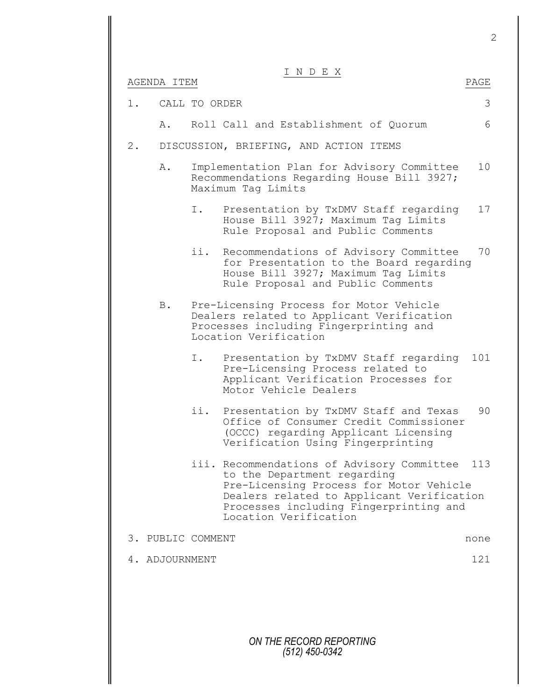2

## I N D E X

|       | AGENDA ITEM       |               |                                                                                                                                                                                                                                      | PAGE |
|-------|-------------------|---------------|--------------------------------------------------------------------------------------------------------------------------------------------------------------------------------------------------------------------------------------|------|
| 1.    |                   | CALL TO ORDER |                                                                                                                                                                                                                                      | 3    |
|       | Α.                |               | Roll Call and Establishment of Quorum                                                                                                                                                                                                | 6    |
| $2$ . |                   |               | DISCUSSION, BRIEFING, AND ACTION ITEMS                                                                                                                                                                                               |      |
|       | Α.                |               | Implementation Plan for Advisory Committee<br>Recommendations Regarding House Bill 3927;<br>Maximum Tag Limits                                                                                                                       | 10   |
|       |                   | Ι.            | Presentation by TxDMV Staff regarding<br>House Bill 3927; Maximum Tag Limits<br>Rule Proposal and Public Comments                                                                                                                    | 17   |
|       |                   | ii.           | Recommendations of Advisory Committee<br>for Presentation to the Board regarding<br>House Bill 3927; Maximum Tag Limits<br>Rule Proposal and Public Comments                                                                         | 70   |
|       | B.                |               | Pre-Licensing Process for Motor Vehicle<br>Dealers related to Applicant Verification<br>Processes including Fingerprinting and<br>Location Verification                                                                              |      |
|       |                   | Ι.            | Presentation by TxDMV Staff regarding<br>Pre-Licensing Process related to<br>Applicant Verification Processes for<br>Motor Vehicle Dealers                                                                                           | 101  |
|       |                   | ii.           | Presentation by TxDMV Staff and Texas<br>Office of Consumer Credit Commissioner<br>(OCCC) regarding Applicant Licensing<br>Verification Using Fingerprinting                                                                         | 90   |
|       |                   |               | iii. Recommendations of Advisory Committee<br>to the Department regarding<br>Pre-Licensing Process for Motor Vehicle<br>Dealers related to Applicant Verification<br>Processes including Fingerprinting and<br>Location Verification | 113  |
|       | 3. PUBLIC COMMENT |               |                                                                                                                                                                                                                                      | none |
|       |                   |               |                                                                                                                                                                                                                                      | 121  |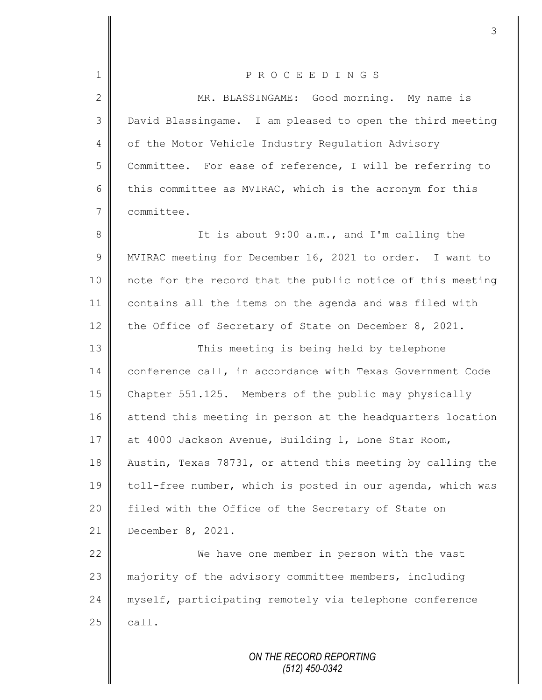| $\mathbf 1$    | P R O C E E D I N G S                                      |
|----------------|------------------------------------------------------------|
| $\mathbf{2}$   | MR. BLASSINGAME: Good morning. My name is                  |
| 3              | David Blassingame. I am pleased to open the third meeting  |
| $\overline{4}$ | of the Motor Vehicle Industry Regulation Advisory          |
| 5              | Committee. For ease of reference, I will be referring to   |
| 6              | this committee as MVIRAC, which is the acronym for this    |
| $\overline{7}$ | committee.                                                 |
| 8              | It is about 9:00 a.m., and I'm calling the                 |
| $\mathcal{G}$  | MVIRAC meeting for December 16, 2021 to order. I want to   |
| 10             | note for the record that the public notice of this meeting |
| 11             | contains all the items on the agenda and was filed with    |
| 12             | the Office of Secretary of State on December 8, 2021.      |
| 13             | This meeting is being held by telephone                    |
| 14             | conference call, in accordance with Texas Government Code  |
| 15             | Chapter 551.125. Members of the public may physically      |
| 16             | attend this meeting in person at the headquarters location |
| 17             | at 4000 Jackson Avenue, Building 1, Lone Star Room,        |
| 18             | Austin, Texas 78731, or attend this meeting by calling the |
| 19             | toll-free number, which is posted in our agenda, which was |
| 20             | filed with the Office of the Secretary of State on         |
| 21             | December 8, 2021.                                          |
| 22             | We have one member in person with the vast                 |
| 23             | majority of the advisory committee members, including      |
| 24             | myself, participating remotely via telephone conference    |
| 25             | call.                                                      |
|                |                                                            |
|                | ON THE RECORD REPORTING                                    |

 $\mathbf{I}$ 

II

*(512) 450-0342*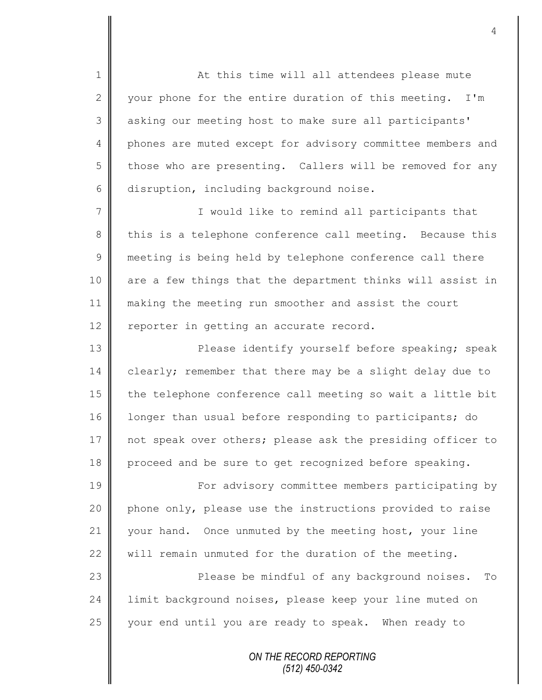1 || At this time will all attendees please mute 2  $\parallel$  your phone for the entire duration of this meeting. I'm 3 | asking our meeting host to make sure all participants' 4 phones are muted except for advisory committee members and  $5 \parallel$  those who are presenting. Callers will be removed for any 6 disruption, including background noise.

7 || Twould like to remind all participants that 8 this is a telephone conference call meeting. Because this 9 meeting is being held by telephone conference call there 10 are a few things that the department thinks will assist in 11 making the meeting run smoother and assist the court 12 | reporter in getting an accurate record.

13 **Please identify yourself before speaking; speak** 14 clearly; remember that there may be a slight delay due to 15 the telephone conference call meeting so wait a little bit 16 | longer than usual before responding to participants; do 17 not speak over others; please ask the presiding officer to 18 proceed and be sure to get recognized before speaking.

19 || For advisory committee members participating by 20 phone only, please use the instructions provided to raise 21 your hand. Once unmuted by the meeting host, your line 22 will remain unmuted for the duration of the meeting.

23 Please be mindful of any background noises. To 24 limit background noises, please keep your line muted on  $25$  your end until you are ready to speak. When ready to

> *ON THE RECORD REPORTING (512) 450-0342*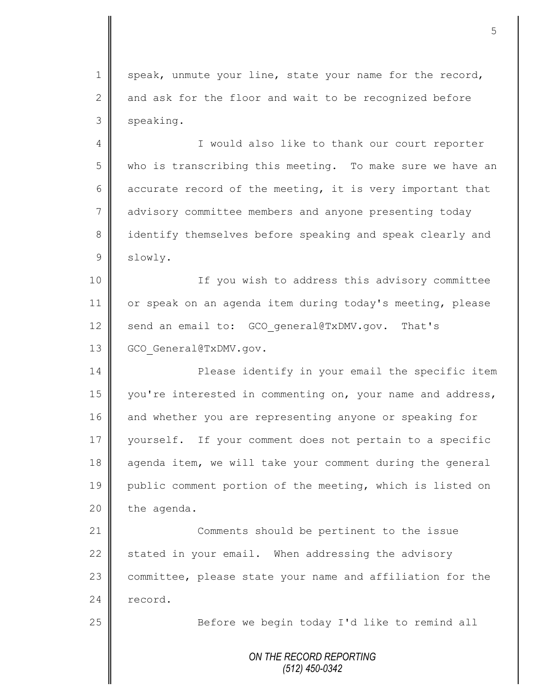1 speak, unmute your line, state your name for the record, 2 and ask for the floor and wait to be recognized before 3 speaking.

4 || I would also like to thank our court reporter 5 who is transcribing this meeting. To make sure we have an 6 accurate record of the meeting, it is very important that 7 advisory committee members and anyone presenting today 8 identify themselves before speaking and speak clearly and 9 slowly.

10 || If you wish to address this advisory committee 11 or speak on an agenda item during today's meeting, please 12 send an email to: GCO general@TxDMV.gov. That's 13 GCO General@TxDMV.gov.

14 **Please** identify in your email the specific item 15 | you're interested in commenting on, your name and address, 16 and whether you are representing anyone or speaking for 17 | yourself. If your comment does not pertain to a specific 18 agenda item, we will take your comment during the general 19 public comment portion of the meeting, which is listed on  $20$  the agenda.

21 **Comments** should be pertinent to the issue 22 stated in your email. When addressing the advisory 23 committee, please state your name and affiliation for the 24 record.

25 | Before we begin today I'd like to remind all

*ON THE RECORD REPORTING (512) 450-0342*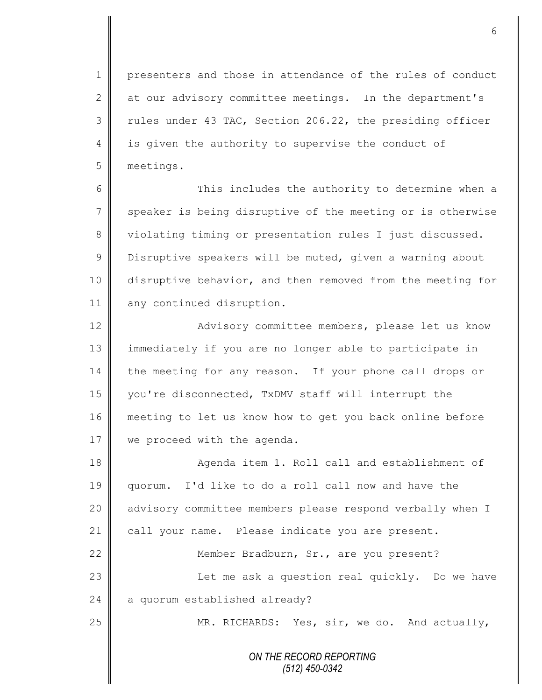1 presenters and those in attendance of the rules of conduct 2 at our advisory committee meetings. In the department's  $3 \parallel$  rules under 43 TAC, Section 206.22, the presiding officer 4 is given the authority to supervise the conduct of 5 meetings.

6 || This includes the authority to determine when a  $7 \parallel$  speaker is being disruptive of the meeting or is otherwise 8 violating timing or presentation rules I just discussed. 9 Disruptive speakers will be muted, given a warning about 10 disruptive behavior, and then removed from the meeting for 11 any continued disruption.

12 | Advisory committee members, please let us know 13 immediately if you are no longer able to participate in 14 the meeting for any reason. If your phone call drops or 15 you're disconnected, TxDMV staff will interrupt the 16 || meeting to let us know how to get you back online before 17 | we proceed with the agenda.

18 || Agenda item 1. Roll call and establishment of 19 quorum. I'd like to do a roll call now and have the 20 | advisory committee members please respond verbally when I 21 call your name. Please indicate you are present. 22 | Member Bradburn, Sr., are you present? 23 | Check Let me ask a question real quickly. Do we have  $24$  | a quorum established already? 25 MR. RICHARDS: Yes, sir, we do. And actually,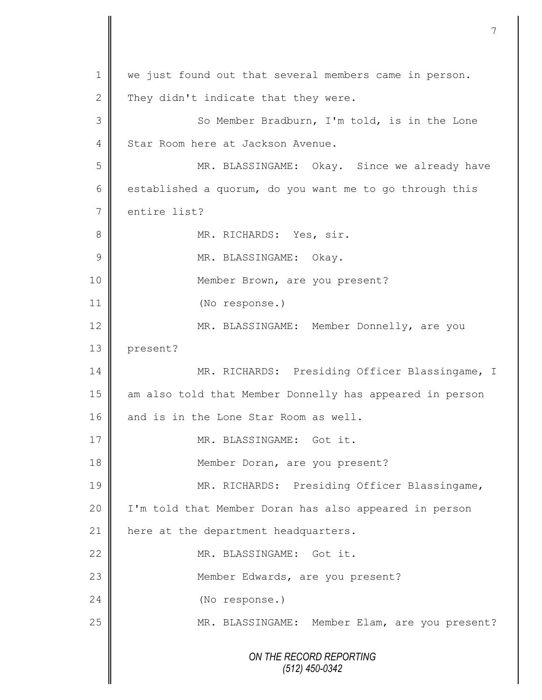*ON THE RECORD REPORTING (512) 450-0342* 1 we just found out that several members came in person. 2 They didn't indicate that they were. 3 || So Member Bradburn, I'm told, is in the Lone 4 Star Room here at Jackson Avenue. 5 MR. BLASSINGAME: Okay. Since we already have 6 established a quorum, do you want me to go through this 7 entire list? 8 MR. RICHARDS: Yes, sir. 9 | MR. BLASSINGAME: Okay. 10 || Member Brown, are you present? 11 (No response.) 12 MR. BLASSINGAME: Member Donnelly, are you 13 present? 14 MR. RICHARDS: Presiding Officer Blassingame, I 15 || am also told that Member Donnelly has appeared in person 16 and is in the Lone Star Room as well. 17  $\parallel$  MR. BLASSINGAME: Got it. 18 || Member Doran, are you present? 19 MR. RICHARDS: Presiding Officer Blassingame, 20 I'm told that Member Doran has also appeared in person 21  $\parallel$  here at the department headquarters. 22  $\parallel$  MR. BLASSINGAME: Got it. 23 || Member Edwards, are you present? 24 (No response.) 25 MR. BLASSINGAME: Member Elam, are you present?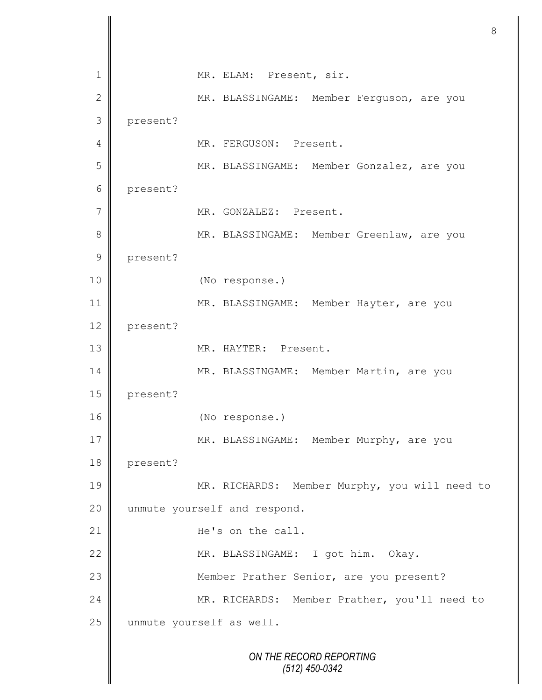*ON THE RECORD REPORTING (512) 450-0342* 1 | MR. ELAM: Present, sir. 2 || MR. BLASSINGAME: Member Ferguson, are you 3 present? 4 || MR. FERGUSON: Present. 5 || MR. BLASSINGAME: Member Gonzalez, are you 6 present? 7 || MR. GONZALEZ: Present. 8 MR. BLASSINGAME: Member Greenlaw, are you 9 present? 10 (No response.) 11 MR. BLASSINGAME: Member Hayter, are you 12 present? 13 NR. HAYTER: Present. 14 MR. BLASSINGAME: Member Martin, are you 15 present? 16 (No response.) 17 MR. BLASSINGAME: Member Murphy, are you 18 present? 19 || MR. RICHARDS: Member Murphy, you will need to 20 | unmute yourself and respond. 21 **He's** on the call. 22 | MR. BLASSINGAME: I got him. Okay. 23 | Member Prather Senior, are you present? 24 || MR. RICHARDS: Member Prather, you'll need to 25 unmute yourself as well.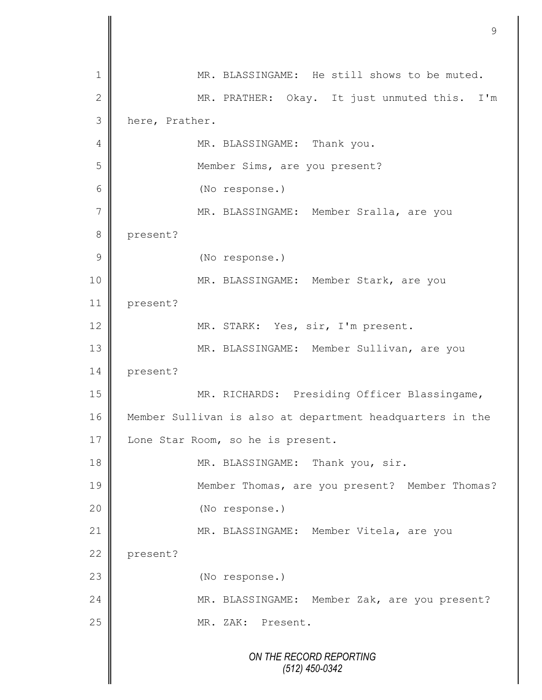*ON THE RECORD REPORTING (512) 450-0342* 1 MR. BLASSINGAME: He still shows to be muted. 2 || MR. PRATHER: Okay. It just unmuted this. I'm 3 here, Prather. 4 | MR. BLASSINGAME: Thank you. 5 || Member Sims, are you present? 6 (No response.) 7 || MR. BLASSINGAME: Member Sralla, are you 8 present? 9 (No response.) 10 || MR. BLASSINGAME: Member Stark, are you 11 present? 12 | MR. STARK: Yes, sir, I'm present. 13 || MR. BLASSINGAME: Member Sullivan, are you 14 present? 15 || MR. RICHARDS: Presiding Officer Blassingame, 16 Member Sullivan is also at department headquarters in the 17 | Lone Star Room, so he is present. 18 MR. BLASSINGAME: Thank you, sir. 19 || Member Thomas, are you present? Member Thomas? 20 (No response.) 21 | MR. BLASSINGAME: Member Vitela, are you 22 present? 23 (No response.) 24 MR. BLASSINGAME: Member Zak, are you present? 25 || MR. ZAK: Present.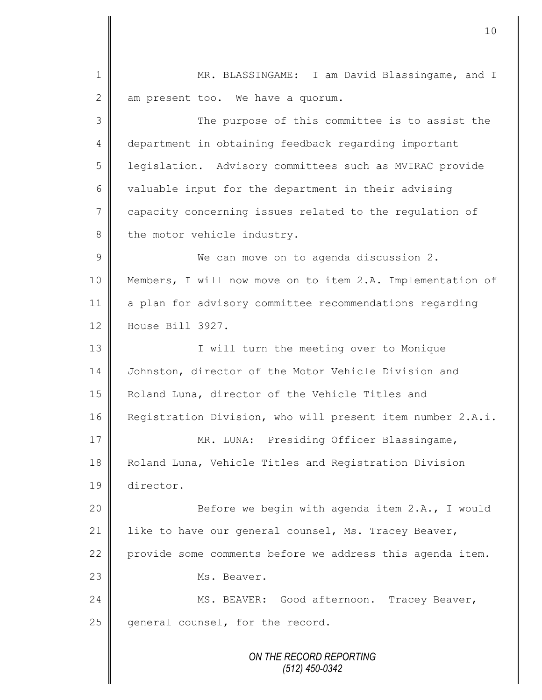*ON THE RECORD REPORTING* 1 MR. BLASSINGAME: I am David Blassingame, and I  $2 \parallel$  am present too. We have a quorum. 3 || The purpose of this committee is to assist the 4 department in obtaining feedback regarding important 5 legislation. Advisory committees such as MVIRAC provide 6 valuable input for the department in their advising 7 capacity concerning issues related to the regulation of  $8 \parallel$  the motor vehicle industry. 9 We can move on to agenda discussion 2. 10 Members, I will now move on to item 2.A. Implementation of 11 a plan for advisory committee recommendations regarding 12 House Bill 3927. 13 || T will turn the meeting over to Monique 14 | Johnston, director of the Motor Vehicle Division and 15 | Roland Luna, director of the Vehicle Titles and 16 Registration Division, who will present item number 2.A.i. 17 || MR. LUNA: Presiding Officer Blassingame, 18 | Roland Luna, Vehicle Titles and Registration Division 19 director. 20 || Before we begin with agenda item 2.A., I would 21 | like to have our general counsel, Ms. Tracey Beaver, 22 provide some comments before we address this agenda item. 23 | Ms. Beaver. 24 | MS. BEAVER: Good afternoon. Tracey Beaver,  $25$  general counsel, for the record.

10

*(512) 450-0342*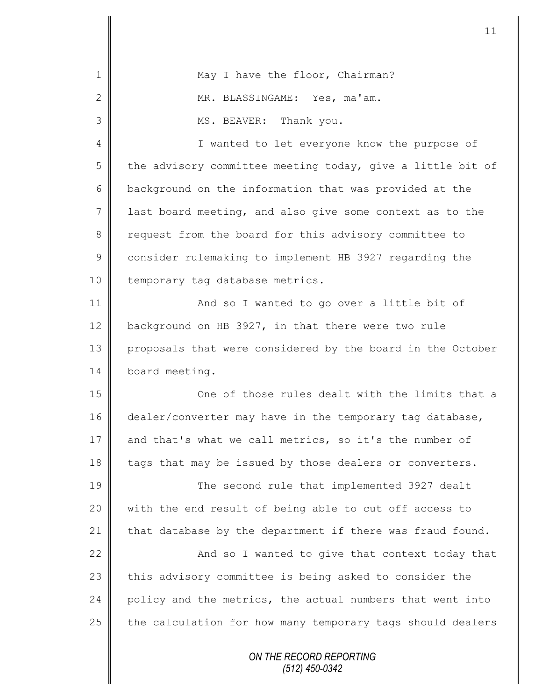| 1              | May I have the floor, Chairman?                            |
|----------------|------------------------------------------------------------|
| $\mathbf{2}$   | MR. BLASSINGAME: Yes, ma'am.                               |
| 3              | MS. BEAVER: Thank you.                                     |
| $\overline{4}$ | I wanted to let everyone know the purpose of               |
| 5              | the advisory committee meeting today, give a little bit of |
| 6              | background on the information that was provided at the     |
| $\overline{7}$ | last board meeting, and also give some context as to the   |
| 8              | request from the board for this advisory committee to      |
| $\mathsf 9$    | consider rulemaking to implement HB 3927 regarding the     |
| 10             | temporary tag database metrics.                            |
| 11             | And so I wanted to go over a little bit of                 |
| 12             | background on HB 3927, in that there were two rule         |
| 13             | proposals that were considered by the board in the October |
| 14             | board meeting.                                             |
| 15             | One of those rules dealt with the limits that a            |
| 16             | dealer/converter may have in the temporary tag database,   |
| 17             | and that's what we call metrics, so it's the number of     |
| 18             | tags that may be issued by those dealers or converters.    |
| 19             | The second rule that implemented 3927 dealt                |
| 20             | with the end result of being able to cut off access to     |
| 21             | that database by the department if there was fraud found.  |
| 22             | And so I wanted to give that context today that            |
| 23             | this advisory committee is being asked to consider the     |
| 24             | policy and the metrics, the actual numbers that went into  |
| 25             | the calculation for how many temporary tags should dealers |
|                | ON THE RECORD REPORTING<br>$(512)$ 450-0342                |

 $\mathsf{I}$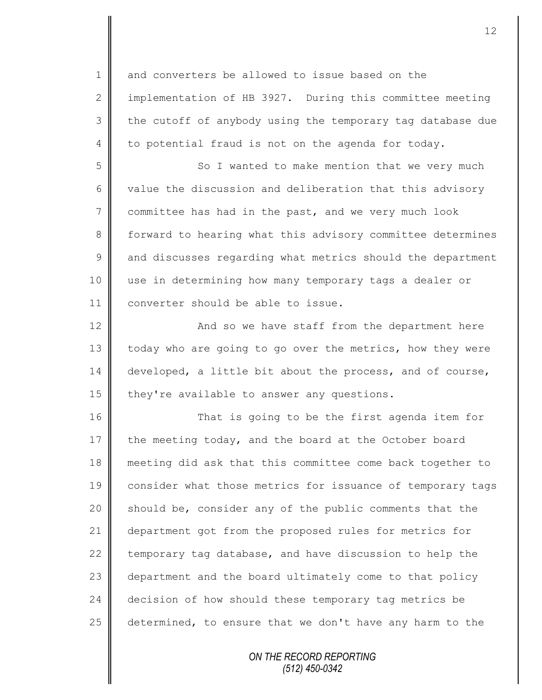1 and converters be allowed to issue based on the 2 | implementation of HB 3927. During this committee meeting  $3 \parallel$  the cutoff of anybody using the temporary tag database due  $4 \parallel$  to potential fraud is not on the agenda for today.

5 So I wanted to make mention that we very much 6 value the discussion and deliberation that this advisory  $7 \parallel$  committee has had in the past, and we very much look 8 forward to hearing what this advisory committee determines  $9 \parallel$  and discusses regarding what metrics should the department 10 use in determining how many temporary tags a dealer or 11 converter should be able to issue.

12 || And so we have staff from the department here 13 today who are going to go over the metrics, how they were 14 developed, a little bit about the process, and of course, 15  $\parallel$  they're available to answer any questions.

16 || That is going to be the first agenda item for 17 the meeting today, and the board at the October board 18 meeting did ask that this committee come back together to 19 consider what those metrics for issuance of temporary tags  $20$  should be, consider any of the public comments that the 21 department got from the proposed rules for metrics for 22  $\parallel$  temporary tag database, and have discussion to help the 23 department and the board ultimately come to that policy 24 decision of how should these temporary tag metrics be 25 determined, to ensure that we don't have any harm to the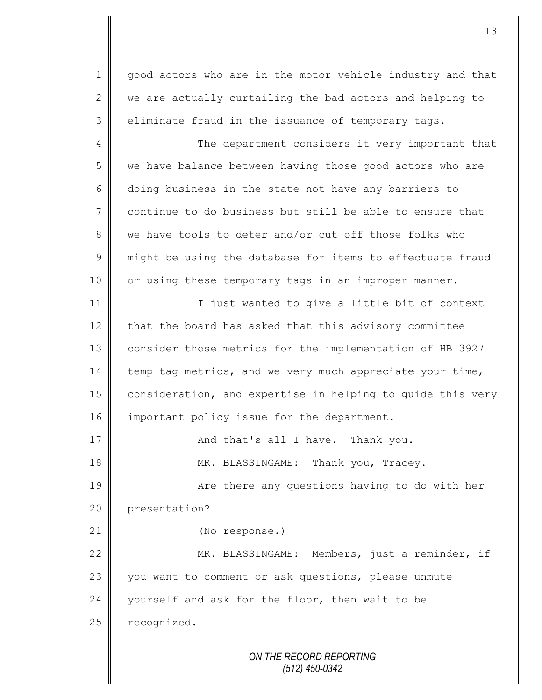1 || good actors who are in the motor vehicle industry and that  $2 \parallel$  we are actually curtailing the bad actors and helping to  $3 \parallel$  eliminate fraud in the issuance of temporary tags.

4 The department considers it very important that 5 we have balance between having those good actors who are 6 doing business in the state not have any barriers to 7 continue to do business but still be able to ensure that 8 we have tools to deter and/or cut off those folks who 9 might be using the database for items to effectuate fraud 10 || or using these temporary tags in an improper manner. 11 I just wanted to give a little bit of context

12 that the board has asked that this advisory committee 13 | consider those metrics for the implementation of HB 3927 14 temp tag metrics, and we very much appreciate your time, 15 consideration, and expertise in helping to quide this very 16 important policy issue for the department.

17 **And that's all I have.** Thank you. 18 MR. BLASSINGAME: Thank you, Tracey.

19 || Are there any questions having to do with her 20 presentation?

21 | (No response.)

22 | MR. BLASSINGAME: Members, just a reminder, if 23 you want to comment or ask questions, please unmute 24 vourself and ask for the floor, then wait to be  $25$  recognized.

> *ON THE RECORD REPORTING (512) 450-0342*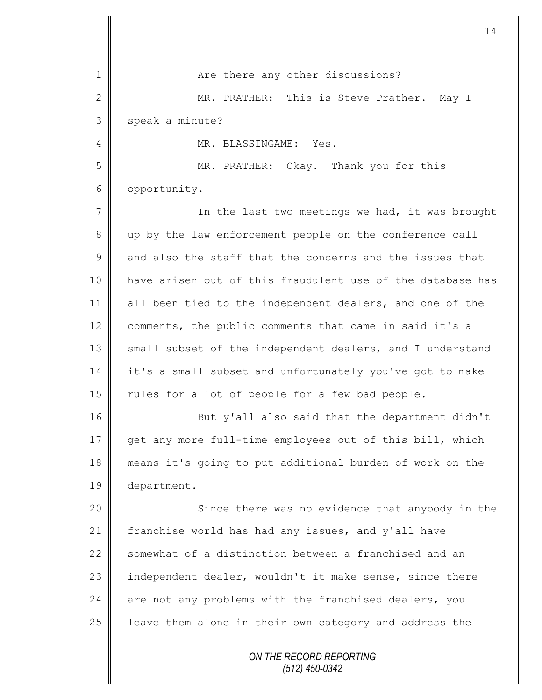|               | 14                                                         |
|---------------|------------------------------------------------------------|
| 1             | Are there any other discussions?                           |
| $\mathbf{2}$  | MR. PRATHER: This is Steve Prather. May I                  |
| 3             | speak a minute?                                            |
| 4             | MR. BLASSINGAME: Yes.                                      |
| 5             | MR. PRATHER: Okay. Thank you for this                      |
| 6             | opportunity.                                               |
| 7             | In the last two meetings we had, it was brought            |
| 8             | up by the law enforcement people on the conference call    |
| $\mathcal{G}$ | and also the staff that the concerns and the issues that   |
| 10            | have arisen out of this fraudulent use of the database has |
| 11            | all been tied to the independent dealers, and one of the   |
| 12            | comments, the public comments that came in said it's a     |
| 13            | small subset of the independent dealers, and I understand  |
| 14            | it's a small subset and unfortunately you've got to make   |
| 15            | rules for a lot of people for a few bad people.            |
| 16            | But y'all also said that the department didn't             |
| 17            | get any more full-time employees out of this bill, which   |
| 18            | means it's going to put additional burden of work on the   |
| 19            | department.                                                |
| 20            | Since there was no evidence that anybody in the            |
| 21            | franchise world has had any issues, and y'all have         |
| 22            | somewhat of a distinction between a franchised and an      |
| 23            | independent dealer, wouldn't it make sense, since there    |
| 24            | are not any problems with the franchised dealers, you      |
| 25            | leave them alone in their own category and address the     |
|               | ON THE RECORD REPORTING<br>$(512)$ 450-0342                |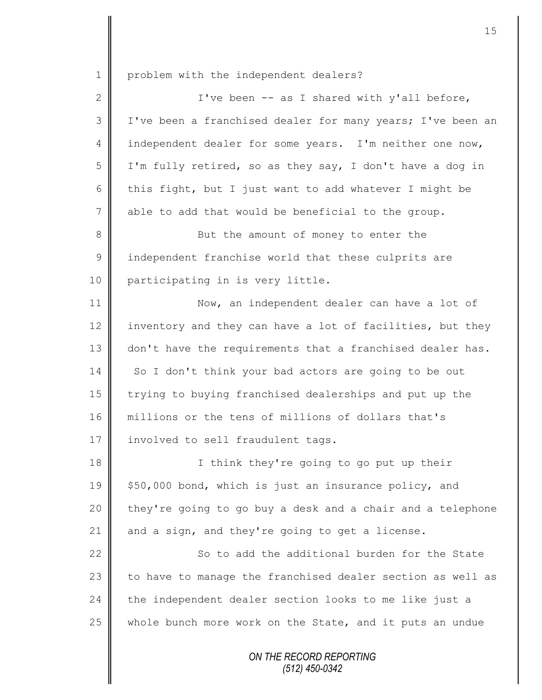1 problem with the independent dealers?

| $\mathbf{2}$ | I've been -- as I shared with y'all before,                |
|--------------|------------------------------------------------------------|
| 3            | I've been a franchised dealer for many years; I've been an |
| 4            | independent dealer for some years. I'm neither one now,    |
| 5            | I'm fully retired, so as they say, I don't have a dog in   |
| 6            | this fight, but I just want to add whatever I might be     |
| 7            | able to add that would be beneficial to the group.         |
| 8            | But the amount of money to enter the                       |
| $\mathsf 9$  | independent franchise world that these culprits are        |
| 10           | participating in is very little.                           |
| 11           | Now, an independent dealer can have a lot of               |
| 12           | inventory and they can have a lot of facilities, but they  |
| 13           | don't have the requirements that a franchised dealer has.  |
| 14           | So I don't think your bad actors are going to be out       |
| 15           | trying to buying franchised dealerships and put up the     |
| 16           | millions or the tens of millions of dollars that's         |
| 17           | involved to sell fraudulent tags.                          |
| 18           | I think they're going to go put up their                   |
| 19           | \$50,000 bond, which is just an insurance policy, and      |
| 20           | they're going to go buy a desk and a chair and a telephone |
| 21           | and a sign, and they're going to get a license.            |
| 22           | So to add the additional burden for the State              |
| 23           | to have to manage the franchised dealer section as well as |
| 24           | the independent dealer section looks to me like just a     |
| 25           | whole bunch more work on the State, and it puts an undue   |
|              | ON THE RECORD REPORTING                                    |

*(512) 450-0342*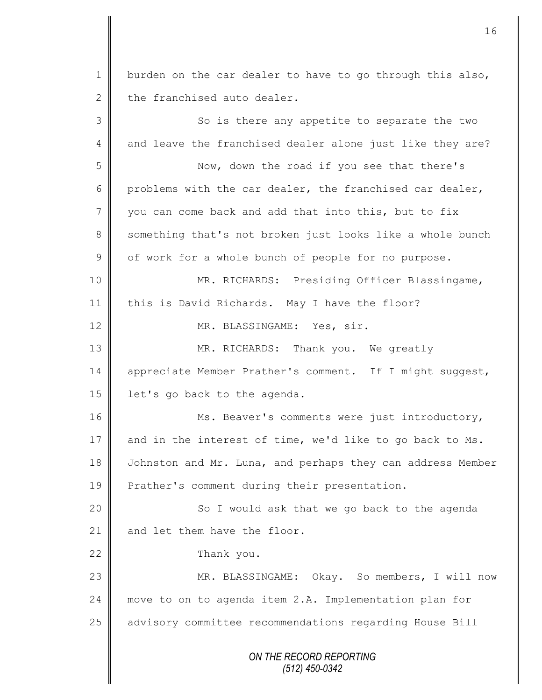*ON THE RECORD REPORTING (512) 450-0342* 1 burden on the car dealer to have to go through this also, 2 the franchised auto dealer. 3 || So is there any appetite to separate the two 4 and leave the franchised dealer alone just like they are? 5 Now, down the road if you see that there's 6 problems with the car dealer, the franchised car dealer, 7 vou can come back and add that into this, but to fix 8 something that's not broken just looks like a whole bunch  $9 \parallel$  of work for a whole bunch of people for no purpose. 10 || MR. RICHARDS: Presiding Officer Blassingame, 11 this is David Richards. May I have the floor? 12 || MR. BLASSINGAME: Yes, sir. 13 MR. RICHARDS: Thank you. We greatly 14 | appreciate Member Prather's comment. If I might suggest, 15  $\parallel$  1et's go back to the agenda. 16 Ms. Beaver's comments were just introductory, 17  $\parallel$  and in the interest of time, we'd like to go back to Ms. 18 Johnston and Mr. Luna, and perhaps they can address Member 19 **Prather's comment during their presentation.** 20 || So I would ask that we go back to the agenda 21  $\parallel$  and let them have the floor. 22 Thank you. 23 MR. BLASSINGAME: Okay. So members, I will now 24 | move to on to agenda item 2.A. Implementation plan for 25 | advisory committee recommendations regarding House Bill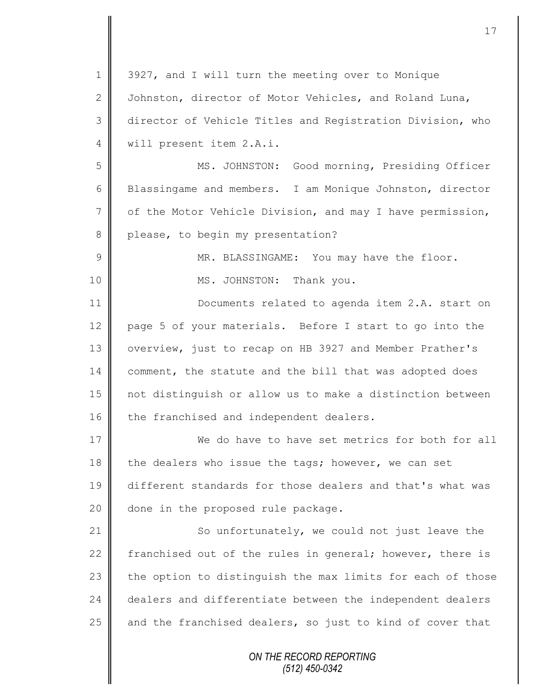| $\mathbf 1$    | 3927, and I will turn the meeting over to Monique          |
|----------------|------------------------------------------------------------|
| $\mathbf{2}$   | Johnston, director of Motor Vehicles, and Roland Luna,     |
| 3              | director of Vehicle Titles and Registration Division, who  |
| $\overline{4}$ | will present item 2.A.i.                                   |
| 5              | MS. JOHNSTON: Good morning, Presiding Officer              |
| 6              | Blassingame and members. I am Monique Johnston, director   |
| $7\phantom{.}$ | of the Motor Vehicle Division, and may I have permission,  |
| $\,8\,$        | please, to begin my presentation?                          |
| $\mathcal{G}$  | MR. BLASSINGAME: You may have the floor.                   |
| 10             | MS. JOHNSTON: Thank you.                                   |
| 11             | Documents related to agenda item 2.A. start on             |
| 12             | page 5 of your materials. Before I start to go into the    |
| 13             | overview, just to recap on HB 3927 and Member Prather's    |
| 14             | comment, the statute and the bill that was adopted does    |
| 15             | not distinguish or allow us to make a distinction between  |
| 16             | the franchised and independent dealers.                    |
| 17             | We do have to have set metrics for both for all            |
| 18             | the dealers who issue the tags; however, we can set        |
| 19             | different standards for those dealers and that's what was  |
| 20             | done in the proposed rule package.                         |
| 21             | So unfortunately, we could not just leave the              |
| 22             | franchised out of the rules in general; however, there is  |
| 23             | the option to distinguish the max limits for each of those |
| 24             | dealers and differentiate between the independent dealers  |
| 25             | and the franchised dealers, so just to kind of cover that  |
|                | ON THE RECORD REPORTING<br>$(512)$ 450-0342                |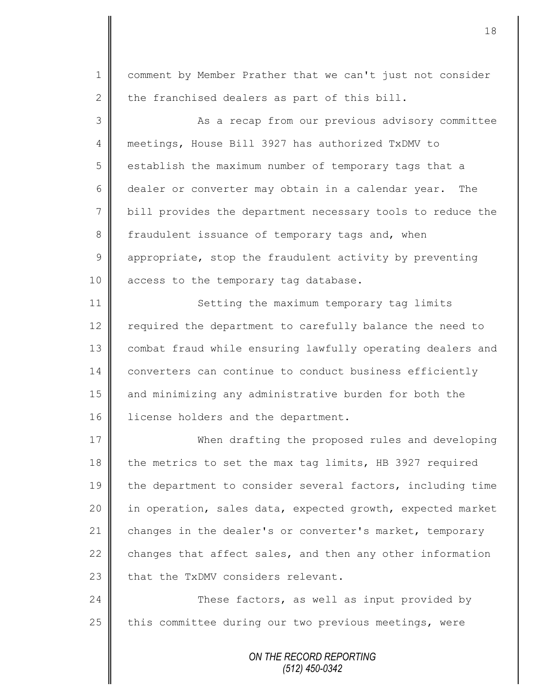1 comment by Member Prather that we can't just not consider 2 the franchised dealers as part of this bill.

3 || As a recap from our previous advisory committee 4 meetings, House Bill 3927 has authorized TxDMV to 5 s establish the maximum number of temporary tags that a 6 dealer or converter may obtain in a calendar year. The 7 bill provides the department necessary tools to reduce the 8 fraudulent issuance of temporary tags and, when  $9 \parallel$  appropriate, stop the fraudulent activity by preventing 10 | access to the temporary tag database.

11 Setting the maximum temporary tag limits 12 || required the department to carefully balance the need to 13 | combat fraud while ensuring lawfully operating dealers and 14 converters can continue to conduct business efficiently 15 || and minimizing any administrative burden for both the 16 | license holders and the department.

17 When drafting the proposed rules and developing 18 the metrics to set the max tag limits, HB 3927 required 19 the department to consider several factors, including time 20 | in operation, sales data, expected growth, expected market 21 changes in the dealer's or converter's market, temporary 22  $\parallel$  changes that affect sales, and then any other information 23  $\parallel$  that the TxDMV considers relevant.

24 These factors, as well as input provided by 25  $\parallel$  this committee during our two previous meetings, were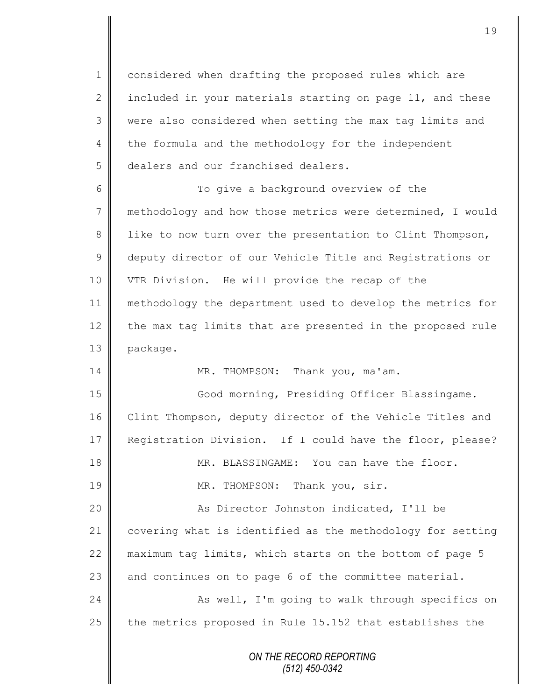1 considered when drafting the proposed rules which are 2 | included in your materials starting on page 11, and these 3 were also considered when setting the max tag limits and  $4 \parallel$  the formula and the methodology for the independent 5 dealers and our franchised dealers.

6 || To give a background overview of the 7 methodology and how those metrics were determined, I would 8 || like to now turn over the presentation to Clint Thompson, 9 deputy director of our Vehicle Title and Registrations or 10 VTR Division. He will provide the recap of the 11 methodology the department used to develop the metrics for 12 the max tag limits that are presented in the proposed rule 13 package.

14 MR. THOMPSON: Thank you, ma'am.

15 Good morning, Presiding Officer Blassingame. 16 Clint Thompson, deputy director of the Vehicle Titles and 17 Reqistration Division. If I could have the floor, please? 18 MR. BLASSINGAME: You can have the floor. 19 || MR. THOMPSON: Thank you, sir. 20 || As Director Johnston indicated, I'll be 21 covering what is identified as the methodology for setting 22  $\parallel$  maximum tag limits, which starts on the bottom of page 5 23  $\parallel$  and continues on to page 6 of the committee material. 24 As well, I'm going to walk through specifics on 25  $\parallel$  the metrics proposed in Rule 15.152 that establishes the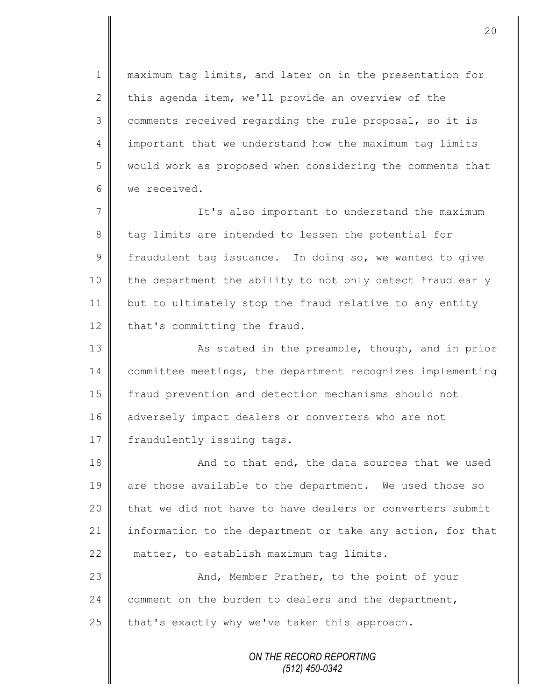1 || maximum tag limits, and later on in the presentation for 2 this agenda item, we'll provide an overview of the 3 comments received regarding the rule proposal, so it is 4 important that we understand how the maximum tag limits 5 || would work as proposed when considering the comments that 6 we received.

7 || It's also important to understand the maximum 8 tag limits are intended to lessen the potential for 9 fraudulent tag issuance. In doing so, we wanted to give 10 | the department the ability to not only detect fraud early 11 but to ultimately stop the fraud relative to any entity 12 that's committing the fraud.

13 | As stated in the preamble, though, and in prior 14 committee meetings, the department recognizes implementing 15 | fraud prevention and detection mechanisms should not 16 adversely impact dealers or converters who are not 17 | fraudulently issuing tags.

18 **And to that end, the data sources that we used** 19 are those available to the department. We used those so 20  $\parallel$  that we did not have to have dealers or converters submit 21 information to the department or take any action, for that 22 matter, to establish maximum tag limits.

23 || And, Member Prather, to the point of your 24 comment on the burden to dealers and the department, 25  $\parallel$  that's exactly why we've taken this approach.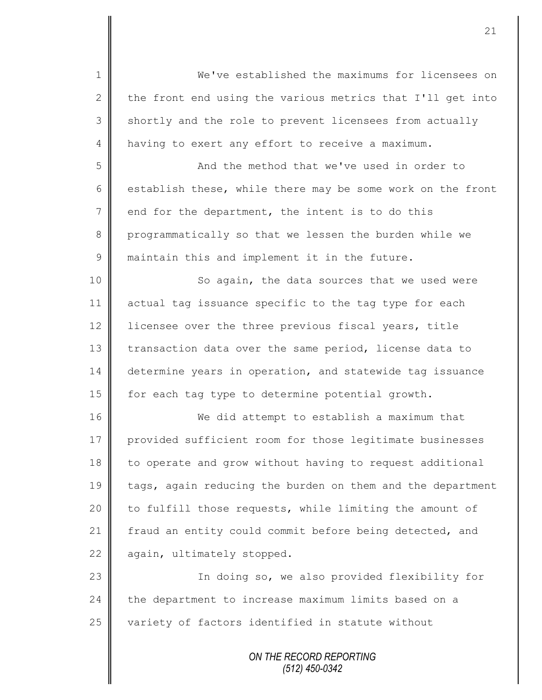1 We've established the maximums for licensees on 2  $\parallel$  the front end using the various metrics that I'll get into 3 shortly and the role to prevent licensees from actually 4 having to exert any effort to receive a maximum.

5 || And the method that we've used in order to 6 establish these, while there may be some work on the front  $7 \parallel$  end for the department, the intent is to do this 8 programmatically so that we lessen the burden while we 9 maintain this and implement it in the future.

10 || So again, the data sources that we used were 11 actual tag issuance specific to the tag type for each 12 | licensee over the three previous fiscal years, title 13 transaction data over the same period, license data to 14 determine years in operation, and statewide tag issuance 15 | for each tag type to determine potential growth.

16 We did attempt to establish a maximum that 17 provided sufficient room for those legitimate businesses 18 to operate and grow without having to request additional 19 tags, again reducing the burden on them and the department 20 | to fulfill those requests, while limiting the amount of 21 | fraud an entity could commit before being detected, and 22 again, ultimately stopped.

23 || In doing so, we also provided flexibility for  $24$   $\parallel$  the department to increase maximum limits based on a 25 variety of factors identified in statute without

> *ON THE RECORD REPORTING (512) 450-0342*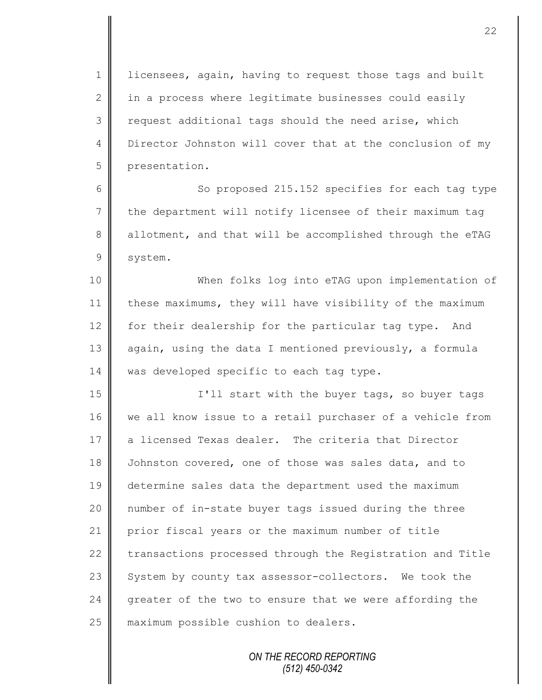1 | licensees, again, having to request those tags and built 2  $\parallel$  in a process where legitimate businesses could easily  $3 \parallel$  request additional tags should the need arise, which 4 Director Johnston will cover that at the conclusion of my 5 presentation.

6 || So proposed 215.152 specifies for each tag type 7 the department will notify licensee of their maximum tag 8 allotment, and that will be accomplished through the eTAG 9 system.

10 When folks log into eTAG upon implementation of 11 these maximums, they will have visibility of the maximum 12 for their dealership for the particular tag type. And 13 again, using the data I mentioned previously, a formula 14 was developed specific to each tag type.

15 || I'll start with the buyer tags, so buyer tags 16 we all know issue to a retail purchaser of a vehicle from 17 a licensed Texas dealer. The criteria that Director 18 Johnston covered, one of those was sales data, and to 19 determine sales data the department used the maximum 20 number of in-state buyer tags issued during the three 21 prior fiscal years or the maximum number of title 22 transactions processed through the Registration and Title 23 System by county tax assessor-collectors. We took the 24 greater of the two to ensure that we were affording the 25 **maximum** possible cushion to dealers.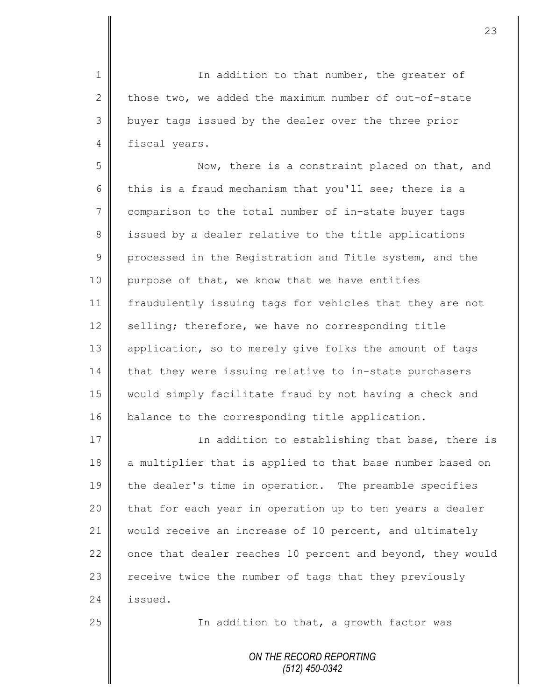1 || In addition to that number, the greater of 2 those two, we added the maximum number of out-of-state 3 | buyer tags issued by the dealer over the three prior 4 fiscal years.

5 Now, there is a constraint placed on that, and 6 this is a fraud mechanism that you'll see; there is a 7 comparison to the total number of in-state buyer tags 8 issued by a dealer relative to the title applications 9 processed in the Registration and Title system, and the 10 purpose of that, we know that we have entities 11 fraudulently issuing tags for vehicles that they are not 12 selling; therefore, we have no corresponding title 13 | application, so to merely give folks the amount of tags 14 that they were issuing relative to in-state purchasers 15 would simply facilitate fraud by not having a check and 16 balance to the corresponding title application.

17 | Charl Thaddition to establishing that base, there is 18 a multiplier that is applied to that base number based on 19 the dealer's time in operation. The preamble specifies  $20$  | that for each year in operation up to ten years a dealer 21 would receive an increase of 10 percent, and ultimately 22  $\parallel$  once that dealer reaches 10 percent and beyond, they would 23 | receive twice the number of tags that they previously 24 **issued.** 

25 | The addition to that, a growth factor was

*ON THE RECORD REPORTING (512) 450-0342*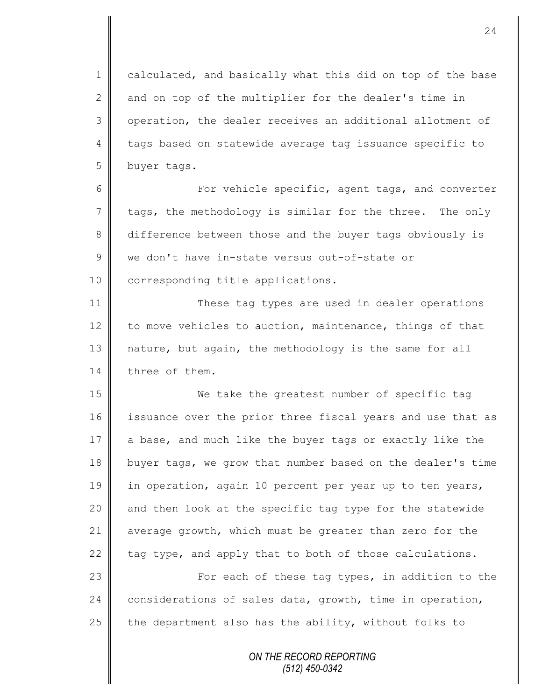1 calculated, and basically what this did on top of the base  $2 \parallel$  and on top of the multiplier for the dealer's time in 3 | operation, the dealer receives an additional allotment of 4 tags based on statewide average tag issuance specific to 5 buyer tags.

6 || For vehicle specific, agent tags, and converter 7 tags, the methodology is similar for the three. The only 8 difference between those and the buyer tags obviously is 9 we don't have in-state versus out-of-state or 10 corresponding title applications.

11 || These tag types are used in dealer operations 12 to move vehicles to auction, maintenance, things of that 13 nature, but again, the methodology is the same for all 14 three of them.

15 We take the greatest number of specific tag 16 issuance over the prior three fiscal years and use that as  $17$  a base, and much like the buyer tags or exactly like the 18 buyer tags, we grow that number based on the dealer's time 19 in operation, again 10 percent per year up to ten years, 20  $\parallel$  and then look at the specific tag type for the statewide 21 average growth, which must be greater than zero for the 22  $\parallel$  tag type, and apply that to both of those calculations.

23 | For each of these tag types, in addition to the 24 considerations of sales data, growth, time in operation, 25  $\parallel$  the department also has the ability, without folks to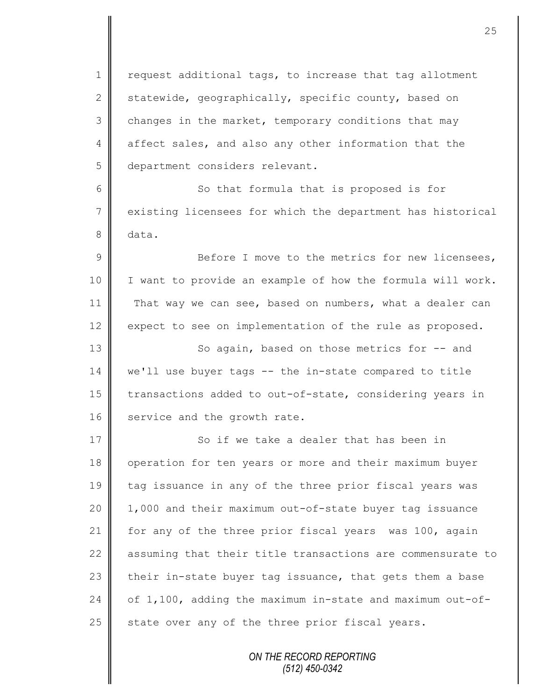1 | request additional tags, to increase that tag allotment 2 statewide, geographically, specific county, based on  $3 \parallel$  changes in the market, temporary conditions that may 4 affect sales, and also any other information that the 5 department considers relevant.

6 || So that formula that is proposed is for 7 existing licensees for which the department has historical 8 data.

9 Before I move to the metrics for new licensees, 10 | I want to provide an example of how the formula will work. 11 That way we can see, based on numbers, what a dealer can 12 expect to see on implementation of the rule as proposed.

13 || So again, based on those metrics for -- and 14 we'll use buyer tags -- the in-state compared to title 15 transactions added to out-of-state, considering years in 16 service and the growth rate.

17 So if we take a dealer that has been in 18 | operation for ten years or more and their maximum buyer 19 tag issuance in any of the three prior fiscal years was 20 1,000 and their maximum out-of-state buyer tag issuance 21 | for any of the three prior fiscal years was 100, again 22 assuming that their title transactions are commensurate to 23  $\parallel$  their in-state buyer tag issuance, that gets them a base 24 of  $1,100$ , adding the maximum in-state and maximum out-of-25  $\parallel$  state over any of the three prior fiscal years.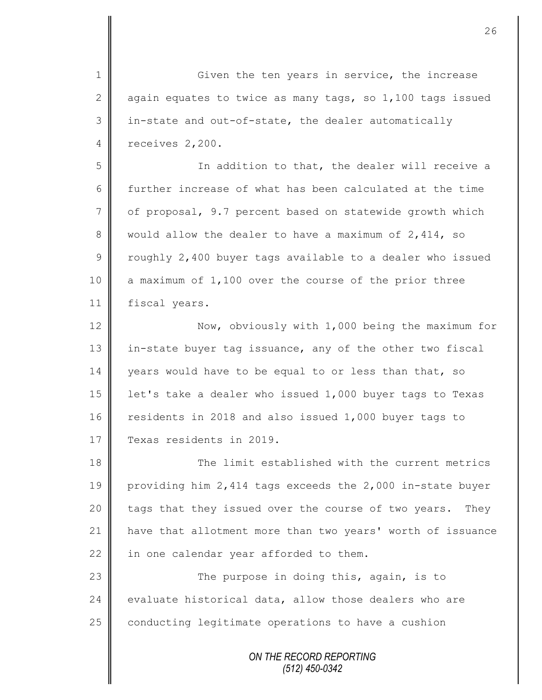*ON THE RECORD REPORTING (512) 450-0342* 1 Given the ten years in service, the increase 2 aqain equates to twice as many tags, so 1,100 tags issued 3 in-state and out-of-state, the dealer automatically 4 | receives 2,200. 5 || Solution to that, the dealer will receive a 6 further increase of what has been calculated at the time 7 | of proposal, 9.7 percent based on statewide growth which 8 would allow the dealer to have a maximum of 2,414, so 9 T roughly 2,400 buyer tags available to a dealer who issued 10 a maximum of 1,100 over the course of the prior three 11 | fiscal years. 12 Now, obviously with 1,000 being the maximum for 13 | in-state buyer tag issuance, any of the other two fiscal 14 years would have to be equal to or less than that, so 15 | let's take a dealer who issued 1,000 buyer tags to Texas 16 residents in 2018 and also issued 1,000 buyer tags to 17 | Texas residents in 2019. 18 The limit established with the current metrics 19 | providing him 2,414 tags exceeds the 2,000 in-state buyer  $20$  | tags that they issued over the course of two years. They 21 have that allotment more than two years' worth of issuance  $22$  in one calendar year afforded to them. 23 || The purpose in doing this, again, is to 24  $\parallel$  evaluate historical data, allow those dealers who are  $25$  conducting legitimate operations to have a cushion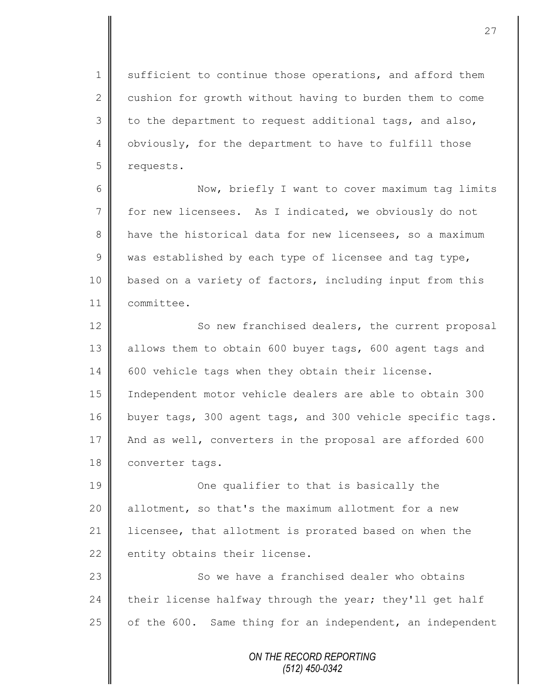1 sufficient to continue those operations, and afford them 2 cushion for growth without having to burden them to come  $3 \parallel$  to the department to request additional tags, and also, 4 | obviously, for the department to have to fulfill those 5 requests.

6 Now, briefly I want to cover maximum tag limits 7 for new licensees. As I indicated, we obviously do not 8 have the historical data for new licensees, so a maximum 9  $\parallel$  was established by each type of licensee and tag type, 10 | based on a variety of factors, including input from this 11 committee.

12 | So new franchised dealers, the current proposal 13 allows them to obtain 600 buyer tags, 600 agent tags and 14 600 vehicle tags when they obtain their license. 15 Independent motor vehicle dealers are able to obtain 300 16 buyer tags, 300 agent tags, and 300 vehicle specific tags. 17 And as well, converters in the proposal are afforded 600 18 converter tags.

19 **||** One qualifier to that is basically the 20 || allotment, so that's the maximum allotment for a new 21 | licensee, that allotment is prorated based on when the 22 entity obtains their license.

23 || So we have a franchised dealer who obtains 24 their license halfway through the year; they'll get half 25  $\parallel$  of the 600. Same thing for an independent, an independent

> *ON THE RECORD REPORTING (512) 450-0342*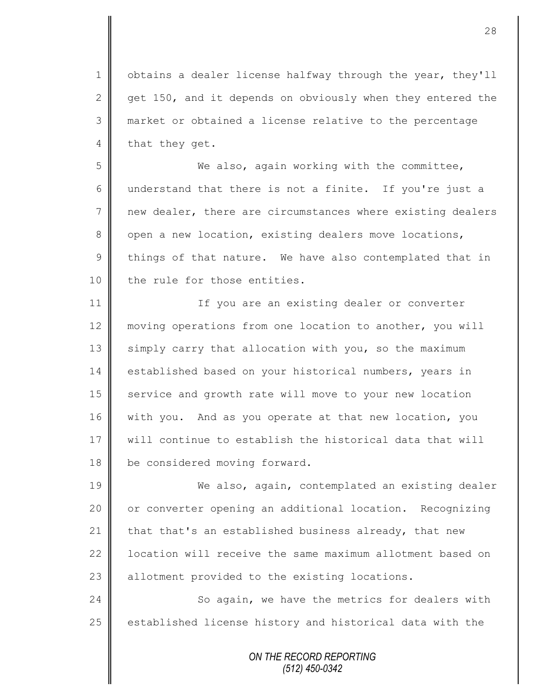1 | obtains a dealer license halfway through the year, they'll 2 get 150, and it depends on obviously when they entered the 3 market or obtained a license relative to the percentage 4 that they get.

5 We also, again working with the committee, 6 understand that there is not a finite. If you're just a 7 new dealer, there are circumstances where existing dealers 8 open a new location, existing dealers move locations,  $9 \parallel$  things of that nature. We have also contemplated that in 10 | the rule for those entities.

11 || If you are an existing dealer or converter 12 moving operations from one location to another, you will 13 | simply carry that allocation with you, so the maximum 14 established based on your historical numbers, years in 15 service and growth rate will move to your new location 16 with you. And as you operate at that new location, you 17 || will continue to establish the historical data that will 18 be considered moving forward.

19 We also, again, contemplated an existing dealer 20 | or converter opening an additional location. Recognizing 21  $\parallel$  that that's an established business already, that new 22 | location will receive the same maximum allotment based on 23  $\parallel$  allotment provided to the existing locations.

24 So again, we have the metrics for dealers with 25 | established license history and historical data with the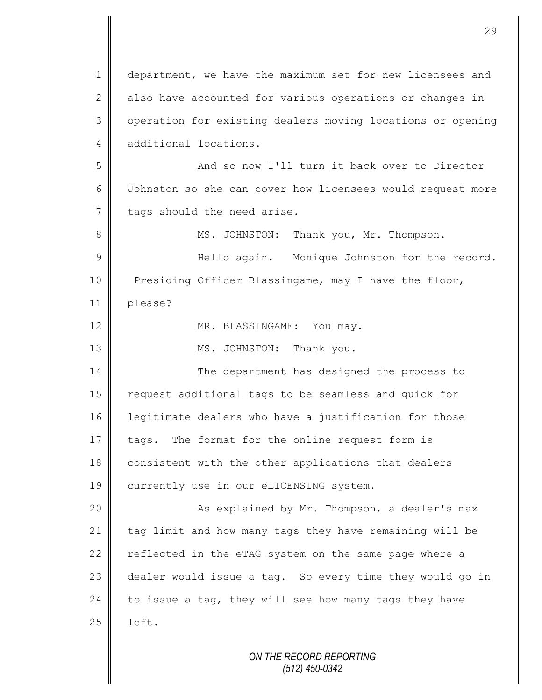*ON THE RECORD REPORTING* 1 department, we have the maximum set for new licensees and 2 also have accounted for various operations or changes in 3 | operation for existing dealers moving locations or opening 4 additional locations. 5 And so now I'll turn it back over to Director 6 Johnston so she can cover how licensees would request more  $7 \parallel$  tags should the need arise. 8 MS. JOHNSTON: Thank you, Mr. Thompson. 9 Hello again. Monique Johnston for the record. 10 **Presiding Officer Blassingame, may I have the floor,** 11 please? 12 MR. BLASSINGAME: You may. 13 || MS. JOHNSTON: Thank you. 14 The department has designed the process to 15 | request additional tags to be seamless and quick for 16 legitimate dealers who have a justification for those 17 tags. The format for the online request form is 18 consistent with the other applications that dealers 19 currently use in our eLICENSING system. 20 | Kas explained by Mr. Thompson, a dealer's max 21 tag limit and how many tags they have remaining will be 22 reflected in the eTAG system on the same page where a 23 dealer would issue a tag. So every time they would go in 24  $\parallel$  to issue a tag, they will see how many tags they have  $25$  | left.

*(512) 450-0342*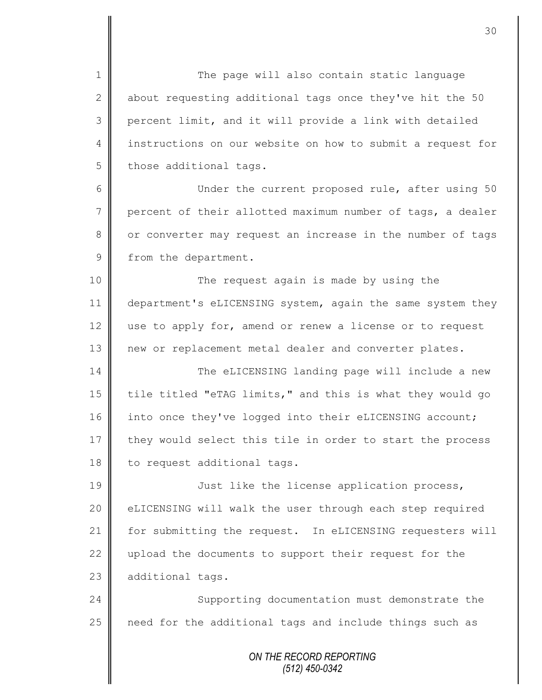1 The page will also contain static language 2 about requesting additional tags once they've hit the 50 3 percent limit, and it will provide a link with detailed 4 instructions on our website on how to submit a request for  $5$  those additional tags.

6 || Under the current proposed rule, after using 50  $7 \parallel$  percent of their allotted maximum number of tags, a dealer 8 || or converter may request an increase in the number of tags 9 from the department.

10 || The request again is made by using the 11 department's eLICENSING system, again the same system they 12  $\parallel$  use to apply for, amend or renew a license or to request 13 | new or replacement metal dealer and converter plates.

14 The eLICENSING landing page will include a new 15 | tile titled "eTAG limits," and this is what they would go 16 into once they've logged into their eLICENSING account; 17 they would select this tile in order to start the process 18 to request additional tags.

19 || Just like the license application process, 20 | eLICENSING will walk the user through each step required 21 | for submitting the request. In eLICENSING requesters will 22  $\parallel$  upload the documents to support their request for the 23 additional tags.

24 Supporting documentation must demonstrate the  $25$  need for the additional tags and include things such as

> *ON THE RECORD REPORTING (512) 450-0342*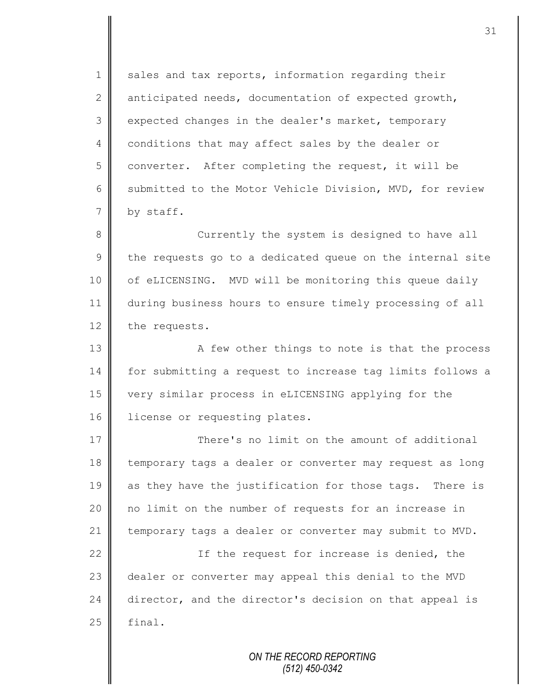$1 \parallel$  sales and tax reports, information regarding their 2 anticipated needs, documentation of expected growth, 3 expected changes in the dealer's market, temporary 4 conditions that may affect sales by the dealer or  $5 \parallel$  converter. After completing the request, it will be 6 Submitted to the Motor Vehicle Division, MVD, for review 7 by staff.

8 || Currently the system is designed to have all  $9 \parallel$  the requests go to a dedicated queue on the internal site 10 | of eLICENSING. MVD will be monitoring this queue daily 11 during business hours to ensure timely processing of all 12 the requests.

13 || A few other things to note is that the process 14 for submitting a request to increase tag limits follows a 15 very similar process in eLICENSING applying for the 16 | license or requesting plates.

17  $\parallel$  There's no limit on the amount of additional 18 temporary tags a dealer or converter may request as long 19 as they have the justification for those tags. There is 20 || no limit on the number of requests for an increase in 21 temporary tags a dealer or converter may submit to MVD.

22 || The request for increase is denied, the 23 dealer or converter may appeal this denial to the MVD 24 director, and the director's decision on that appeal is  $25$   $\parallel$  final.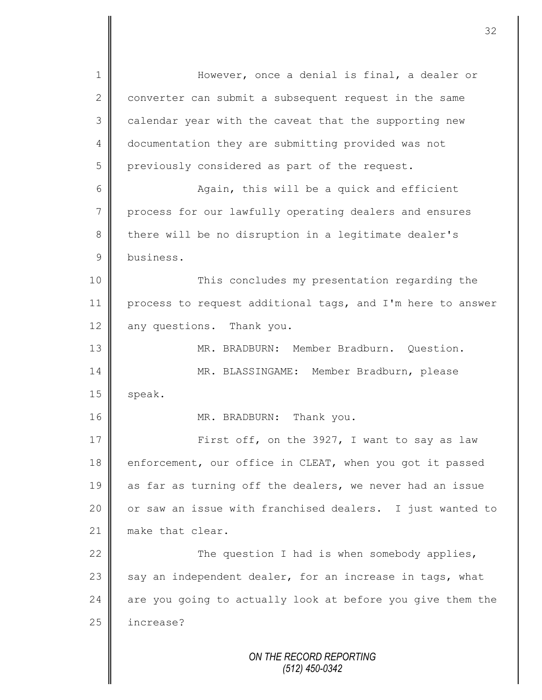*ON THE RECORD REPORTING (512) 450-0342* 1 || However, once a denial is final, a dealer or 2 converter can submit a subsequent request in the same 3 calendar year with the caveat that the supporting new 4 documentation they are submitting provided was not 5 previously considered as part of the request. 6 Again, this will be a quick and efficient 7 process for our lawfully operating dealers and ensures 8 there will be no disruption in a legitimate dealer's 9 business. 10 This concludes my presentation regarding the 11 process to request additional tags, and I'm here to answer 12 any questions. Thank you. 13 MR. BRADBURN: Member Bradburn. Question. 14 MR. BLASSINGAME: Member Bradburn, please  $15$  speak. 16 || MR. BRADBURN: Thank you. 17 | First off, on the 3927, I want to say as law 18 enforcement, our office in CLEAT, when you got it passed 19 as far as turning off the dealers, we never had an issue 20 | or saw an issue with franchised dealers. I just wanted to 21 make that clear. 22  $\parallel$  The question I had is when somebody applies, 23  $\parallel$  say an independent dealer, for an increase in tags, what 24 are you going to actually look at before you give them the 25 | increase?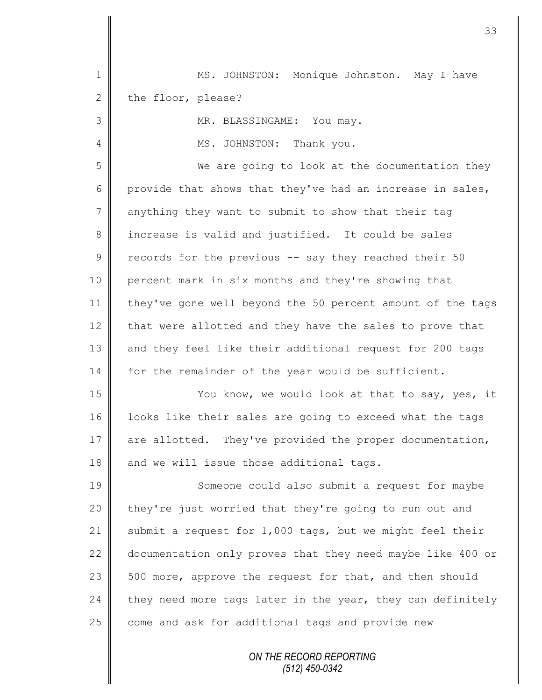| $\mathbf 1$    | MS. JOHNSTON: Monique Johnston. May I have                 |
|----------------|------------------------------------------------------------|
| $\mathbf{2}$   | the floor, please?                                         |
| 3              | MR. BLASSINGAME: You may.                                  |
| 4              | MS. JOHNSTON: Thank you.                                   |
| 5              | We are going to look at the documentation they             |
| $6\,$          | provide that shows that they've had an increase in sales,  |
| $\overline{7}$ | anything they want to submit to show that their tag        |
| 8              | increase is valid and justified. It could be sales         |
| $\mathcal{G}$  | records for the previous -- say they reached their 50      |
| 10             | percent mark in six months and they're showing that        |
| 11             | they've gone well beyond the 50 percent amount of the tags |
| 12             | that were allotted and they have the sales to prove that   |
| 13             | and they feel like their additional request for 200 tags   |
| 14             | for the remainder of the year would be sufficient.         |
| 15             | You know, we would look at that to say, yes, it            |
| 16             | looks like their sales are going to exceed what the tags   |
| 17             | are allotted. They've provided the proper documentation,   |
| 18             | and we will issue those additional tags.                   |
| 19             | Someone could also submit a request for maybe              |
| 20             | they're just worried that they're going to run out and     |
| 21             | submit a request for 1,000 tags, but we might feel their   |
| 22             | documentation only proves that they need maybe like 400 or |
| 23             | 500 more, approve the request for that, and then should    |
| 24             | they need more tags later in the year, they can definitely |
| 25             | come and ask for additional tags and provide new           |
|                |                                                            |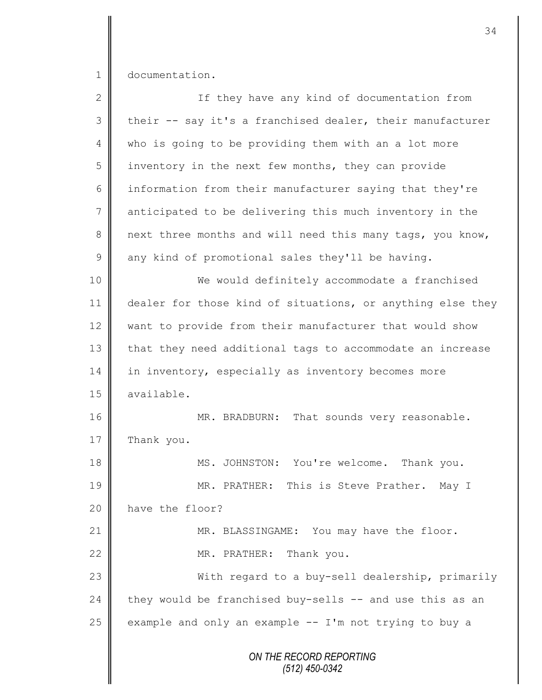1 documentation.

| $\overline{2}$ | If they have any kind of documentation from                |
|----------------|------------------------------------------------------------|
| 3              | their -- say it's a franchised dealer, their manufacturer  |
| 4              | who is going to be providing them with an a lot more       |
| 5              | inventory in the next few months, they can provide         |
| 6              | information from their manufacturer saying that they're    |
| 7              | anticipated to be delivering this much inventory in the    |
| 8              | next three months and will need this many tags, you know,  |
| $\mathsf 9$    | any kind of promotional sales they'll be having.           |
| 10             | We would definitely accommodate a franchised               |
| 11             | dealer for those kind of situations, or anything else they |
| 12             | want to provide from their manufacturer that would show    |
| 13             | that they need additional tags to accommodate an increase  |
| 14             | in inventory, especially as inventory becomes more         |
| 15             | available.                                                 |
| 16             | MR. BRADBURN: That sounds very reasonable.                 |
| 17             | Thank you.                                                 |
| 18             | MS. JOHNSTON: You're welcome. Thank you.                   |
| 19             | MR. PRATHER: This is Steve Prather. May I                  |
| 20             | have the floor?                                            |
| 21             | MR. BLASSINGAME: You may have the floor.                   |
| 22             | MR. PRATHER:<br>Thank you.                                 |
| 23             | With regard to a buy-sell dealership, primarily            |
| 24             | they would be franchised buy-sells -- and use this as an   |
| 25             | example and only an example $-- I'm$ not trying to buy a   |
|                | ON THE RECORD REPORTING<br>$(512)$ 450-0342                |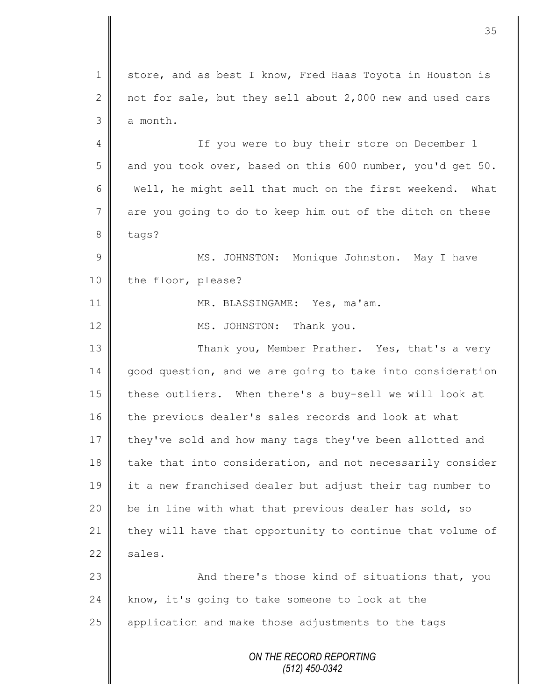*ON THE RECORD REPORTING (512) 450-0342* 1 store, and as best I know, Fred Haas Toyota in Houston is 2 not for sale, but they sell about 2,000 new and used cars  $3 \parallel$  a month. 4 || If you were to buy their store on December 1 5 and you took over, based on this 600 number, you'd get 50. 6 Well, he might sell that much on the first weekend. What 7 are you going to do to keep him out of the ditch on these 8 tags? 9 || MS. JOHNSTON: Monique Johnston. May I have 10 the floor, please? 11 || MR. BLASSINGAME: Yes, ma'am. 12 MS. JOHNSTON: Thank you. 13 Thank you, Member Prather. Yes, that's a very 14 good question, and we are going to take into consideration 15 || these outliers. When there's a buy-sell we will look at 16 the previous dealer's sales records and look at what 17 they've sold and how many tags they've been allotted and 18 take that into consideration, and not necessarily consider 19 it a new franchised dealer but adjust their tag number to 20 | be in line with what that previous dealer has sold, so 21 they will have that opportunity to continue that volume of  $22 \parallel$  sales. 23 || And there's those kind of situations that, you  $24$  know, it's going to take someone to look at the 25 application and make those adjustments to the tags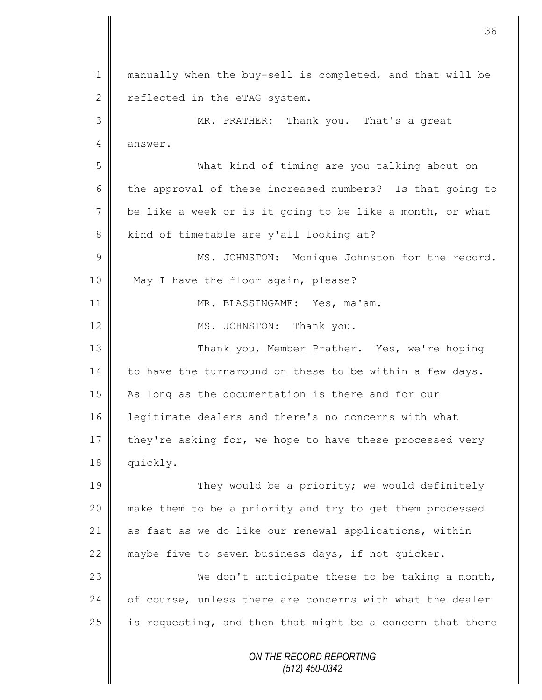*ON THE RECORD REPORTING* 1 || manually when the buy-sell is completed, and that will be  $2 \parallel$  reflected in the eTAG system. 3 MR. PRATHER: Thank you. That's a great 4 answer. 5 What kind of timing are you talking about on 6 the approval of these increased numbers? Is that going to  $7 \parallel$  be like a week or is it going to be like a month, or what 8 kind of timetable are y'all looking at? 9 || MS. JOHNSTON: Monique Johnston for the record. 10 May I have the floor again, please? 11 || MR. BLASSINGAME: Yes, ma'am. 12 || MS. JOHNSTON: Thank you. 13 || Thank you, Member Prather. Yes, we're hoping  $14$  to have the turnaround on these to be within a few days. 15 As long as the documentation is there and for our 16 | legitimate dealers and there's no concerns with what  $17$  they're asking for, we hope to have these processed very 18 quickly. 19 They would be a priority; we would definitely 20 make them to be a priority and try to get them processed 21 as fast as we do like our renewal applications, within 22 || maybe five to seven business days, if not quicker. 23 We don't anticipate these to be taking a month,  $24$  | of course, unless there are concerns with what the dealer 25  $\parallel$  is requesting, and then that might be a concern that there

36

*(512) 450-0342*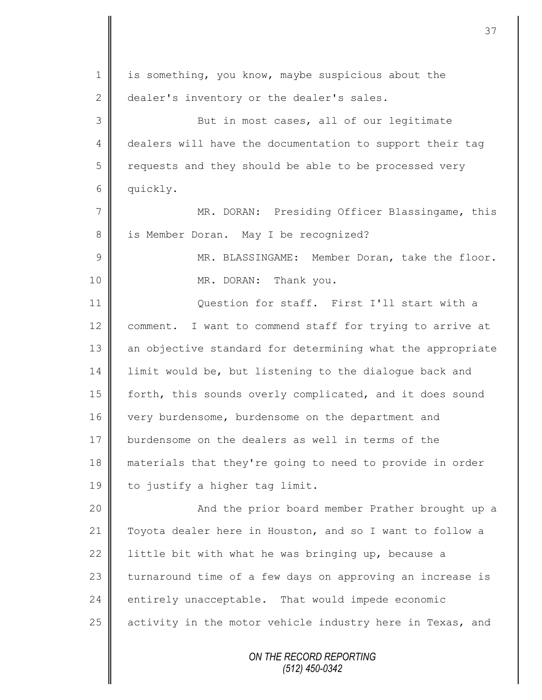| 1              | is something, you know, maybe suspicious about the         |
|----------------|------------------------------------------------------------|
| $\mathbf{2}$   | dealer's inventory or the dealer's sales.                  |
| $\mathfrak{Z}$ | But in most cases, all of our legitimate                   |
| 4              | dealers will have the documentation to support their tag   |
| 5              | requests and they should be able to be processed very      |
| 6              | quickly.                                                   |
| 7              | MR. DORAN: Presiding Officer Blassingame, this             |
| $8\,$          | is Member Doran. May I be recognized?                      |
| $\overline{9}$ | MR. BLASSINGAME: Member Doran, take the floor.             |
| 10             | MR. DORAN: Thank you.                                      |
| 11             | Question for staff. First I'll start with a                |
| 12             | comment. I want to commend staff for trying to arrive at   |
| 13             | an objective standard for determining what the appropriate |
| 14             | limit would be, but listening to the dialogue back and     |
| 15             | forth, this sounds overly complicated, and it does sound   |
| 16             | very burdensome, burdensome on the department and          |
| 17             | burdensome on the dealers as well in terms of the          |
| 18             | materials that they're going to need to provide in order   |
| 19             | to justify a higher tag limit.                             |
| 20             | And the prior board member Prather brought up a            |
| 21             | Toyota dealer here in Houston, and so I want to follow a   |
| 22             | little bit with what he was bringing up, because a         |
| 23             | turnaround time of a few days on approving an increase is  |
| 24             | entirely unacceptable. That would impede economic          |
| 25             | activity in the motor vehicle industry here in Texas, and  |
|                | ON THE RECORD REPORTING                                    |

Ш II

Ш  $\mathsf{I}$  *(512) 450-0342*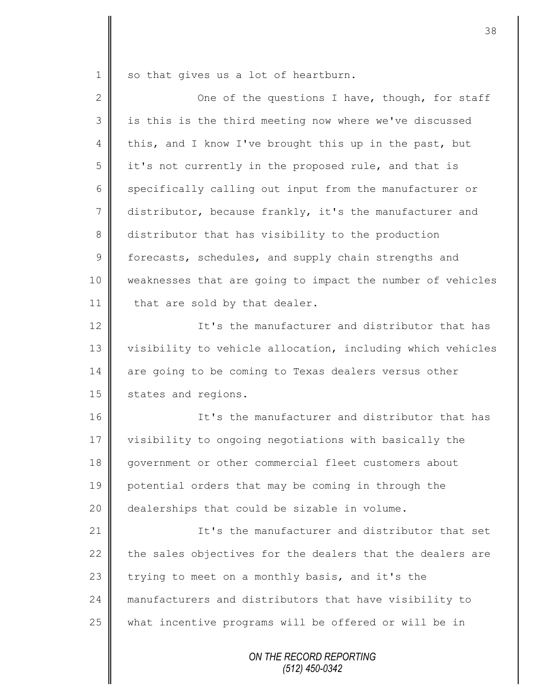1 so that gives us a lot of heartburn.

II

| 2           | One of the questions I have, though, for staff             |
|-------------|------------------------------------------------------------|
| 3           | is this is the third meeting now where we've discussed     |
| 4           | this, and I know I've brought this up in the past, but     |
| 5           | it's not currently in the proposed rule, and that is       |
| 6           | specifically calling out input from the manufacturer or    |
| 7           | distributor, because frankly, it's the manufacturer and    |
| 8           | distributor that has visibility to the production          |
| $\mathsf 9$ | forecasts, schedules, and supply chain strengths and       |
| 10          | weaknesses that are going to impact the number of vehicles |
| 11          | that are sold by that dealer.                              |
| 12          | It's the manufacturer and distributor that has             |
| 13          | visibility to vehicle allocation, including which vehicles |
| 14          | are going to be coming to Texas dealers versus other       |
| 15          | states and regions.                                        |
| 16          | It's the manufacturer and distributor that has             |
| 17          | visibility to ongoing negotiations with basically the      |
| 18          | government or other commercial fleet customers about       |
| 19          | potential orders that may be coming in through the         |
| 20          | dealerships that could be sizable in volume.               |
| 21          | It's the manufacturer and distributor that set             |
| 22          | the sales objectives for the dealers that the dealers are  |
| 23          | trying to meet on a monthly basis, and it's the            |
| 24          | manufacturers and distributors that have visibility to     |
| 25          | what incentive programs will be offered or will be in      |
|             | ON THE RECORD REPORTING<br>(512) 450-0342                  |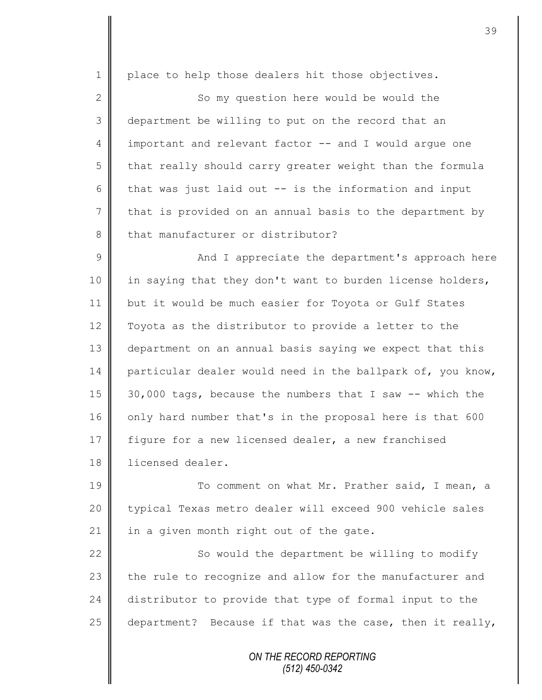1 | place to help those dealers hit those objectives. 2 || So my question here would be would the 3 department be willing to put on the record that an 4 important and relevant factor -- and I would argue one  $5 \parallel$  that really should carry greater weight than the formula 6 that was just laid out  $-$  is the information and input  $7 \parallel$  that is provided on an annual basis to the department by 8 that manufacturer or distributor? 9 || And I appreciate the department's approach here 10 | in saying that they don't want to burden license holders, 11 | but it would be much easier for Toyota or Gulf States 12 Toyota as the distributor to provide a letter to the 13 department on an annual basis saying we expect that this 14 particular dealer would need in the ballpark of, you know, 15 30,000 tags, because the numbers that I saw -- which the 16 | only hard number that's in the proposal here is that 600 17 figure for a new licensed dealer, a new franchised 18 | licensed dealer. 19 To comment on what Mr. Prather said, I mean, a 20 | typical Texas metro dealer will exceed 900 vehicle sales 21  $\parallel$  in a given month right out of the gate. 22  $\parallel$  So would the department be willing to modify 23  $\parallel$  the rule to recognize and allow for the manufacturer and 24 distributor to provide that type of formal input to the 25 department? Because if that was the case, then it really,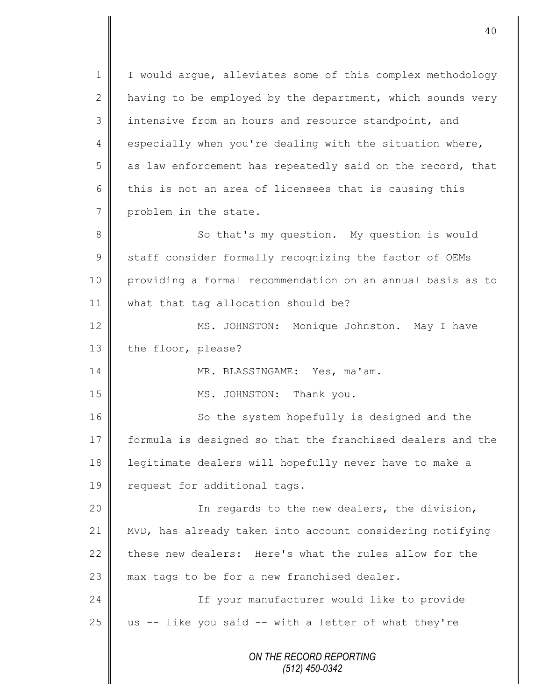*ON THE RECORD REPORTING (512) 450-0342* 1 | I would argue, alleviates some of this complex methodology 2  $\parallel$  having to be employed by the department, which sounds very 3 intensive from an hours and resource standpoint, and 4 especially when you're dealing with the situation where,  $5 \parallel$  as law enforcement has repeatedly said on the record, that 6 this is not an area of licensees that is causing this 7 problem in the state. 8 || So that's my question. My question is would 9 Staff consider formally recognizing the factor of OEMs 10 providing a formal recommendation on an annual basis as to 11 what that tag allocation should be? 12 | MS. JOHNSTON: Monique Johnston. May I have 13 the floor, please? 14 || MR. BLASSINGAME: Yes, ma'am. 15 || MS. JOHNSTON: Thank you. 16 So the system hopefully is designed and the 17 formula is designed so that the franchised dealers and the 18 legitimate dealers will hopefully never have to make a 19 | request for additional tags. 20 || In regards to the new dealers, the division, 21 MVD, has already taken into account considering notifying 22 these new dealers: Here's what the rules allow for the 23  $\parallel$  max tags to be for a new franchised dealer. 24 || If your manufacturer would like to provide 25  $\parallel$  us -- like you said -- with a letter of what they're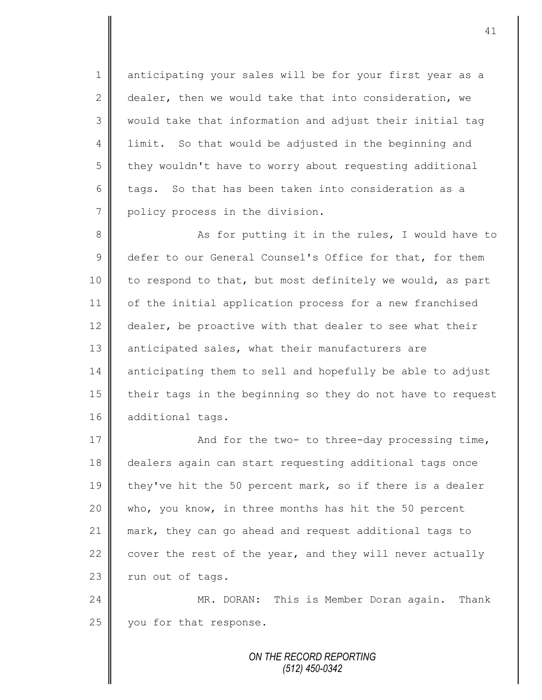1 anticipating your sales will be for your first year as a 2 dealer, then we would take that into consideration, we 3 || would take that information and adjust their initial tag 4 | limit. So that would be adjusted in the beginning and 5 they wouldn't have to worry about requesting additional 6 tags. So that has been taken into consideration as a 7 policy process in the division.

8 || As for putting it in the rules, I would have to 9 defer to our General Counsel's Office for that, for them 10 | to respond to that, but most definitely we would, as part 11 of the initial application process for a new franchised 12 dealer, be proactive with that dealer to see what their 13 anticipated sales, what their manufacturers are 14 anticipating them to sell and hopefully be able to adjust 15 | their tags in the beginning so they do not have to request 16 additional tags.

17 | And for the two- to three-day processing time, 18 dealers again can start requesting additional tags once 19 they've hit the 50 percent mark, so if there is a dealer 20 || who, you know, in three months has hit the 50 percent 21 mark, they can go ahead and request additional tags to 22  $\parallel$  cover the rest of the year, and they will never actually  $23$   $\parallel$  run out of tags.

24 MR. DORAN: This is Member Doran again. Thank 25 you for that response.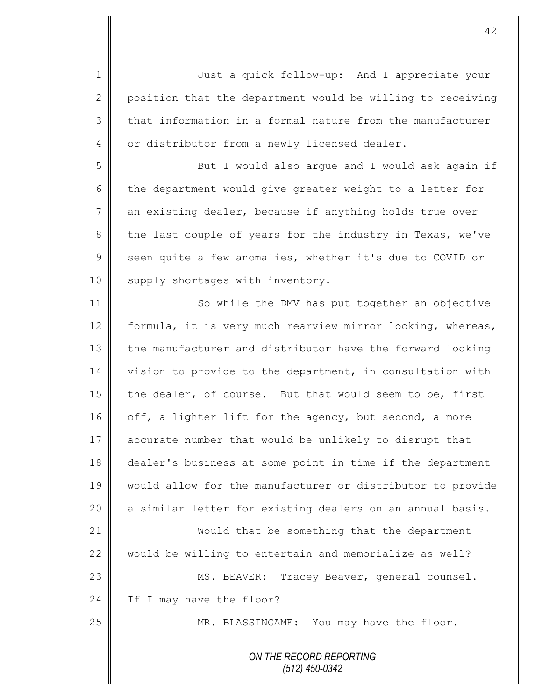1 || Just a quick follow-up: And I appreciate your 2  $\parallel$  position that the department would be willing to receiving  $3 \parallel$  that information in a formal nature from the manufacturer 4 or distributor from a newly licensed dealer.

5 But I would also arque and I would ask again if  $6 \parallel$  the department would give greater weight to a letter for 7 an existing dealer, because if anything holds true over 8 the last couple of years for the industry in Texas, we've 9 seen quite a few anomalies, whether it's due to COVID or 10 | supply shortages with inventory.

11 | So while the DMV has put together an objective 12 formula, it is very much rearview mirror looking, whereas, 13 the manufacturer and distributor have the forward looking 14 vision to provide to the department, in consultation with 15 the dealer, of course. But that would seem to be, first 16 off, a lighter lift for the agency, but second, a more 17 accurate number that would be unlikely to disrupt that 18 dealer's business at some point in time if the department 19 Would allow for the manufacturer or distributor to provide 20 a similar letter for existing dealers on an annual basis. 21 Would that be something that the department 22 would be willing to entertain and memorialize as well? 23 || MS. BEAVER: Tracey Beaver, general counsel.  $24$  | If I may have the floor? 25 || MR. BLASSINGAME: You may have the floor.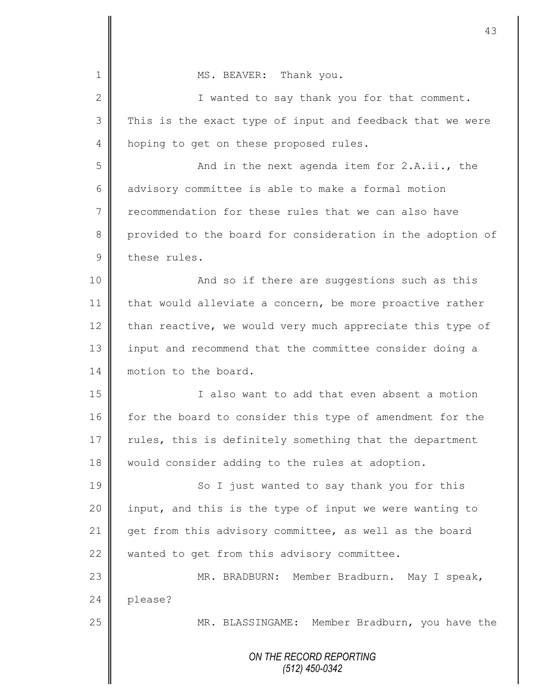|              | 43                                                         |
|--------------|------------------------------------------------------------|
| 1            | MS. BEAVER: Thank you.                                     |
|              |                                                            |
| $\mathbf{2}$ | I wanted to say thank you for that comment.                |
| 3            | This is the exact type of input and feedback that we were  |
| 4            | hoping to get on these proposed rules.                     |
| 5            | And in the next agenda item for 2.A.ii., the               |
| 6            | advisory committee is able to make a formal motion         |
| 7            | recommendation for these rules that we can also have       |
| 8            | provided to the board for consideration in the adoption of |
| 9            | these rules.                                               |
| 10           | And so if there are suggestions such as this               |
| 11           | that would alleviate a concern, be more proactive rather   |
| 12           | than reactive, we would very much appreciate this type of  |
| 13           | input and recommend that the committee consider doing a    |
| 14           | motion to the board.                                       |
| 15           | I also want to add that even absent a motion               |
| 16           | for the board to consider this type of amendment for the   |
| 17           | rules, this is definitely something that the department    |
| 18           | would consider adding to the rules at adoption.            |
| 19           | So I just wanted to say thank you for this                 |
| 20           | input, and this is the type of input we were wanting to    |
| 21           | get from this advisory committee, as well as the board     |
| 22           | wanted to get from this advisory committee.                |
| 23           | MR. BRADBURN: Member Bradburn. May I speak,                |
| 24           | please?                                                    |
| 25           | MR. BLASSINGAME: Member Bradburn, you have the             |
|              | ON THE RECORD REPORTING<br>$(512)$ 450-0342                |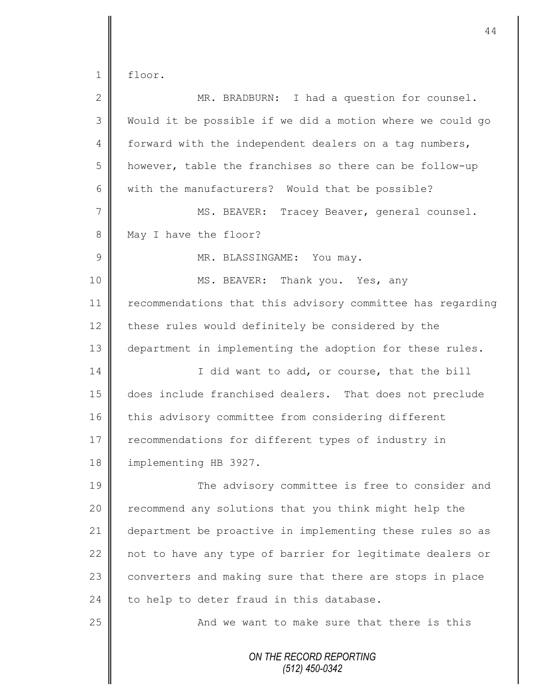1 floor.

| $\mathbf{2}$   | MR. BRADBURN: I had a question for counsel.                |
|----------------|------------------------------------------------------------|
| 3              | Would it be possible if we did a motion where we could go  |
| $\overline{4}$ | forward with the independent dealers on a tag numbers,     |
| 5              | however, table the franchises so there can be follow-up    |
| 6              | with the manufacturers? Would that be possible?            |
|                |                                                            |
| 7              | MS. BEAVER: Tracey Beaver, general counsel.                |
| $8\,$          | May I have the floor?                                      |
| $\mathcal{G}$  | MR. BLASSINGAME: You may.                                  |
| 10             | MS. BEAVER: Thank you. Yes, any                            |
| 11             | recommendations that this advisory committee has regarding |
| 12             | these rules would definitely be considered by the          |
| 13             | department in implementing the adoption for these rules.   |
| 14             | I did want to add, or course, that the bill                |
| 15             | does include franchised dealers. That does not preclude    |
| 16             | this advisory committee from considering different         |
| 17             | recommendations for different types of industry in         |
| 18             | implementing HB 3927.                                      |
| 19             | The advisory committee is free to consider and             |
| 20             | recommend any solutions that you think might help the      |
| 21             | department be proactive in implementing these rules so as  |
| 22             | not to have any type of barrier for legitimate dealers or  |
| 23             | converters and making sure that there are stops in place   |
| 24             | to help to deter fraud in this database.                   |
| 25             | And we want to make sure that there is this                |
|                | ON THE RECORD REPORTING<br>$(512)$ 450-0342                |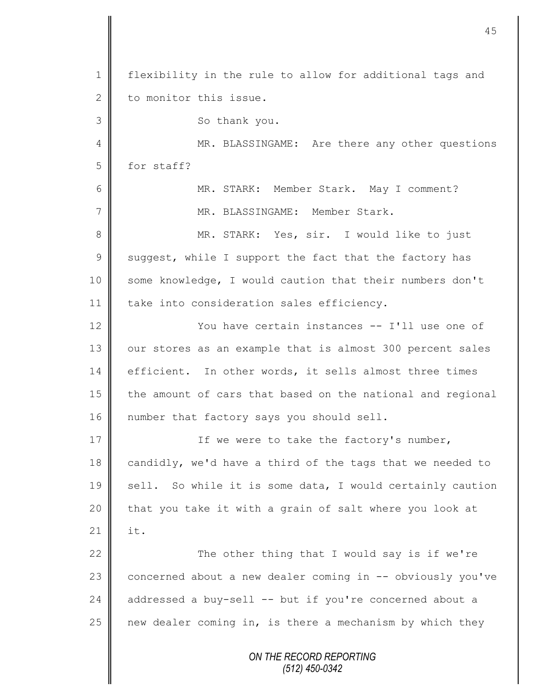*ON THE RECORD REPORTING (512) 450-0342* 1 | flexibility in the rule to allow for additional tags and 2 to monitor this issue. 3 || So thank you. 4 || MR. BLASSINGAME: Are there any other questions 5 for staff? 6 MR. STARK: Member Stark. May I comment? 7 | MR. BLASSINGAME: Member Stark. 8 || MR. STARK: Yes, sir. I would like to just 9 Suggest, while I support the fact that the factory has 10 | some knowledge, I would caution that their numbers don't 11 | take into consideration sales efficiency. 12 **W** You have certain instances -- I'll use one of 13 | our stores as an example that is almost 300 percent sales 14 efficient. In other words, it sells almost three times 15 the amount of cars that based on the national and regional 16 | number that factory says you should sell. 17 | The were to take the factory's number, 18 candidly, we'd have a third of the tags that we needed to 19 sell. So while it is some data, I would certainly caution  $20$  | that you take it with a grain of salt where you look at  $21$   $\parallel$  it. 22  $\parallel$  The other thing that I would say is if we're 23 concerned about a new dealer coming in -- obviously you've 24 addressed a buy-sell -- but if you're concerned about a 25  $\parallel$  new dealer coming in, is there a mechanism by which they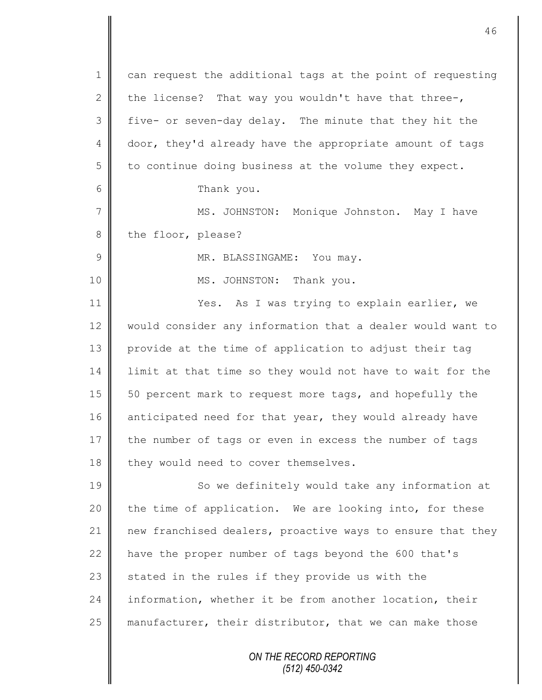*ON THE RECORD REPORTING (512) 450-0342* 1 can request the additional tags at the point of requesting 2 the license? That way you wouldn't have that three-, 3 five- or seven-day delay. The minute that they hit the 4 door, they'd already have the appropriate amount of tags  $5 \parallel$  to continue doing business at the volume they expect. 6 Thank you. 7 || MS. JOHNSTON: Monique Johnston. May I have 8 the floor, please? 9 MR. BLASSINGAME: You may. 10 || MS. JOHNSTON: Thank you. 11 | Yes. As I was trying to explain earlier, we 12 would consider any information that a dealer would want to 13 provide at the time of application to adjust their tag 14 I limit at that time so they would not have to wait for the 15 | 50 percent mark to request more tags, and hopefully the 16 anticipated need for that year, they would already have 17 the number of tags or even in excess the number of tags  $18$  | they would need to cover themselves. 19 So we definitely would take any information at  $20$  | the time of application. We are looking into, for these 21 new franchised dealers, proactive ways to ensure that they 22  $\parallel$  have the proper number of tags beyond the 600 that's  $23$  stated in the rules if they provide us with the 24 information, whether it be from another location, their 25 manufacturer, their distributor, that we can make those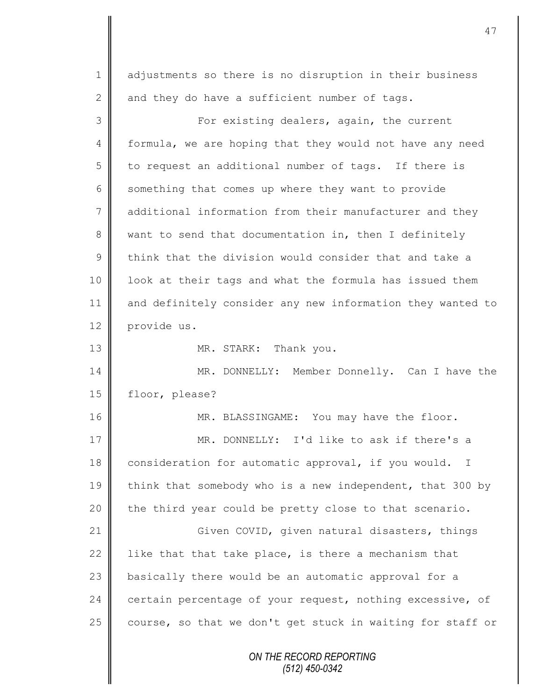| $\mathbf 1$    | adjustments so there is no disruption in their business             |
|----------------|---------------------------------------------------------------------|
| $\mathbf{2}$   | and they do have a sufficient number of tags.                       |
| 3              | For existing dealers, again, the current                            |
| $\overline{4}$ | formula, we are hoping that they would not have any need            |
| 5              | to request an additional number of tags. If there is                |
| 6              | something that comes up where they want to provide                  |
| $\overline{7}$ | additional information from their manufacturer and they             |
| 8              | want to send that documentation in, then I definitely               |
| $\mathcal{G}$  | think that the division would consider that and take a              |
| $10$           | look at their tags and what the formula has issued them             |
| 11             | and definitely consider any new information they wanted to          |
| 12             | provide us.                                                         |
| 13             | MR. STARK: Thank you.                                               |
| 14             | MR. DONNELLY: Member Donnelly. Can I have the                       |
| 15             | floor, please?                                                      |
| 16             | MR. BLASSINGAME: You may have the floor.                            |
| 17             | MR. DONNELLY: I'd like to ask if there's a                          |
| 18             | consideration for automatic approval, if you would.<br>$\mathbb{I}$ |
| 19             | think that somebody who is a new independent, that 300 by           |
| 20             | the third year could be pretty close to that scenario.              |
| 21             | Given COVID, given natural disasters, things                        |
| 22             | like that that take place, is there a mechanism that                |
| 23             | basically there would be an automatic approval for a                |
| 24             | certain percentage of your request, nothing excessive, of           |
| 25             | course, so that we don't get stuck in waiting for staff or          |
|                | ON THE RECORD REPORTING<br>$(512)$ 450-0342                         |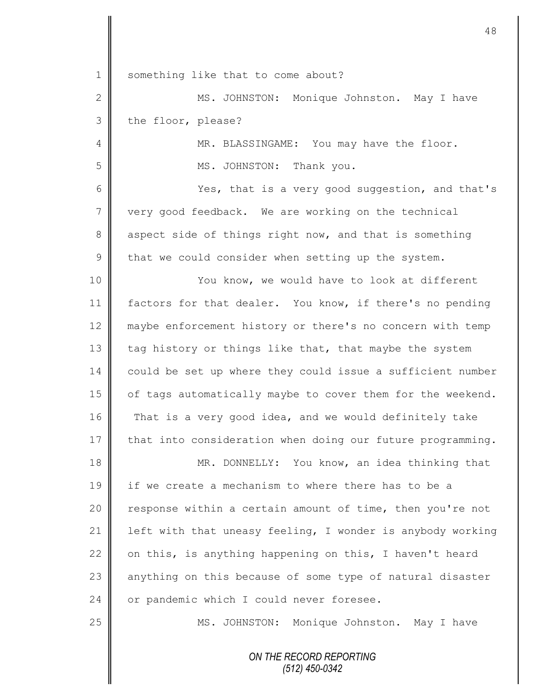| $\mathbf 1$     | something like that to come about?                         |
|-----------------|------------------------------------------------------------|
| $\mathbf{2}$    | MS. JOHNSTON: Monique Johnston. May I have                 |
| 3               | the floor, please?                                         |
| 4               | MR. BLASSINGAME: You may have the floor.                   |
| 5               | MS. JOHNSTON: Thank you.                                   |
| 6               | Yes, that is a very good suggestion, and that's            |
| $7\phantom{.0}$ | very good feedback. We are working on the technical        |
| $8\,$           | aspect side of things right now, and that is something     |
| $\mathcal{G}$   | that we could consider when setting up the system.         |
| 10              | You know, we would have to look at different               |
| 11              | factors for that dealer. You know, if there's no pending   |
| 12              | maybe enforcement history or there's no concern with temp  |
| 13              | tag history or things like that, that maybe the system     |
| 14              | could be set up where they could issue a sufficient number |
| 15              | of tags automatically maybe to cover them for the weekend. |
| 16              | That is a very good idea, and we would definitely take     |
| 17              | that into consideration when doing our future programming. |
| 18              | MR. DONNELLY: You know, an idea thinking that              |
| 19              | if we create a mechanism to where there has to be a        |
| 20              | response within a certain amount of time, then you're not  |
| 21              | left with that uneasy feeling, I wonder is anybody working |
| 22              | on this, is anything happening on this, I haven't heard    |
| 23              | anything on this because of some type of natural disaster  |
| 24              | or pandemic which I could never foresee.                   |
| 25              | MS. JOHNSTON: Monique Johnston. May I have                 |
|                 | ON THE RECORD REPORTING<br>$(512)$ $A50.0312$              |

 $\mathbf l$ ∥

 $\mathbf \mathsf I$ 

*(512) 450-0342*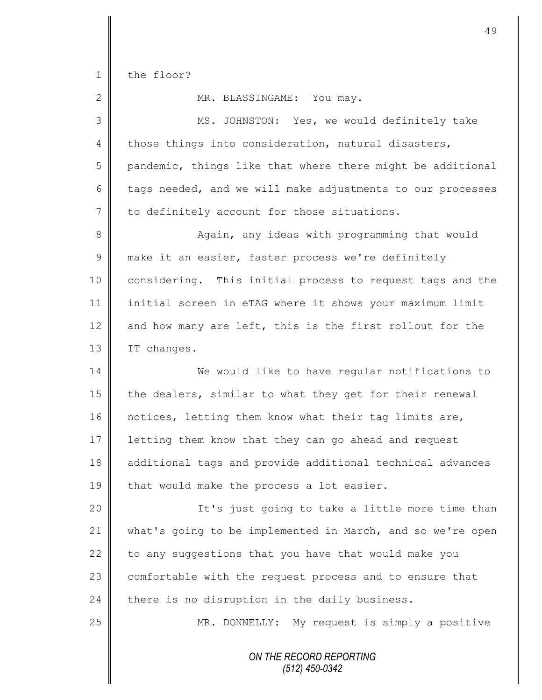1 the floor?

II

| $\mathbf{2}$   | MR. BLASSINGAME: You may.                                  |
|----------------|------------------------------------------------------------|
| 3              | MS. JOHNSTON: Yes, we would definitely take                |
| 4              | those things into consideration, natural disasters,        |
| 5              | pandemic, things like that where there might be additional |
| 6              | tags needed, and we will make adjustments to our processes |
| $7\phantom{.}$ | to definitely account for those situations.                |
| $\,8\,$        | Again, any ideas with programming that would               |
| $\mathcal{G}$  | make it an easier, faster process we're definitely         |
| 10             | considering. This initial process to request tags and the  |
| 11             | initial screen in eTAG where it shows your maximum limit   |
| 12             | and how many are left, this is the first rollout for the   |
| 13             | IT changes.                                                |
| 14             | We would like to have regular notifications to             |
| 15             | the dealers, similar to what they get for their renewal    |
| 16             | notices, letting them know what their tag limits are,      |
| 17             | letting them know that they can go ahead and request       |
| 18             | additional tags and provide additional technical advances  |
| 19             | that would make the process a lot easier.                  |
| 20             | It's just going to take a little more time than            |
| 21             | what's going to be implemented in March, and so we're open |
| 22             | to any suggestions that you have that would make you       |
| 23             | comfortable with the request process and to ensure that    |
| 24             | there is no disruption in the daily business.              |
| 25             | MR. DONNELLY: My request is simply a positive              |
|                | ON THE RECORD REPORTING<br>(512) 450-0342                  |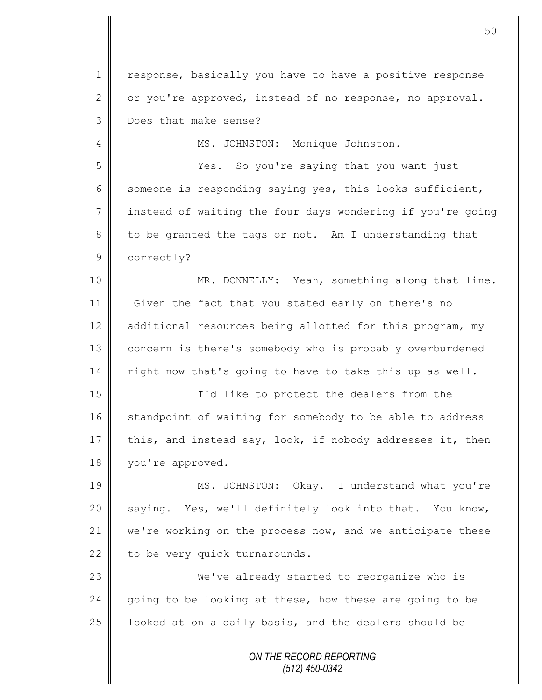1 | response, basically you have to have a positive response 2 or you're approved, instead of no response, no approval. 3 Does that make sense?

4 || MS. JOHNSTON: Monique Johnston.

5 Yes. So you're saying that you want just 6 some one is responding saying yes, this looks sufficient, 7 | instead of waiting the four days wondering if you're going  $8 \parallel$  to be granted the tags or not. Am I understanding that 9 correctly?

10 || MR. DONNELLY: Yeah, something along that line. 11 Given the fact that you stated early on there's no 12 additional resources being allotted for this program, my 13 | concern is there's somebody who is probably overburdened  $14$  right now that's going to have to take this up as well.

15 I'd like to protect the dealers from the 16 standpoint of waiting for somebody to be able to address 17 this, and instead say, look, if nobody addresses it, then 18 vou're approved.

19 MS. JOHNSTON: Okay. I understand what you're 20 saying. Yes, we'll definitely look into that. You know, 21 we're working on the process now, and we anticipate these 22  $\parallel$  to be very quick turnarounds.

23 We've already started to reorganize who is 24 going to be looking at these, how these are going to be 25  $\parallel$  looked at on a daily basis, and the dealers should be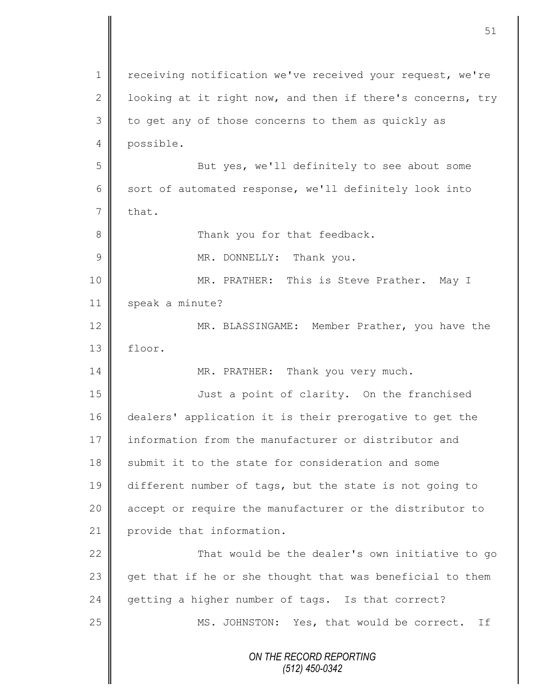|             | 51                                                         |
|-------------|------------------------------------------------------------|
| 1           | receiving notification we've received your request, we're  |
| 2           | looking at it right now, and then if there's concerns, try |
| 3           | to get any of those concerns to them as quickly as         |
| 4           | possible.                                                  |
| 5           | But yes, we'll definitely to see about some                |
| 6           | sort of automated response, we'll definitely look into     |
| 7           | that.                                                      |
| 8           | Thank you for that feedback.                               |
| $\mathsf 9$ | MR. DONNELLY: Thank you.                                   |
| 10          | MR. PRATHER: This is Steve Prather. May I                  |
| 11          | speak a minute?                                            |
| 12          | MR. BLASSINGAME: Member Prather, you have the              |
| 13          | floor.                                                     |
| 14          | MR. PRATHER: Thank you very much.                          |
| 15          | Just a point of clarity. On the franchised                 |
| 16          | dealers' application it is their prerogative to get the    |
| 17          | information from the manufacturer or distributor and       |
| 18          | submit it to the state for consideration and some          |
| 19          | different number of tags, but the state is not going to    |
| 20          | accept or require the manufacturer or the distributor to   |
| 21          | provide that information.                                  |
| 22          | That would be the dealer's own initiative to go            |
| 23          | get that if he or she thought that was beneficial to them  |
| 24          | getting a higher number of tags. Is that correct?          |
| 25          | MS. JOHNSTON: Yes, that would be correct. If               |
|             | ON THE RECORD REPORTING<br>(512) 450-0342                  |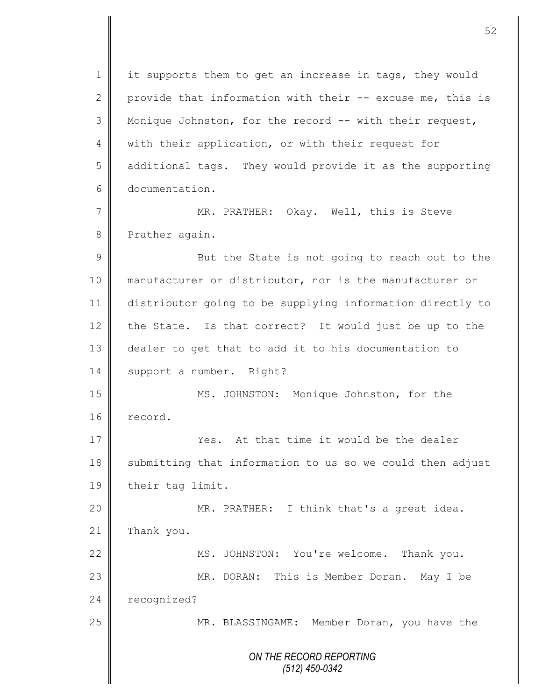*ON THE RECORD REPORTING (512) 450-0342* 1 | it supports them to get an increase in tags, they would 2 provide that information with their  $-$  excuse me, this is 3 Monique Johnston, for the record -- with their request, 4 | with their application, or with their request for 5 additional tags. They would provide it as the supporting 6 documentation. 7 MR. PRATHER: Okay. Well, this is Steve 8 Prather again. 9 || But the State is not going to reach out to the 10 manufacturer or distributor, nor is the manufacturer or 11 distributor going to be supplying information directly to 12 the State. Is that correct? It would just be up to the 13 dealer to get that to add it to his documentation to 14 support a number. Right? 15 | MS. JOHNSTON: Monique Johnston, for the 16 record. 17 **Wes.** At that time it would be the dealer 18 | submitting that information to us so we could then adjust 19 | their tag limit. 20 MR. PRATHER: I think that's a great idea.  $21$  Thank you. 22 MS. JOHNSTON: You're welcome. Thank you. 23 || MR. DORAN: This is Member Doran. May I be 24 recognized? 25 | MR. BLASSINGAME: Member Doran, you have the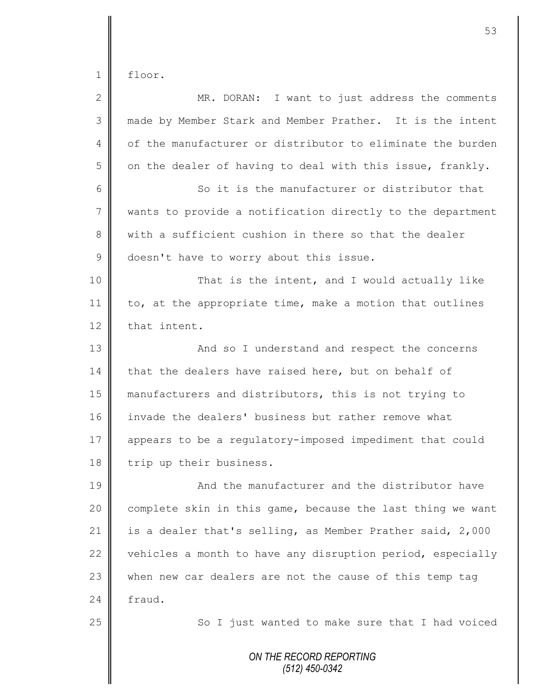1 floor.

| $\overline{2}$ | MR. DORAN: I want to just address the comments             |
|----------------|------------------------------------------------------------|
| 3              | made by Member Stark and Member Prather. It is the intent  |
| 4              | of the manufacturer or distributor to eliminate the burden |
| 5              | on the dealer of having to deal with this issue, frankly.  |
| 6              | So it is the manufacturer or distributor that              |
| 7              | wants to provide a notification directly to the department |
| 8              | with a sufficient cushion in there so that the dealer      |
| 9              | doesn't have to worry about this issue.                    |
| 10             | That is the intent, and I would actually like              |
| 11             | to, at the appropriate time, make a motion that outlines   |
| 12             | that intent.                                               |
| 13             | And so I understand and respect the concerns               |
| 14             | that the dealers have raised here, but on behalf of        |
| 15             | manufacturers and distributors, this is not trying to      |
| 16             | invade the dealers' business but rather remove what        |
| 17             | appears to be a regulatory-imposed impediment that could   |
| 18             | trip up their business.                                    |
| 19             | And the manufacturer and the distributor have              |
| 20             | complete skin in this game, because the last thing we want |
| 21             | is a dealer that's selling, as Member Prather said, 2,000  |
| 22             | vehicles a month to have any disruption period, especially |
| 23             | when new car dealers are not the cause of this temp tag    |
| 24             | fraud.                                                     |
| 25             | So I just wanted to make sure that I had voiced            |
|                | ON THE RECORD REPORTING<br>(512) 450-0342                  |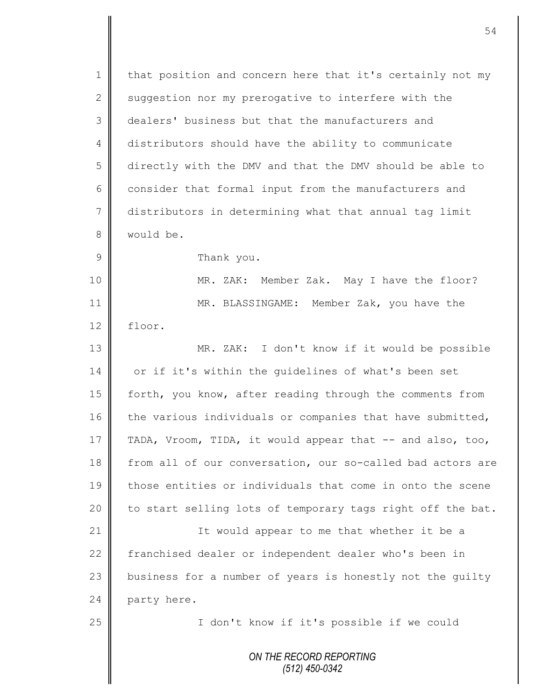1 | that position and concern here that it's certainly not my 2  $\parallel$  suggestion nor my prerogative to interfere with the 3 dealers' business but that the manufacturers and 4 distributors should have the ability to communicate 5 directly with the DMV and that the DMV should be able to 6 consider that formal input from the manufacturers and 7 distributors in determining what that annual tag limit 8 | would be. 9 **B** Thank you. 10 MR. ZAK: Member Zak. May I have the floor? 11 MR. BLASSINGAME: Member Zak, you have the 12 floor. 13 MR. ZAK: I don't know if it would be possible 14 or if it's within the quidelines of what's been set 15 | forth, you know, after reading through the comments from

16 the various individuals or companies that have submitted, 17 TADA, Vroom, TIDA, it would appear that -- and also, too, 18 from all of our conversation, our so-called bad actors are 19 those entities or individuals that come in onto the scene 20  $\parallel$  to start selling lots of temporary tags right off the bat.

21 || The Would appear to me that whether it be a 22 Franchised dealer or independent dealer who's been in  $23$  business for a number of years is honestly not the quilty 24 party here.

25 || I don't know if it's possible if we could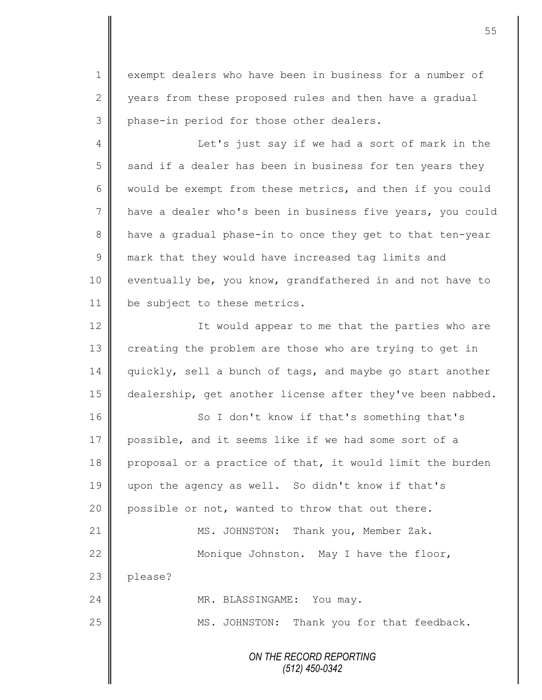1 exempt dealers who have been in business for a number of 2 vears from these proposed rules and then have a gradual 3 phase-in period for those other dealers.

4 || Let's just say if we had a sort of mark in the  $5 \parallel$  sand if a dealer has been in business for ten years they 6 would be exempt from these metrics, and then if you could 7 have a dealer who's been in business five years, you could 8 have a gradual phase-in to once they get to that ten-year 9 mark that they would have increased tag limits and 10 eventually be, you know, grandfathered in and not have to 11 | be subject to these metrics.

12 | It would appear to me that the parties who are 13 creating the problem are those who are trying to get in 14 quickly, sell a bunch of tags, and maybe go start another 15 dealership, get another license after they've been nabbed.

16 || So I don't know if that's something that's 17 possible, and it seems like if we had some sort of a 18 proposal or a practice of that, it would limit the burden 19 upon the agency as well. So didn't know if that's 20 | possible or not, wanted to throw that out there. 21 | MS. JOHNSTON: Thank you, Member Zak. 22 Monique Johnston. May I have the floor, 23 | please? 24 | MR. BLASSINGAME: You may. 25 MS. JOHNSTON: Thank you for that feedback.

> *ON THE RECORD REPORTING (512) 450-0342*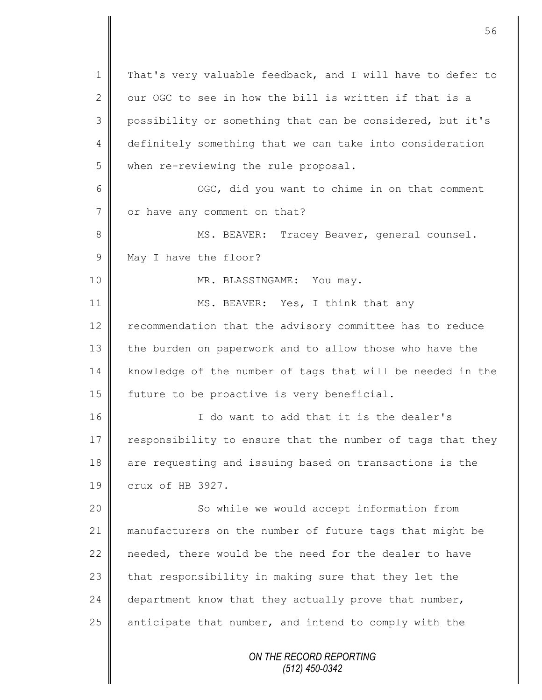*ON THE RECORD REPORTING (512) 450-0342* 1 | That's very valuable feedback, and I will have to defer to 2 | our OGC to see in how the bill is written if that is a 3 possibility or something that can be considered, but it's 4 definitely something that we can take into consideration 5 when re-reviewing the rule proposal. 6 OGC, did you want to chime in on that comment 7 or have any comment on that? 8 || MS. BEAVER: Tracey Beaver, general counsel. 9 May I have the floor? 10 || MR. BLASSINGAME: You may. 11 MS. BEAVER: Yes, I think that any 12 | recommendation that the advisory committee has to reduce 13 the burden on paperwork and to allow those who have the 14 knowledge of the number of tags that will be needed in the 15 | future to be proactive is very beneficial. 16 I do want to add that it is the dealer's 17 responsibility to ensure that the number of tags that they 18 are requesting and issuing based on transactions is the 19 crux of HB 3927. 20 || So while we would accept information from 21 || manufacturers on the number of future tags that might be 22  $\parallel$  needed, there would be the need for the dealer to have 23  $\parallel$  that responsibility in making sure that they let the 24 department know that they actually prove that number, 25  $\parallel$  anticipate that number, and intend to comply with the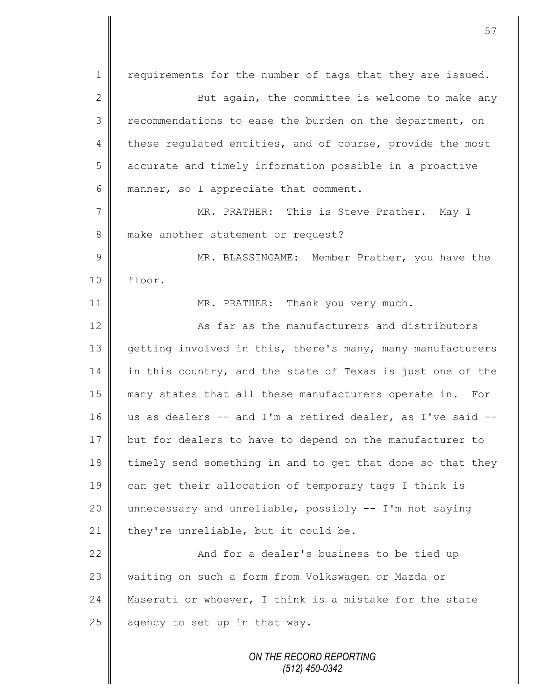1 | requirements for the number of tags that they are issued. 2 ||<br>
2 || 3 recommendations to ease the burden on the department, on 4 these regulated entities, and of course, provide the most 5 accurate and timely information possible in a proactive 6 manner, so I appreciate that comment. 7 MR. PRATHER: This is Steve Prather. May I 8 make another statement or request? 9 || MR. BLASSINGAME: Member Prather, you have the 10 floor. 11 MR. PRATHER: Thank you very much. 12 **As far as the manufacturers and distributors** 13 getting involved in this, there's many, many manufacturers 14 in this country, and the state of Texas is just one of the 15 many states that all these manufacturers operate in. For 16 us as dealers -- and I'm a retired dealer, as I've said -- 17 but for dealers to have to depend on the manufacturer to 18 timely send something in and to get that done so that they 19 can get their allocation of temporary tags I think is 20 unnecessary and unreliable, possibly -- I'm not saying 21 they're unreliable, but it could be. 22 | And for a dealer's business to be tied up 23 waiting on such a form from Volkswagen or Mazda or 24 Maserati or whoever, I think is a mistake for the state 25  $\parallel$  agency to set up in that way.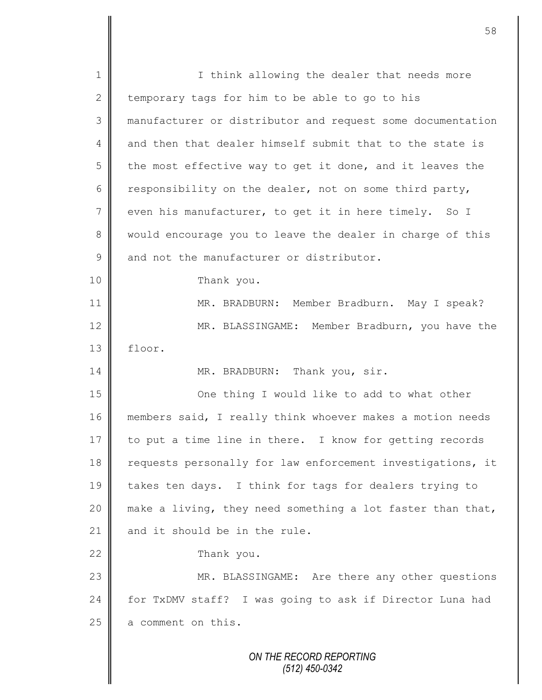| $\mathbf 1$   | I think allowing the dealer that needs more                |
|---------------|------------------------------------------------------------|
| $\mathbf{2}$  | temporary tags for him to be able to go to his             |
| 3             | manufacturer or distributor and request some documentation |
| 4             | and then that dealer himself submit that to the state is   |
| 5             | the most effective way to get it done, and it leaves the   |
| 6             | responsibility on the dealer, not on some third party,     |
| 7             | even his manufacturer, to get it in here timely. So I      |
| 8             | would encourage you to leave the dealer in charge of this  |
| $\mathcal{G}$ | and not the manufacturer or distributor.                   |
| 10            | Thank you.                                                 |
| 11            | MR. BRADBURN: Member Bradburn. May I speak?                |
| 12            | MR. BLASSINGAME: Member Bradburn, you have the             |
| 13            | floor.                                                     |
| 14            | MR. BRADBURN: Thank you, sir.                              |
| 15            | One thing I would like to add to what other                |
| 16            | members said, I really think whoever makes a motion needs  |
| 17            | to put a time line in there. I know for getting records    |
| 18            | requests personally for law enforcement investigations, it |
| 19            | takes ten days. I think for tags for dealers trying to     |
| 20            | make a living, they need something a lot faster than that, |
| 21            | and it should be in the rule.                              |
| 22            | Thank you.                                                 |
| 23            | MR. BLASSINGAME: Are there any other questions             |
| 24            | for TxDMV staff? I was going to ask if Director Luna had   |
| 25            | a comment on this.                                         |
|               |                                                            |
|               | ON THE RECORD REPORTING                                    |

*(512) 450-0342*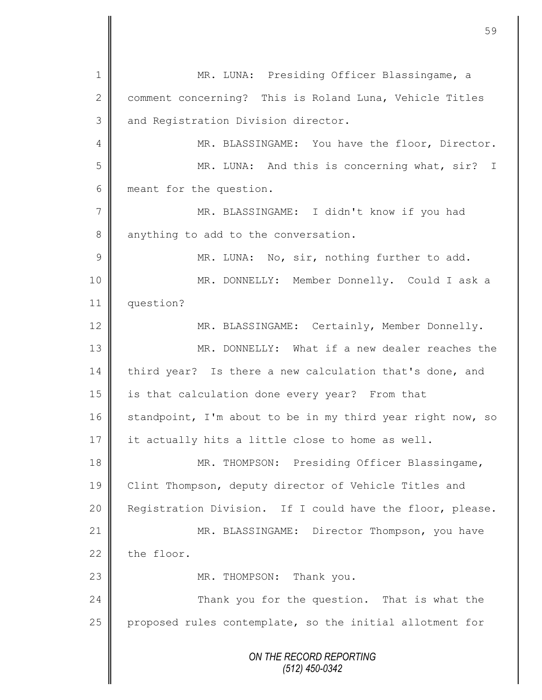*ON THE RECORD REPORTING (512) 450-0342* 1 || MR. LUNA: Presiding Officer Blassingame, a 2 comment concerning? This is Roland Luna, Vehicle Titles 3 and Registration Division director. 4 MR. BLASSINGAME: You have the floor, Director. 5 || MR. LUNA: And this is concerning what, sir? I 6 meant for the question. 7 MR. BLASSINGAME: I didn't know if you had 8 anything to add to the conversation. 9 || MR. LUNA: No, sir, nothing further to add. 10 MR. DONNELLY: Member Donnelly. Could I ask a 11 question? 12 | MR. BLASSINGAME: Certainly, Member Donnelly. 13 MR. DONNELLY: What if a new dealer reaches the 14 third year? Is there a new calculation that's done, and 15 | is that calculation done every year? From that 16 standpoint, I'm about to be in my third year right now, so 17 it actually hits a little close to home as well. 18 || MR. THOMPSON: Presiding Officer Blassingame, 19 | Clint Thompson, deputy director of Vehicle Titles and 20 | Registration Division. If I could have the floor, please. 21 | MR. BLASSINGAME: Director Thompson, you have  $22$  the floor. 23 || MR. THOMPSON: Thank you. 24 | Chank you for the question. That is what the 25 proposed rules contemplate, so the initial allotment for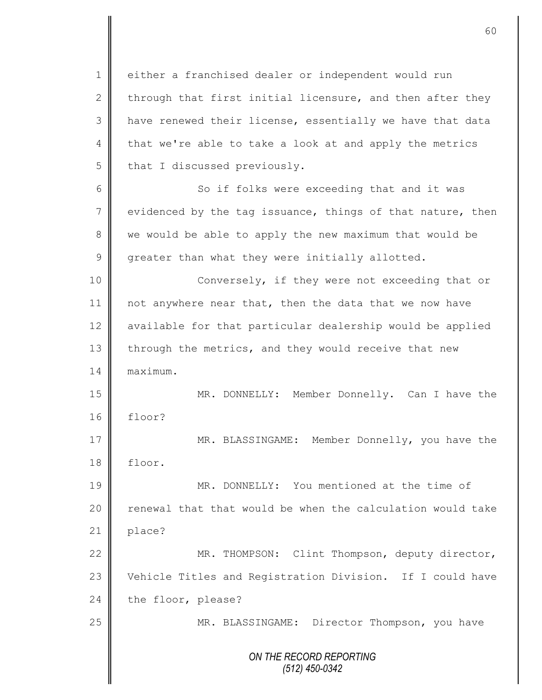1 either a franchised dealer or independent would run 2 through that first initial licensure, and then after they 3 | have renewed their license, essentially we have that data 4 that we're able to take a look at and apply the metrics  $5$  | that I discussed previously.

6 || So if folks were exceeding that and it was  $7 \parallel$  evidenced by the tag issuance, things of that nature, then 8 we would be able to apply the new maximum that would be  $9 \parallel$  greater than what they were initially allotted.

10 | Conversely, if they were not exceeding that or 11 | not anywhere near that, then the data that we now have 12 available for that particular dealership would be applied 13 through the metrics, and they would receive that new 14 maximum.

15 MR. DONNELLY: Member Donnelly. Can I have the 16 floor? 17 MR. BLASSINGAME: Member Donnelly, you have the

18 floor.

19 MR. DONNELLY: You mentioned at the time of 20  $\parallel$  renewal that that would be when the calculation would take 21 | place?

22 | MR. THOMPSON: Clint Thompson, deputy director, 23 Vehicle Titles and Registration Division. If I could have  $24$  the floor, please?

25 | MR. BLASSINGAME: Director Thompson, you have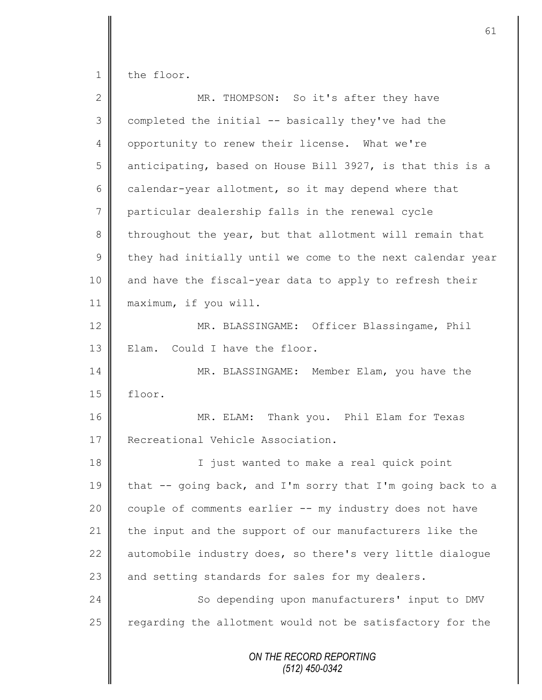1 the floor.

| $\overline{2}$ | MR. THOMPSON: So it's after they have                      |
|----------------|------------------------------------------------------------|
| 3              | completed the initial -- basically they've had the         |
| $\overline{4}$ | opportunity to renew their license. What we're             |
| 5              | anticipating, based on House Bill 3927, is that this is a  |
| 6              | calendar-year allotment, so it may depend where that       |
| $\overline{7}$ | particular dealership falls in the renewal cycle           |
| 8              | throughout the year, but that allotment will remain that   |
| 9              | they had initially until we come to the next calendar year |
| 10             | and have the fiscal-year data to apply to refresh their    |
| 11             | maximum, if you will.                                      |
| 12             | MR. BLASSINGAME: Officer Blassingame, Phil                 |
| 13             | Could I have the floor.<br>Elam.                           |
| 14             | MR. BLASSINGAME: Member Elam, you have the                 |
| 15             | floor.                                                     |
| 16             | MR. ELAM: Thank you. Phil Elam for Texas                   |
| 17             | Recreational Vehicle Association.                          |
| 18             | I just wanted to make a real quick point                   |
| 19             | that -- going back, and I'm sorry that I'm going back to a |
| 20             | couple of comments earlier -- my industry does not have    |
| 21             | the input and the support of our manufacturers like the    |
| 22             | automobile industry does, so there's very little dialoque  |
| 23             | and setting standards for sales for my dealers.            |
| 24             | So depending upon manufacturers' input to DMV              |
| 25             | regarding the allotment would not be satisfactory for the  |
|                | ON THE RECORD REPORTING<br>$(512)$ 450-0342                |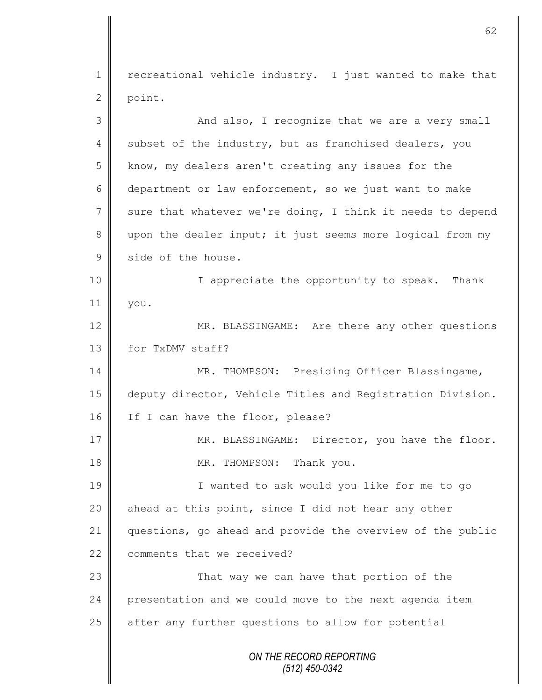1 | recreational vehicle industry. I just wanted to make that 2 point.

*ON THE RECORD REPORTING (512) 450-0342* 3 || And also, I recognize that we are a very small 4 subset of the industry, but as franchised dealers, you  $5 \parallel$  know, my dealers aren't creating any issues for the 6 department or law enforcement, so we just want to make  $7 \parallel$  sure that whatever we're doing, I think it needs to depend 8 upon the dealer input; it just seems more logical from my 9 side of the house. 10 || I appreciate the opportunity to speak. Thank 11 you. 12 MR. BLASSINGAME: Are there any other questions 13 for TxDMV staff? 14 || MR. THOMPSON: Presiding Officer Blassingame, 15 deputy director, Vehicle Titles and Registration Division. 16 If I can have the floor, please? 17 | MR. BLASSINGAME: Director, you have the floor. 18 || MR. THOMPSON: Thank you. 19 I wanted to ask would you like for me to go 20 ahead at this point, since I did not hear any other 21 questions, go ahead and provide the overview of the public 22 comments that we received? 23 | That way we can have that portion of the 24 presentation and we could move to the next agenda item 25 | after any further questions to allow for potential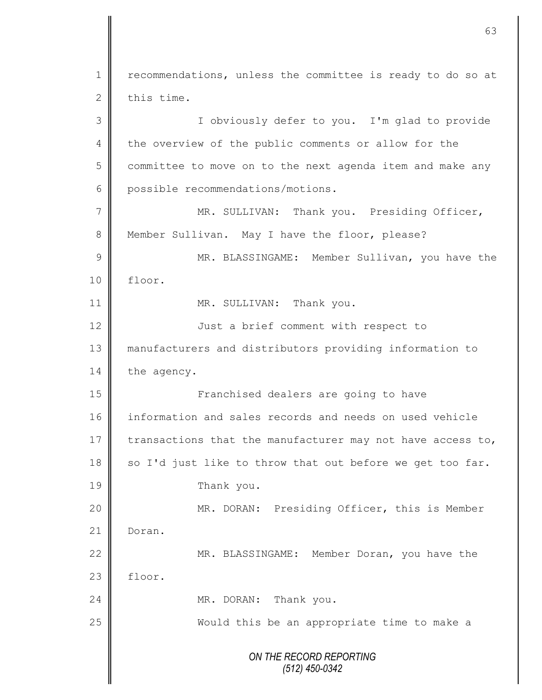*ON THE RECORD REPORTING (512) 450-0342* 1 | recommendations, unless the committee is ready to do so at  $2 \parallel$  this time. 3 I obviously defer to you. I'm glad to provide 4 the overview of the public comments or allow for the  $5 \parallel$  committee to move on to the next agenda item and make any 6 possible recommendations/motions. 7 MR. SULLIVAN: Thank you. Presiding Officer, 8 Member Sullivan. May I have the floor, please? 9 || MR. BLASSINGAME: Member Sullivan, you have the 10 floor. 11 || MR. SULLIVAN: Thank you. 12 | Just a brief comment with respect to 13 manufacturers and distributors providing information to 14 the agency. 15 || **Franchised dealers are going to have** 16 information and sales records and needs on used vehicle 17 transactions that the manufacturer may not have access to, 18  $\parallel$  so I'd just like to throw that out before we get too far. 19 Thank you. 20 || MR. DORAN: Presiding Officer, this is Member 21 Doran. 22 MR. BLASSINGAME: Member Doran, you have the  $23$  | floor. 24 MR. DORAN: Thank you. 25 || Would this be an appropriate time to make a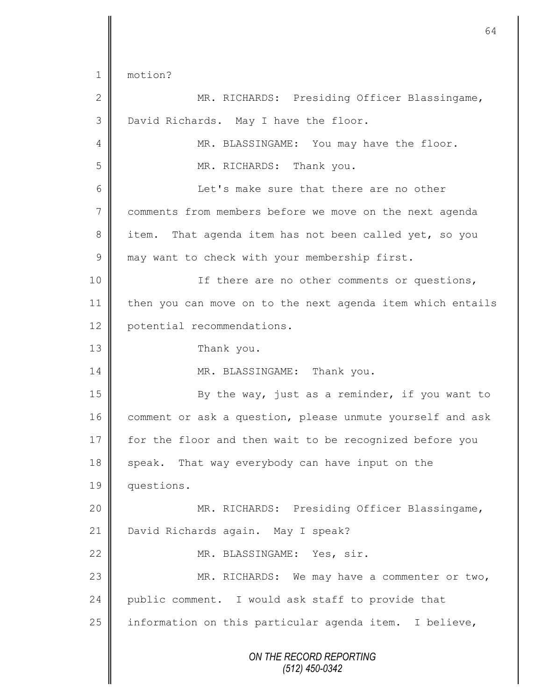|                 | 64                                                         |
|-----------------|------------------------------------------------------------|
| 1               | motion?                                                    |
| 2               | MR. RICHARDS: Presiding Officer Blassingame,               |
| 3               | David Richards. May I have the floor.                      |
| 4               | MR. BLASSINGAME: You may have the floor.                   |
| 5               | MR. RICHARDS: Thank you.                                   |
| 6               | Let's make sure that there are no other                    |
| $7\phantom{.0}$ | comments from members before we move on the next agenda    |
| 8               | That agenda item has not been called yet, so you<br>item.  |
| $\mathcal{G}$   | may want to check with your membership first.              |
| 10              | If there are no other comments or questions,               |
| 11              | then you can move on to the next agenda item which entails |
| 12              |                                                            |
| 13              | potential recommendations.                                 |
| 14              | Thank you.                                                 |
|                 | MR. BLASSINGAME: Thank you.                                |
| 15              | By the way, just as a reminder, if you want to             |
| 16              | comment or ask a question, please unmute yourself and ask  |
| 17              | for the floor and then wait to be recognized before you    |
| 18              | speak. That way everybody can have input on the            |
| 19              | questions.                                                 |
| 20              | MR. RICHARDS: Presiding Officer Blassingame,               |
| 21              | David Richards again. May I speak?                         |
| 22              | MR. BLASSINGAME: Yes, sir.                                 |
| 23              | MR. RICHARDS: We may have a commenter or two,              |
| 24              | public comment. I would ask staff to provide that          |
| 25              | information on this particular agenda item. I believe,     |
|                 | ON THE RECORD REPORTING<br>(512) 450-0342                  |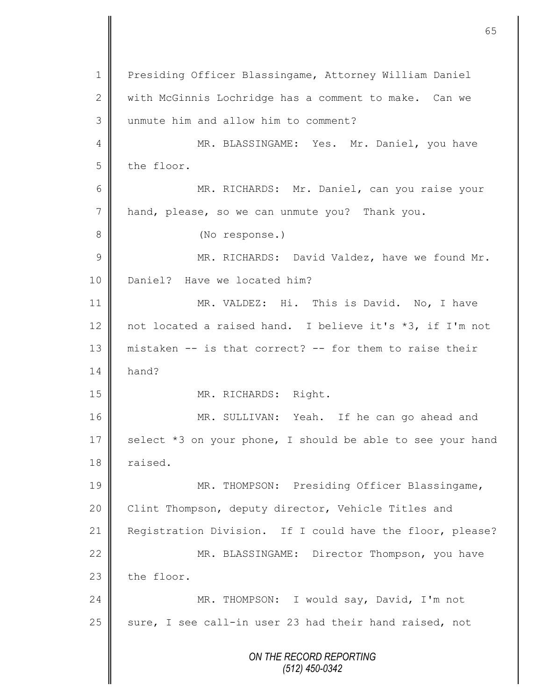*ON THE RECORD REPORTING (512) 450-0342* 1 Presiding Officer Blassingame, Attorney William Daniel 2 || with McGinnis Lochridge has a comment to make. Can we 3 unmute him and allow him to comment? 4 || MR. BLASSINGAME: Yes. Mr. Daniel, you have  $5$  the floor. 6 MR. RICHARDS: Mr. Daniel, can you raise your 7 | hand, please, so we can unmute you? Thank you. 8 **(No response.)** 9 || MR. RICHARDS: David Valdez, have we found Mr. 10 | Daniel? Have we located him? 11 MR. VALDEZ: Hi. This is David. No, I have 12 not located a raised hand. I believe it's \*3, if I'm not 13 mistaken -- is that correct? -- for them to raise their  $14 \parallel$  hand? 15 || MR. RICHARDS: Right. 16 MR. SULLIVAN: Yeah. If he can go ahead and 17 select  $*3$  on your phone, I should be able to see your hand 18 | raised. 19 MR. THOMPSON: Presiding Officer Blassingame, 20 Clint Thompson, deputy director, Vehicle Titles and 21 Registration Division. If I could have the floor, please? 22 | MR. BLASSINGAME: Director Thompson, you have  $23$  the floor. 24 | MR. THOMPSON: I would say, David, I'm not  $25$  sure, I see call-in user 23 had their hand raised, not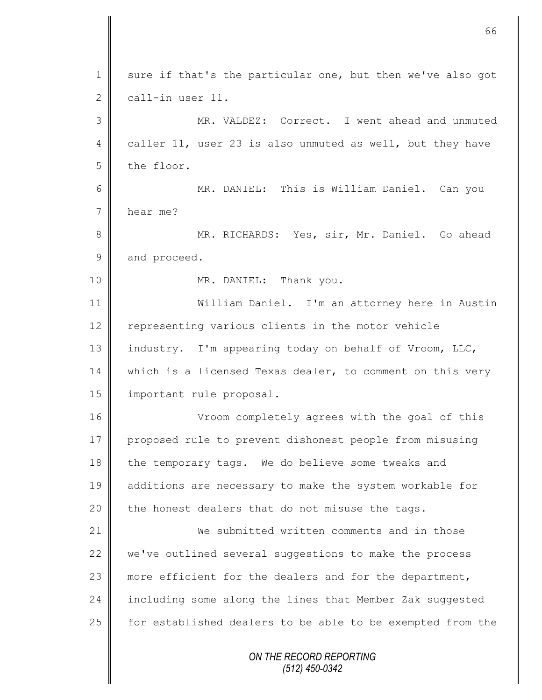|                | 66                                                         |
|----------------|------------------------------------------------------------|
| $\mathbf 1$    | sure if that's the particular one, but then we've also got |
| 2              | call-in user 11.                                           |
| 3              | MR. VALDEZ: Correct. I went ahead and unmuted              |
| 4              | caller 11, user 23 is also unmuted as well, but they have  |
| 5              | the floor.                                                 |
| 6              | MR. DANIEL: This is William Daniel. Can you                |
| $\overline{7}$ | hear me?                                                   |
| 8              | MR. RICHARDS: Yes, sir, Mr. Daniel. Go ahead               |
| $\mathcal{G}$  | and proceed.                                               |
| 10             | MR. DANIEL: Thank you.                                     |
| 11             | William Daniel. I'm an attorney here in Austin             |
| 12             | representing various clients in the motor vehicle          |
| 13             | industry. I'm appearing today on behalf of Vroom, LLC,     |
| 14             | which is a licensed Texas dealer, to comment on this very  |
| 15             | important rule proposal.                                   |
| 16             | Vroom completely agrees with the goal of this              |
| 17             | proposed rule to prevent dishonest people from misusing    |
| 18             | the temporary tags. We do believe some tweaks and          |
| 19             | additions are necessary to make the system workable for    |
| 20             | the honest dealers that do not misuse the tags.            |
| 21             | We submitted written comments and in those                 |
| 22             | we've outlined several suggestions to make the process     |
| 23             | more efficient for the dealers and for the department,     |
| 24             | including some along the lines that Member Zak suggested   |
| 25             | for established dealers to be able to be exempted from the |
|                | ON THE RECORD REPORTING<br>(512) 450-0342                  |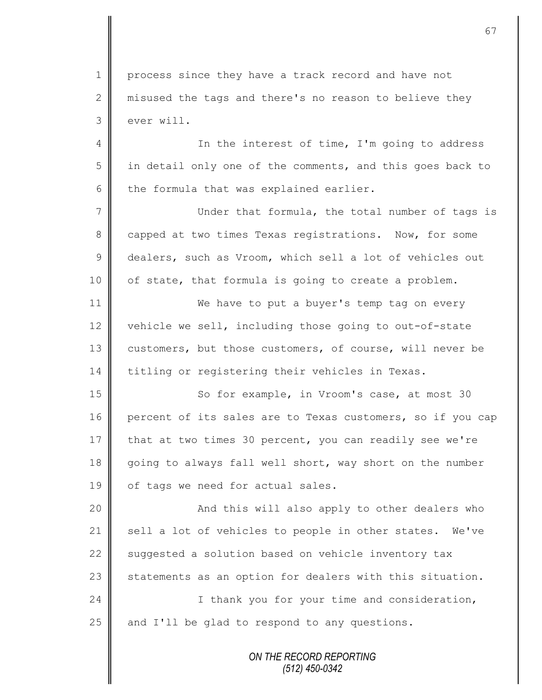1 process since they have a track record and have not 2  $\parallel$  misused the tags and there's no reason to believe they 3 ever will.

4 || In the interest of time, I'm going to address  $5 \parallel$  in detail only one of the comments, and this goes back to  $6$  the formula that was explained earlier.

7 Under that formula, the total number of tags is 8 capped at two times Texas registrations. Now, for some 9 dealers, such as Vroom, which sell a lot of vehicles out  $10$  | of state, that formula is going to create a problem.

11 **We have to put a buyer's temp tag on every** 12 vehicle we sell, including those going to out-of-state 13 customers, but those customers, of course, will never be 14 titling or registering their vehicles in Texas.

15 | So for example, in Vroom's case, at most 30 16 percent of its sales are to Texas customers, so if you cap 17 that at two times 30 percent, you can readily see we're 18 going to always fall well short, way short on the number 19 | of tags we need for actual sales.

20 || And this will also apply to other dealers who 21  $\parallel$  sell a lot of vehicles to people in other states. We've 22 suggested a solution based on vehicle inventory tax 23  $\parallel$  statements as an option for dealers with this situation. 24 | I thank you for your time and consideration,  $25$  and I'll be glad to respond to any questions.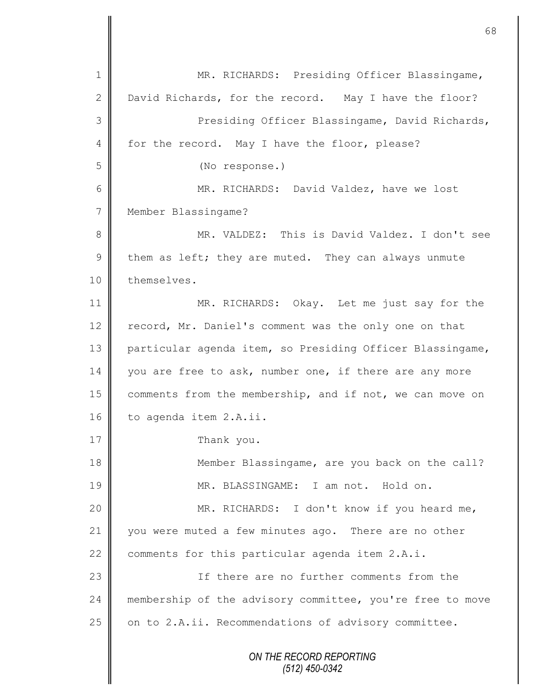*ON THE RECORD REPORTING (512) 450-0342* 1 || MR. RICHARDS: Presiding Officer Blassingame, 2 David Richards, for the record. May I have the floor? 3 || Presiding Officer Blassingame, David Richards, 4 for the record. May I have the floor, please? 5 (No response.) 6 MR. RICHARDS: David Valdez, have we lost 7 | Member Blassingame? 8 MR. VALDEZ: This is David Valdez. I don't see 9 them as left; they are muted. They can always unmute 10 | themselves. 11 MR. RICHARDS: Okay. Let me just say for the 12 record, Mr. Daniel's comment was the only one on that 13 particular agenda item, so Presiding Officer Blassingame, 14 you are free to ask, number one, if there are any more 15 | comments from the membership, and if not, we can move on 16 to agenda item 2.A.ii. 17 Thank you. 18 **Member Blassingame, are you back on the call?** 19 MR. BLASSINGAME: I am not. Hold on. 20 || MR. RICHARDS: I don't know if you heard me, 21 you were muted a few minutes ago. There are no other 22 comments for this particular agenda item 2.A.i. 23 **I** Tf there are no further comments from the 24 | membership of the advisory committee, you're free to move 25 on to 2.A.ii. Recommendations of advisory committee.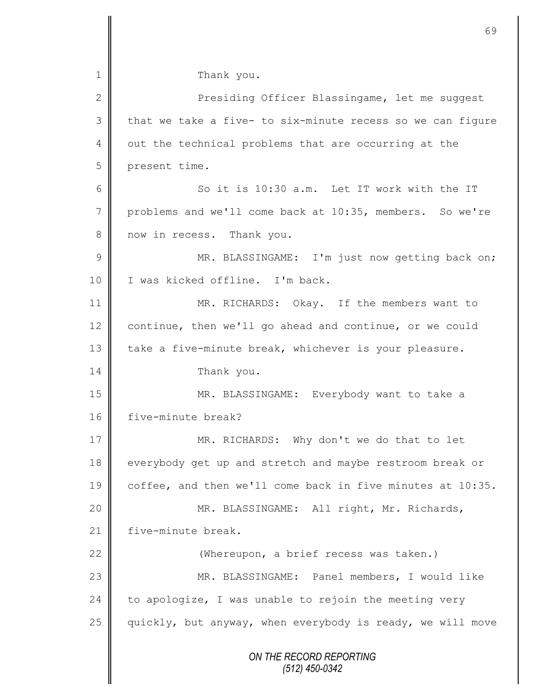|               | 69                                                         |
|---------------|------------------------------------------------------------|
| $\mathbf 1$   | Thank you.                                                 |
| $\mathbf{2}$  | Presiding Officer Blassingame, let me suggest              |
| 3             | that we take a five- to six-minute recess so we can figure |
| 4             | out the technical problems that are occurring at the       |
| 5             | present time.                                              |
| 6             | So it is 10:30 a.m. Let IT work with the IT                |
| 7             | problems and we'll come back at 10:35, members. So we're   |
| 8             | now in recess. Thank you.                                  |
| $\mathcal{G}$ | MR. BLASSINGAME: I'm just now getting back on;             |
| 10            | I was kicked offline. I'm back.                            |
| 11            | MR. RICHARDS: Okay. If the members want to                 |
| 12            | continue, then we'll go ahead and continue, or we could    |
| 13            | take a five-minute break, whichever is your pleasure.      |
| 14            | Thank you.                                                 |
| 15            | MR. BLASSINGAME: Everybody want to take a                  |
| 16            | five-minute break?                                         |
| 17            | MR. RICHARDS: Why don't we do that to let                  |
| 18            | everybody get up and stretch and maybe restroom break or   |
| 19            | coffee, and then we'll come back in five minutes at 10:35. |
| 20            | MR. BLASSINGAME: All right, Mr. Richards,                  |
| 21            | five-minute break.                                         |
| 22            | (Whereupon, a brief recess was taken.)                     |
| 23            | MR. BLASSINGAME: Panel members, I would like               |
| 24            | to apologize, I was unable to rejoin the meeting very      |
| 25            | quickly, but anyway, when everybody is ready, we will move |
|               | ON THE RECORD REPORTING<br>$(512)$ 450-0342                |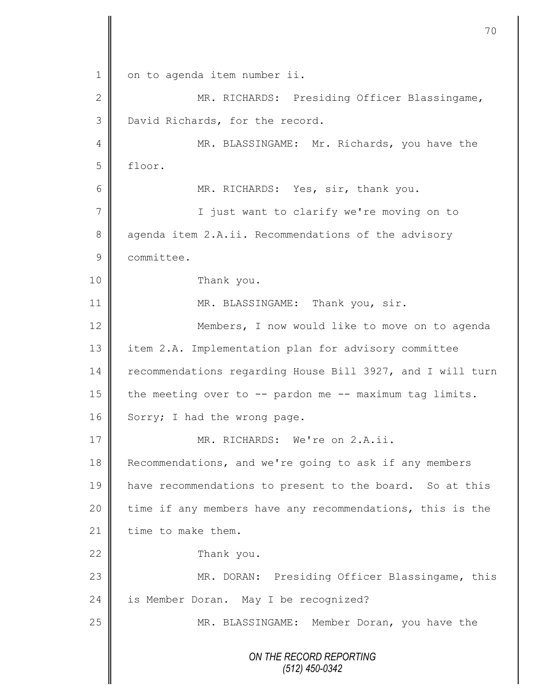*ON THE RECORD REPORTING (512) 450-0342* 1 | on to agenda item number ii. 2 || MR. RICHARDS: Presiding Officer Blassingame, 3 David Richards, for the record. 4 MR. BLASSINGAME: Mr. Richards, you have the 5 floor. 6 || MR. RICHARDS: Yes, sir, thank you. 7 || I just want to clarify we're moving on to 8 agenda item 2.A.ii. Recommendations of the advisory 9 **Committee.** 10 Thank you. 11 | MR. BLASSINGAME: Thank you, sir. 12 Members, I now would like to move on to agenda 13 item 2.A. Implementation plan for advisory committee 14 recommendations regarding House Bill 3927, and I will turn 15  $\parallel$  the meeting over to -- pardon me -- maximum tag limits. 16 Sorry; I had the wrong page. 17 WR. RICHARDS: We're on 2.A.ii. 18 Recommendations, and we're going to ask if any members 19 have recommendations to present to the board. So at this 20 time if any members have any recommendations, this is the 21  $\parallel$  time to make them. 22 Thank you. 23 MR. DORAN: Presiding Officer Blassingame, this 24 is Member Doran. May I be recognized? 25 | MR. BLASSINGAME: Member Doran, you have the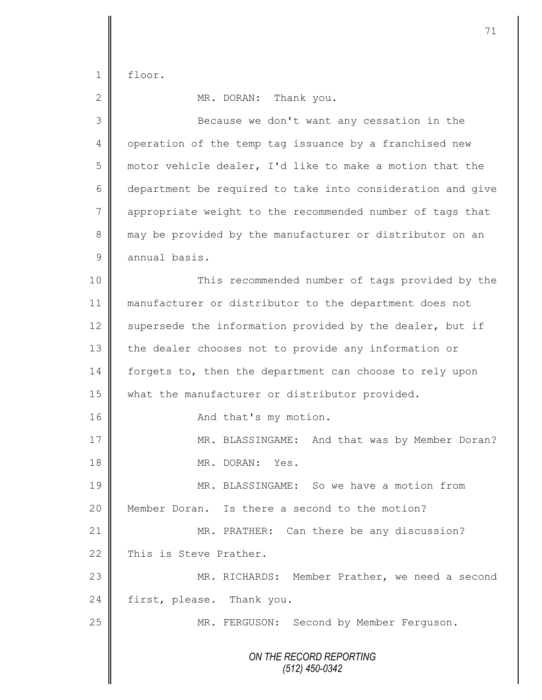floor.

| $\overline{2}$ | MR. DORAN: Thank you.                                      |
|----------------|------------------------------------------------------------|
| 3              | Because we don't want any cessation in the                 |
| 4              | operation of the temp tag issuance by a franchised new     |
| 5              | motor vehicle dealer, I'd like to make a motion that the   |
| 6              | department be required to take into consideration and give |
| 7              | appropriate weight to the recommended number of tags that  |
| 8              | may be provided by the manufacturer or distributor on an   |
| 9              | annual basis.                                              |
| 10             | This recommended number of tags provided by the            |
| 11             | manufacturer or distributor to the department does not     |
| 12             | supersede the information provided by the dealer, but if   |
| 13             | the dealer chooses not to provide any information or       |
| 14             | forgets to, then the department can choose to rely upon    |
| 15             | what the manufacturer or distributor provided.             |
| 16             | And that's my motion.                                      |
| 17             | MR. BLASSINGAME: And that was by Member Doran?             |
| 18             | MR. DORAN: Yes.                                            |
| 19             | MR. BLASSINGAME: So we have a motion from                  |
| 20             | Member Doran. Is there a second to the motion?             |
| 21             | MR. PRATHER: Can there be any discussion?                  |
| 22             | This is Steve Prather.                                     |
| 23             | MR. RICHARDS: Member Prather, we need a second             |
| 24             | first, please. Thank you.                                  |
| 25             | MR. FERGUSON: Second by Member Ferguson.                   |
|                | ON THE RECORD REPORTING<br>$(512)$ 450-0342                |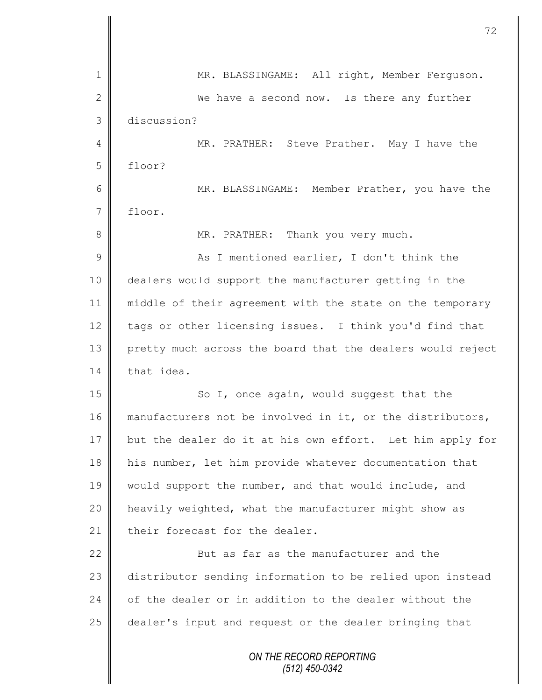| $\mathbf 1$    | MR. BLASSINGAME: All right, Member Ferguson.               |
|----------------|------------------------------------------------------------|
| $\mathbf{2}$   | We have a second now. Is there any further                 |
| 3              | discussion?                                                |
| 4              | MR. PRATHER: Steve Prather. May I have the                 |
| 5              | floor?                                                     |
| 6              | MR. BLASSINGAME: Member Prather, you have the              |
| $7\phantom{.}$ | floor.                                                     |
| $8\,$          | MR. PRATHER: Thank you very much.                          |
| $\mathcal{G}$  | As I mentioned earlier, I don't think the                  |
| 10             | dealers would support the manufacturer getting in the      |
| 11             | middle of their agreement with the state on the temporary  |
| 12             | tags or other licensing issues. I think you'd find that    |
| 13             | pretty much across the board that the dealers would reject |
| 14             | that idea.                                                 |
| 15             | So I, once again, would suggest that the                   |
| 16             | manufacturers not be involved in it, or the distributors,  |
| 17             | but the dealer do it at his own effort. Let him apply for  |
| 18             | his number, let him provide whatever documentation that    |
| 19             | would support the number, and that would include, and      |
| 20             | heavily weighted, what the manufacturer might show as      |
| 21             | their forecast for the dealer.                             |
| 22             | But as far as the manufacturer and the                     |
| 23             | distributor sending information to be relied upon instead  |
| 24             | of the dealer or in addition to the dealer without the     |
| 25             | dealer's input and request or the dealer bringing that     |
|                | ON THE RECORD REPORTING                                    |

 $\mathbf l$ II

II

*(512) 450-0342*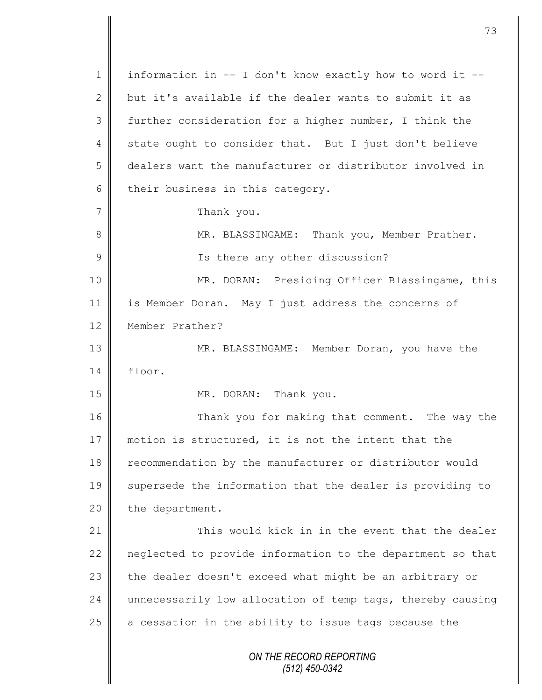*ON THE RECORD REPORTING (512) 450-0342* 1 | information in  $--$  I don't know exactly how to word it  $--$ 2 but it's available if the dealer wants to submit it as 3 further consideration for a higher number, I think the 4 state ought to consider that. But I just don't believe 5 dealers want the manufacturer or distributor involved in  $6$  their business in this category. 7 | Thank you. 8 MR. BLASSINGAME: Thank you, Member Prather. 9 || Is there any other discussion? 10 MR. DORAN: Presiding Officer Blassingame, this 11 is Member Doran. May I just address the concerns of 12 Member Prather? 13 MR. BLASSINGAME: Member Doran, you have the 14 floor. 15 MR. DORAN: Thank you. 16 Thank you for making that comment. The way the 17 motion is structured, it is not the intent that the 18 recommendation by the manufacturer or distributor would 19 Supersede the information that the dealer is providing to  $20$  | the department. 21 **This would kick in in the event that the dealer** 22 neglected to provide information to the department so that 23 the dealer doesn't exceed what might be an arbitrary or 24 unnecessarily low allocation of temp tags, thereby causing 25  $\parallel$  a cessation in the ability to issue tags because the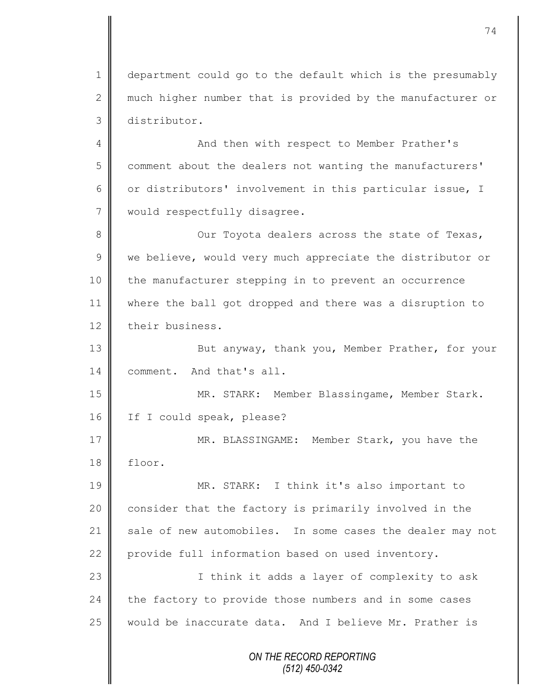1 department could go to the default which is the presumably 2 much higher number that is provided by the manufacturer or 3 distributor.

4 || And then with respect to Member Prather's 5 comment about the dealers not wanting the manufacturers' 6  $\parallel$  or distributors' involvement in this particular issue, I 7 | would respectfully disagree.

8 Our Toyota dealers across the state of Texas,  $9 \parallel$  we believe, would very much appreciate the distributor or 10 the manufacturer stepping in to prevent an occurrence 11 where the ball got dropped and there was a disruption to 12 their business.

13 But anyway, thank you, Member Prather, for your 14 comment. And that's all.

15 MR. STARK: Member Blassingame, Member Stark. 16 If I could speak, please?

17 MR. BLASSINGAME: Member Stark, you have the 18 floor.

19 || MR. STARK: I think it's also important to 20 | consider that the factory is primarily involved in the 21 sale of new automobiles. In some cases the dealer may not 22 provide full information based on used inventory.

23 || I think it adds a layer of complexity to ask 24 the factory to provide those numbers and in some cases 25 would be inaccurate data. And I believe Mr. Prather is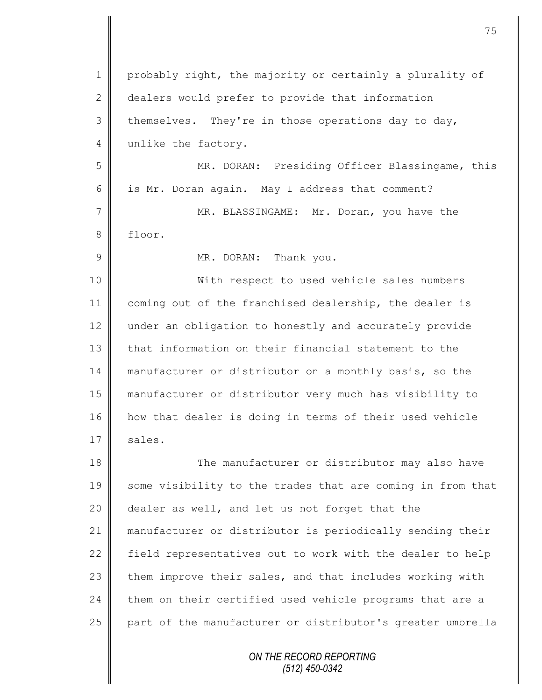1 probably right, the majority or certainly a plurality of 2 dealers would prefer to provide that information  $3 \parallel$  themselves. They're in those operations day to day, 4 unlike the factory. 5 MR. DORAN: Presiding Officer Blassingame, this 6  $\parallel$  is Mr. Doran again. May I address that comment? 7 MR. BLASSINGAME: Mr. Doran, you have the 8 floor. 9 MR. DORAN: Thank you. 10 || With respect to used vehicle sales numbers 11 coming out of the franchised dealership, the dealer is 12 under an obligation to honestly and accurately provide 13 **that information on their financial statement to the** 14 manufacturer or distributor on a monthly basis, so the 15 manufacturer or distributor very much has visibility to 16 how that dealer is doing in terms of their used vehicle  $17 \parallel$  sales. 18 The manufacturer or distributor may also have 19 some visibility to the trades that are coming in from that 20  $\parallel$  dealer as well, and let us not forget that the 21 manufacturer or distributor is periodically sending their 22 field representatives out to work with the dealer to help  $23$  them improve their sales, and that includes working with

 $24$  them on their certified used vehicle programs that are a 25 part of the manufacturer or distributor's greater umbrella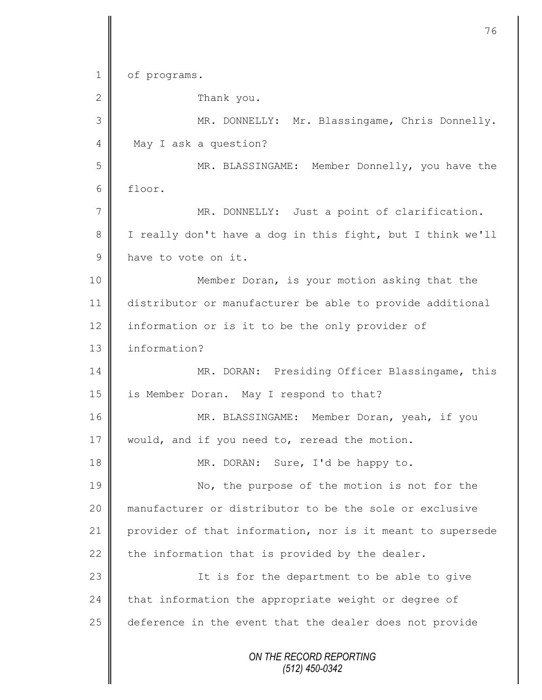*ON THE RECORD REPORTING (512) 450-0342* 1 of programs. 2 **C** Thank you. 3 MR. DONNELLY: Mr. Blassingame, Chris Donnelly. 4 May I ask a question? 5 MR. BLASSINGAME: Member Donnelly, you have the 6 floor. 7 MR. DONNELLY: Just a point of clarification. 8 I really don't have a dog in this fight, but I think we'll 9 have to vote on it. 10 || Member Doran, is your motion asking that the 11 distributor or manufacturer be able to provide additional 12 information or is it to be the only provider of 13 l information? 14 | MR. DORAN: Presiding Officer Blassingame, this 15 | is Member Doran. May I respond to that? 16 MR. BLASSINGAME: Member Doran, yeah, if you 17 | would, and if you need to, reread the motion. 18 || MR. DORAN: Sure, I'd be happy to. 19 No, the purpose of the motion is not for the 20 manufacturer or distributor to be the sole or exclusive 21 provider of that information, nor is it meant to supersede 22 the information that is provided by the dealer. 23 | The is for the department to be able to give  $24$  that information the appropriate weight or degree of 25 deference in the event that the dealer does not provide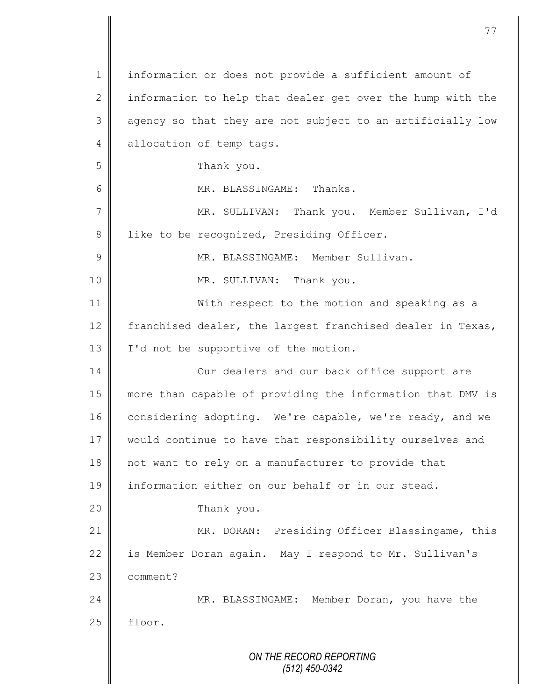*ON THE RECORD REPORTING (512) 450-0342* 1 | information or does not provide a sufficient amount of 2 information to help that dealer get over the hump with the 3 || agency so that they are not subject to an artificially low 4 allocation of temp tags. 5 **S** 6 MR. BLASSINGAME: Thanks. 7 || MR. SULLIVAN: Thank you. Member Sullivan, I'd 8 | like to be recognized, Presiding Officer. 9 | MR. BLASSINGAME: Member Sullivan. 10 || MR. SULLIVAN: Thank you. 11 | With respect to the motion and speaking as a 12  $\parallel$  franchised dealer, the largest franchised dealer in Texas, 13 | I'd not be supportive of the motion. 14 **Our dealers and our back office support are** 15 more than capable of providing the information that DMV is 16 considering adopting. We're capable, we're ready, and we 17 || would continue to have that responsibility ourselves and 18 || not want to rely on a manufacturer to provide that 19 information either on our behalf or in our stead. 20 **Thank** you. 21 | MR. DORAN: Presiding Officer Blassingame, this 22 is Member Doran again. May I respond to Mr. Sullivan's 23 **comment?** 24 MR. BLASSINGAME: Member Doran, you have the  $25$  | floor.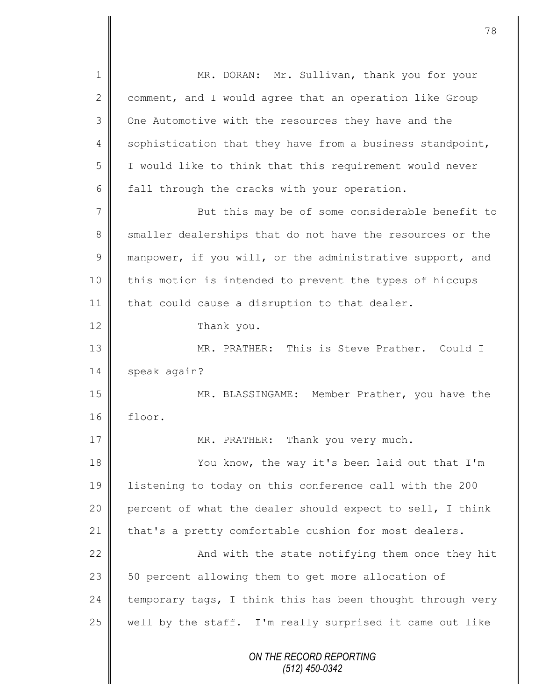*ON THE RECORD REPORTING (512) 450-0342* 1 || MR. DORAN: Mr. Sullivan, thank you for your  $2 \parallel$  comment, and I would agree that an operation like Group 3 | One Automotive with the resources they have and the 4 sophistication that they have from a business standpoint, 5 I would like to think that this requirement would never 6  $\parallel$  fall through the cracks with your operation. 7 || But this may be of some considerable benefit to 8 smaller dealerships that do not have the resources or the 9  $\parallel$  manpower, if you will, or the administrative support, and 10 | this motion is intended to prevent the types of hiccups 11 | that could cause a disruption to that dealer. 12 Thank you. 13 || MR. PRATHER: This is Steve Prather. Could I 14 speak again? 15 MR. BLASSINGAME: Member Prather, you have the 16 floor. 17 || MR. PRATHER: Thank you very much. 18 You know, the way it's been laid out that I'm 19 listening to today on this conference call with the 200 20 percent of what the dealer should expect to sell, I think 21 that's a pretty comfortable cushion for most dealers. 22  $\parallel$ 23 | 50 percent allowing them to get more allocation of 24 temporary tags, I think this has been thought through very 25  $\parallel$  well by the staff. I'm really surprised it came out like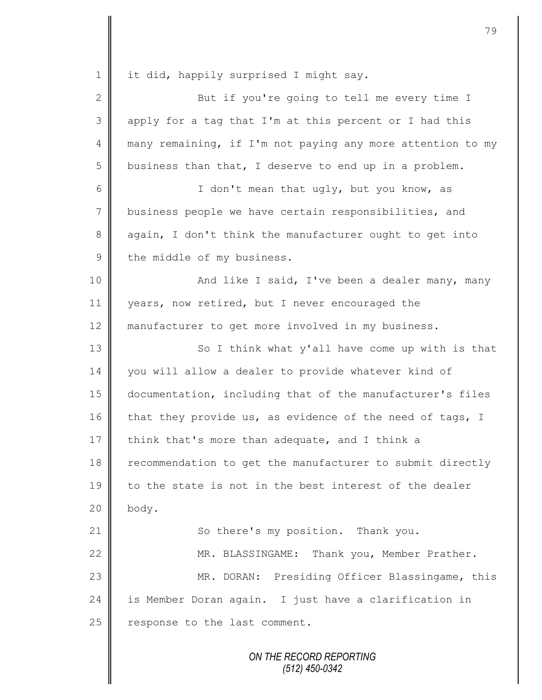1 | it did, happily surprised I might say. 2 ||<br>
But if you're going to tell me every time I 3 || apply for a tag that I'm at this percent or I had this 4 many remaining, if I'm not paying any more attention to my  $5 \parallel$  business than that, I deserve to end up in a problem. 6 || I don't mean that ugly, but you know, as 7 business people we have certain responsibilities, and 8 again, I don't think the manufacturer ought to get into 9 the middle of my business. 10 || And like I said, I've been a dealer many, many 11 | years, now retired, but I never encouraged the 12 manufacturer to get more involved in my business. 13 || So I think what y'all have come up with is that 14 you will allow a dealer to provide whatever kind of 15 documentation, including that of the manufacturer's files 16 that they provide us, as evidence of the need of tags, I 17 think that's more than adequate, and I think a 18 recommendation to get the manufacturer to submit directly 19 to the state is not in the best interest of the dealer  $20$  | body. 21 | So there's my position. Thank you. 22 | MR. BLASSINGAME: Thank you, Member Prather. 23 MR. DORAN: Presiding Officer Blassingame, this 24 is Member Doran again. I just have a clarification in  $25$  response to the last comment.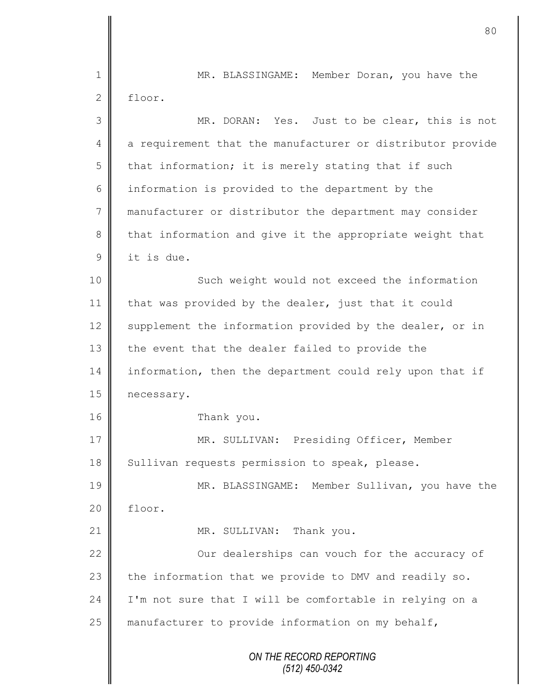*ON THE RECORD REPORTING (512) 450-0342* 1 || MR. BLASSINGAME: Member Doran, you have the 2 floor. 3 MR. DORAN: Yes. Just to be clear, this is not 4 a requirement that the manufacturer or distributor provide  $5$  | that information; it is merely stating that if such 6 information is provided to the department by the 7 manufacturer or distributor the department may consider 8 that information and give it the appropriate weight that 9 | it is due. 10 || Such weight would not exceed the information 11 | that was provided by the dealer, just that it could 12  $\parallel$  supplement the information provided by the dealer, or in 13 the event that the dealer failed to provide the 14 information, then the department could rely upon that if 15 | necessary. 16 Thank you. 17 | MR. SULLIVAN: Presiding Officer, Member 18 | Sullivan requests permission to speak, please. 19 MR. BLASSINGAME: Member Sullivan, you have the 20 floor. 21 || MR. SULLIVAN: Thank you. 22  $\parallel$  0ur dealerships can vouch for the accuracy of 23 the information that we provide to DMV and readily so. 24 | I'm not sure that I will be comfortable in relying on a 25 | manufacturer to provide information on my behalf,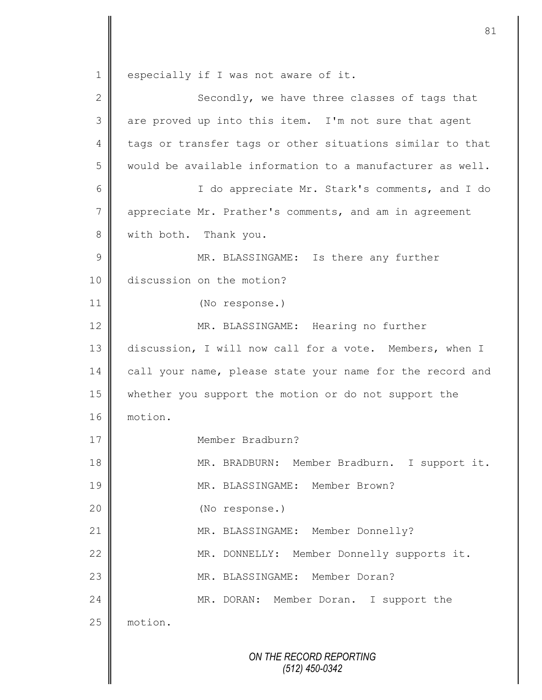*ON THE RECORD REPORTING (512) 450-0342* 1 especially if I was not aware of it. 2  $\parallel$  Secondly, we have three classes of tags that  $3 \parallel$  are proved up into this item. I'm not sure that agent 4 tags or transfer tags or other situations similar to that 5  $\parallel$  would be available information to a manufacturer as well. 6 || I do appreciate Mr. Stark's comments, and I do 7 | appreciate Mr. Prather's comments, and am in agreement 8 | with both. Thank you. 9 MR. BLASSINGAME: Is there any further 10 discussion on the motion? 11 (No response.) 12 | MR. BLASSINGAME: Hearing no further 13 discussion, I will now call for a vote. Members, when I 14 call your name, please state your name for the record and 15 whether you support the motion or do not support the 16 motion. 17 Member Bradburn? 18 MR. BRADBURN: Member Bradburn. I support it. 19 MR. BLASSINGAME: Member Brown? 20 (No response.) 21 | MR. BLASSINGAME: Member Donnelly? 22 MR. DONNELLY: Member Donnelly supports it. 23 MR. BLASSINGAME: Member Doran? 24 MR. DORAN: Member Doran. I support the 25 | motion.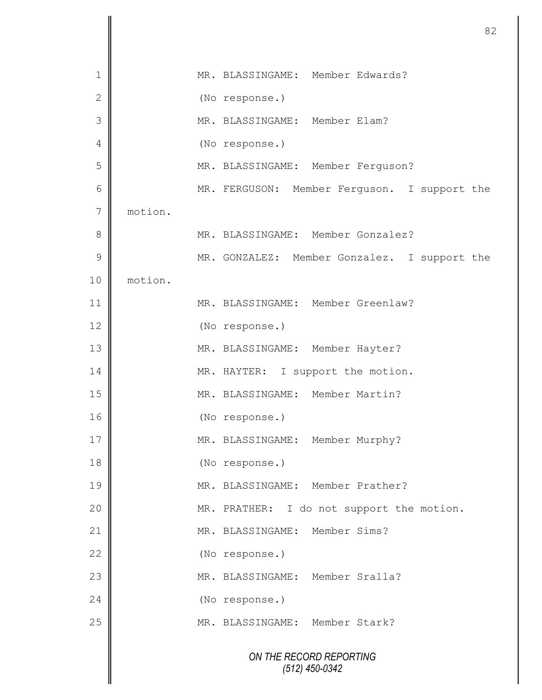|               |         | 82                                           |
|---------------|---------|----------------------------------------------|
| 1             |         | MR. BLASSINGAME: Member Edwards?             |
| $\mathbf{2}$  |         | (No response.)                               |
| 3             |         | MR. BLASSINGAME: Member Elam?                |
| 4             |         | (No response.)                               |
| 5             |         | MR. BLASSINGAME: Member Ferguson?            |
| 6             |         | MR. FERGUSON: Member Ferguson. I support the |
| 7             | motion. |                                              |
| 8             |         | MR. BLASSINGAME: Member Gonzalez?            |
| $\mathcal{G}$ |         | MR. GONZALEZ: Member Gonzalez. I support the |
| 10            | motion. |                                              |
| 11            |         | MR. BLASSINGAME: Member Greenlaw?            |
| 12            |         | (No response.)                               |
| 13            |         | MR. BLASSINGAME: Member Hayter?              |
| 14            |         | MR. HAYTER: I support the motion.            |
| 15            |         | MR. BLASSINGAME: Member Martin?              |
| 16            |         |                                              |
|               |         | (No response.)                               |
| 17            |         | MR. BLASSINGAME: Member Murphy?              |
| 18            |         | (No response.)                               |
| 19            |         | MR. BLASSINGAME: Member Prather?             |
| 20            |         | MR. PRATHER: I do not support the motion.    |
| 21            |         | MR. BLASSINGAME: Member Sims?                |
| 22            |         | (No response.)                               |
| 23            |         | MR. BLASSINGAME: Member Sralla?              |
| 24            |         | (No response.)                               |
| 25            |         | MR. BLASSINGAME: Member Stark?               |
|               |         | ON THE RECORD REPORTING<br>$(512)$ 450-0342  |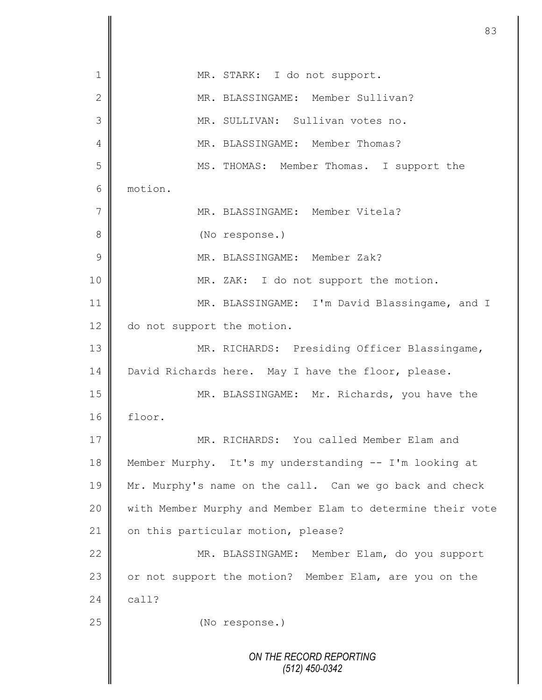*ON THE RECORD REPORTING (512) 450-0342* 1 | MR. STARK: I do not support. 2 MR. BLASSINGAME: Member Sullivan? 3 MR. SULLIVAN: Sullivan votes no. 4 MR. BLASSINGAME: Member Thomas? 5 MS. THOMAS: Member Thomas. I support the 6 motion. 7 || MR. BLASSINGAME: Member Vitela? 8 (No response.) 9 MR. BLASSINGAME: Member Zak? 10 || MR. ZAK: I do not support the motion. 11 | MR. BLASSINGAME: I'm David Blassingame, and I 12 do not support the motion. 13 || MR. RICHARDS: Presiding Officer Blassingame, 14 David Richards here. May I have the floor, please. 15 MR. BLASSINGAME: Mr. Richards, you have the 16 floor. 17 MR. RICHARDS: You called Member Elam and 18 Member Murphy. It's my understanding -- I'm looking at 19 Mr. Murphy's name on the call. Can we go back and check 20 | with Member Murphy and Member Elam to determine their vote 21 | on this particular motion, please? 22 | MR. BLASSINGAME: Member Elam, do you support 23 or not support the motion? Member Elam, are you on the 24  $\vert$  call? 25 **(No response.)**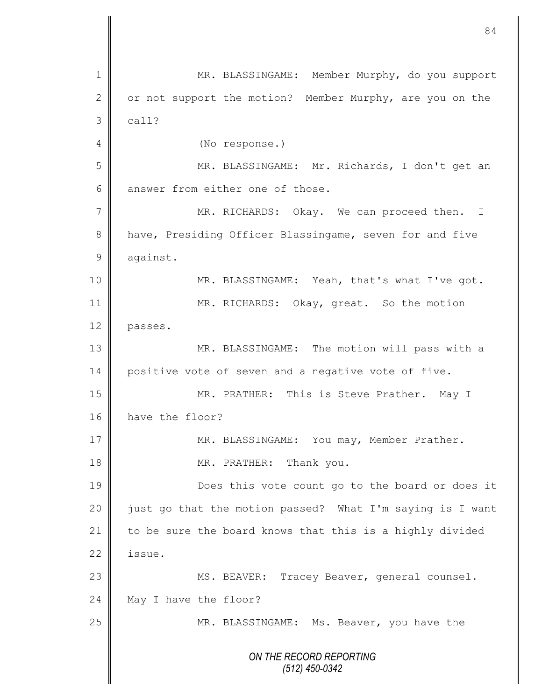*ON THE RECORD REPORTING (512) 450-0342* 1 MR. BLASSINGAME: Member Murphy, do you support 2 | or not support the motion? Member Murphy, are you on the  $3 \parallel$  call? 4 (No response.) 5 MR. BLASSINGAME: Mr. Richards, I don't get an  $6 \parallel$  answer from either one of those. 7 || MR. RICHARDS: Okay. We can proceed then. I 8 have, Presiding Officer Blassingame, seven for and five 9 against. 10 MR. BLASSINGAME: Yeah, that's what I've got. 11 | MR. RICHARDS: Okay, great. So the motion 12 passes. 13 || MR. BLASSINGAME: The motion will pass with a 14 positive vote of seven and a negative vote of five. 15 MR. PRATHER: This is Steve Prather. May I 16 have the floor? 17 MR. BLASSINGAME: You may, Member Prather. 18 MR. PRATHER: Thank you. 19 **Does** this vote count go to the board or does it 20 | just go that the motion passed? What I'm saying is I want 21  $\parallel$  to be sure the board knows that this is a highly divided  $22 \parallel$  issue. 23 || MS. BEAVER: Tracey Beaver, general counsel. 24 May I have the floor? 25 MR. BLASSINGAME: Ms. Beaver, you have the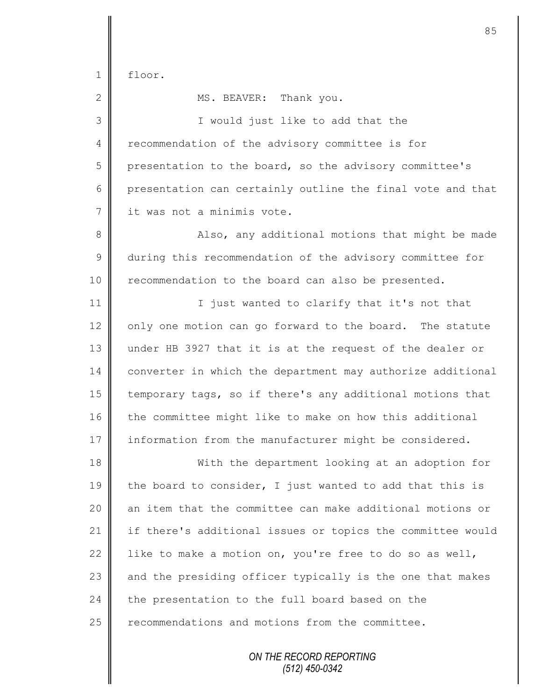$1 \parallel$  floor.

2 MS. BEAVER: Thank you.

3 || I would just like to add that the 4 Tecommendation of the advisory committee is for 5 presentation to the board, so the advisory committee's 6 presentation can certainly outline the final vote and that 7 it was not a minimis vote.

8 || Also, any additional motions that might be made 9 during this recommendation of the advisory committee for 10 | recommendation to the board can also be presented.

11 | I just wanted to clarify that it's not that  $12$  only one motion can go forward to the board. The statute 13 under HB 3927 that it is at the request of the dealer or 14 converter in which the department may authorize additional 15 temporary tags, so if there's any additional motions that 16 the committee might like to make on how this additional 17 information from the manufacturer might be considered.

18 With the department looking at an adoption for 19  $\parallel$  the board to consider, I just wanted to add that this is 20 an item that the committee can make additional motions or 21 if there's additional issues or topics the committee would 22 like to make a motion on, you're free to do so as well,  $23$  and the presiding officer typically is the one that makes  $24$  the presentation to the full board based on the 25 recommendations and motions from the committee.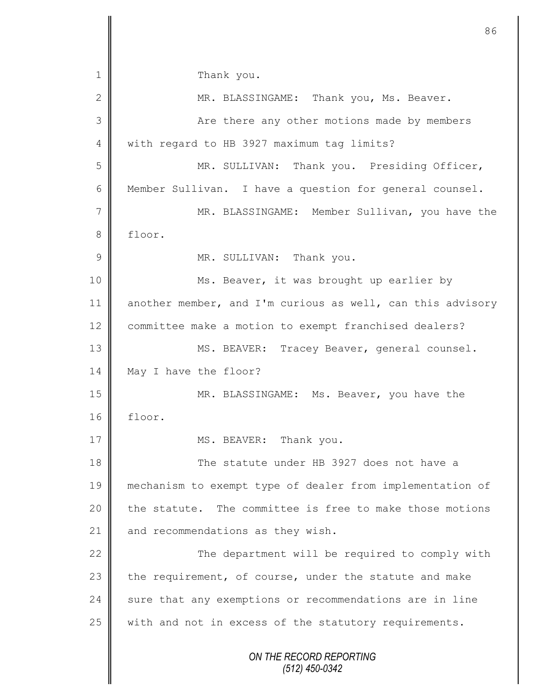*ON THE RECORD REPORTING (512) 450-0342* 1 Thank you. 2 MR. BLASSINGAME: Thank you, Ms. Beaver. 3 || Are there any other motions made by members 4 With regard to HB 3927 maximum tag limits? 5 MR. SULLIVAN: Thank you. Presiding Officer, 6 Member Sullivan. I have a question for general counsel. 7 || MR. BLASSINGAME: Member Sullivan, you have the 8 floor. 9 MR. SULLIVAN: Thank you. 10 | Ms. Beaver, it was brought up earlier by 11 another member, and I'm curious as well, can this advisory 12 committee make a motion to exempt franchised dealers? 13 || MS. BEAVER: Tracey Beaver, general counsel. 14 May I have the floor? 15 || MR. BLASSINGAME: Ms. Beaver, you have the 16 floor. 17 MS. BEAVER: Thank you. 18 **The statute under HB** 3927 does not have a 19 mechanism to exempt type of dealer from implementation of 20  $\parallel$  the statute. The committee is free to make those motions 21 and recommendations as they wish. 22 The department will be required to comply with 23 the requirement, of course, under the statute and make  $24$  sure that any exemptions or recommendations are in line 25 | with and not in excess of the statutory requirements.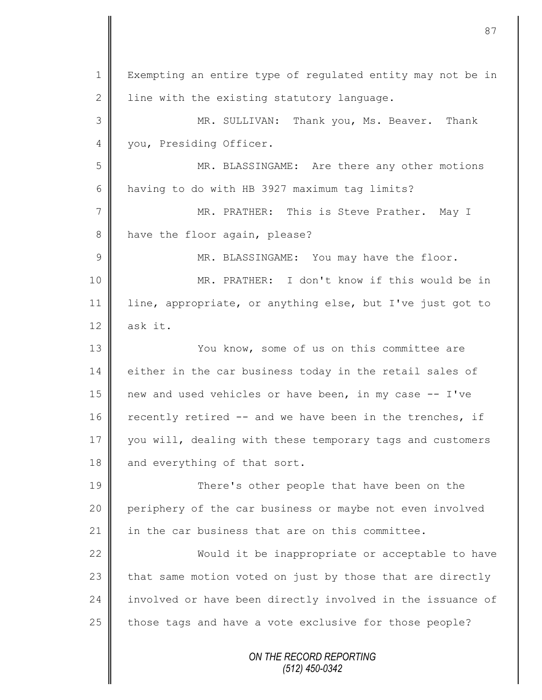*ON THE RECORD REPORTING* 1 | Exempting an entire type of regulated entity may not be in 2 | line with the existing statutory language. 3 MR. SULLIVAN: Thank you, Ms. Beaver. Thank 4 | you, Presiding Officer. 5 MR. BLASSINGAME: Are there any other motions 6 having to do with HB 3927 maximum tag limits? 7 || MR. PRATHER: This is Steve Prather. May I 8 have the floor again, please? 9 MR. BLASSINGAME: You may have the floor. 10 MR. PRATHER: I don't know if this would be in 11 line, appropriate, or anything else, but I've just got to 12  $\parallel$  ask it. 13 || You know, some of us on this committee are 14 either in the car business today in the retail sales of 15 new and used vehicles or have been, in my case -- I've 16  $\parallel$  recently retired -- and we have been in the trenches, if 17 you will, dealing with these temporary tags and customers 18 and everything of that sort. 19 There's other people that have been on the 20 periphery of the car business or maybe not even involved 21  $\parallel$  in the car business that are on this committee. 22 Would it be inappropriate or acceptable to have 23  $\parallel$  that same motion voted on just by those that are directly 24 involved or have been directly involved in the issuance of 25  $\parallel$  those tags and have a vote exclusive for those people?

87

*(512) 450-0342*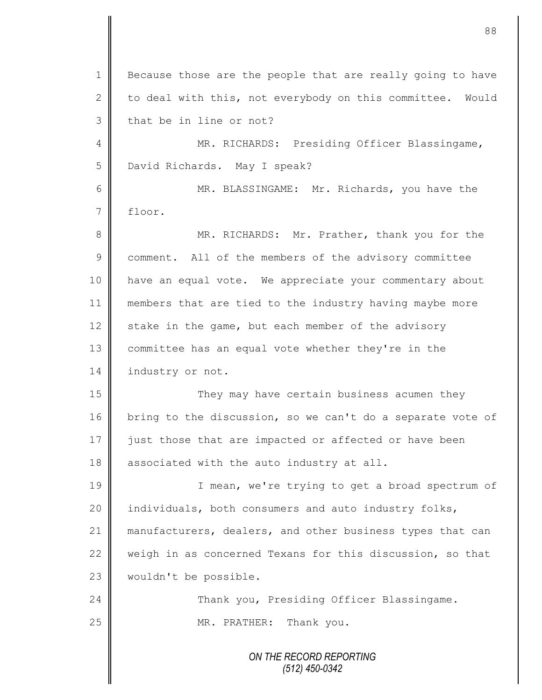*ON THE RECORD REPORTING (512) 450-0342* 1 Because those are the people that are really going to have 2 to deal with this, not everybody on this committee. Would  $3$  | that be in line or not? 4 MR. RICHARDS: Presiding Officer Blassingame, 5 | David Richards. May I speak? 6 MR. BLASSINGAME: Mr. Richards, you have the 7 floor. 8 MR. RICHARDS: Mr. Prather, thank you for the 9 comment. All of the members of the advisory committee 10 have an equal vote. We appreciate your commentary about 11 members that are tied to the industry having maybe more 12 stake in the game, but each member of the advisory 13 committee has an equal vote whether they're in the 14 industry or not. 15 || They may have certain business acumen they 16 bring to the discussion, so we can't do a separate vote of 17 iust those that are impacted or affected or have been 18 associated with the auto industry at all. 19 || I mean, we're trying to get a broad spectrum of 20 || individuals, both consumers and auto industry folks, 21 manufacturers, dealers, and other business types that can 22 weigh in as concerned Texans for this discussion, so that 23 | wouldn't be possible. 24 **Thank you, Presiding Officer Blassingame.** 25 || MR. PRATHER: Thank you.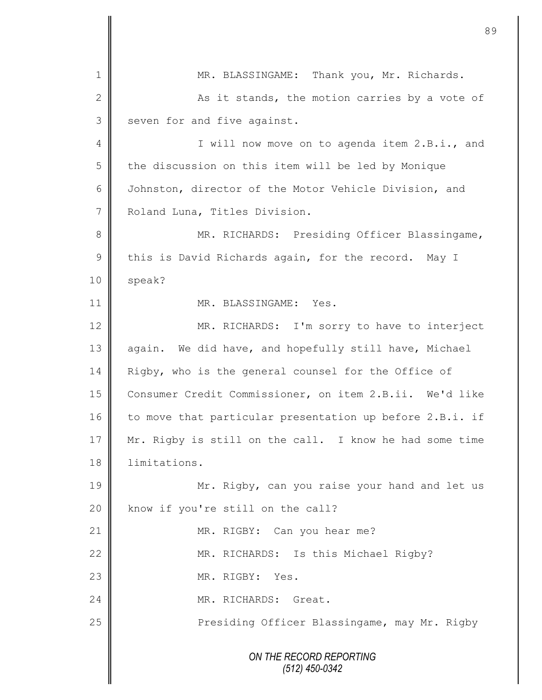*ON THE RECORD REPORTING (512) 450-0342* 1 || MR. BLASSINGAME: Thank you, Mr. Richards. 2 As it stands, the motion carries by a vote of  $3 \parallel$  seven for and five against. 4 || I will now move on to agenda item 2.B.i., and  $5 \parallel$  the discussion on this item will be led by Monique 6 Johnston, director of the Motor Vehicle Division, and 7 Roland Luna, Titles Division. 8 MR. RICHARDS: Presiding Officer Blassingame, 9 this is David Richards again, for the record. May I  $10 \parallel$  speak? 11 | MR. BLASSINGAME: Yes. 12 MR. RICHARDS: I'm sorry to have to interject 13 again. We did have, and hopefully still have, Michael 14 Rigby, who is the general counsel for the Office of 15 Consumer Credit Commissioner, on item 2.B.ii. We'd like 16 to move that particular presentation up before 2.B.i. if 17 Mr. Rigby is still on the call. I know he had some time 18 limitations. 19 Mr. Rigby, can you raise your hand and let us 20 know if you're still on the call? 21 MR. RIGBY: Can you hear me? 22 MR. RICHARDS: Is this Michael Rigby? 23 No. MR. RIGBY: Yes. 24 MR. RICHARDS: Great. 25 | Presiding Officer Blassingame, may Mr. Rigby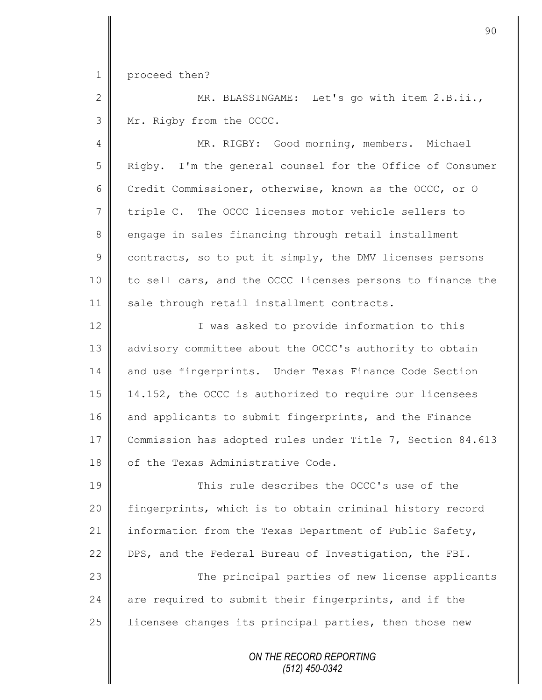1 proceed then?

2 || MR. BLASSINGAME: Let's go with item 2.B.ii., 3 | Mr. Rigby from the OCCC.

4 | MR. RIGBY: Good morning, members. Michael 5 Rigby. I'm the general counsel for the Office of Consumer 6 Credit Commissioner, otherwise, known as the OCCC, or O 7 triple C. The OCCC licenses motor vehicle sellers to 8 engage in sales financing through retail installment  $9 \parallel$  contracts, so to put it simply, the DMV licenses persons 10 to sell cars, and the OCCC licenses persons to finance the 11 || sale through retail installment contracts.

12 || Twas asked to provide information to this 13 | advisory committee about the OCCC's authority to obtain 14 and use fingerprints. Under Texas Finance Code Section 15 14.152, the OCCC is authorized to require our licensees 16 and applicants to submit fingerprints, and the Finance 17 Commission has adopted rules under Title 7, Section 84.613 18 | of the Texas Administrative Code.

19 **This rule describes the OCCC's use of the** 20 | fingerprints, which is to obtain criminal history record 21 | information from the Texas Department of Public Safety, 22 DPS, and the Federal Bureau of Investigation, the FBI. 23 || The principal parties of new license applicants 24  $\parallel$  are required to submit their fingerprints, and if the  $25$  | licensee changes its principal parties, then those new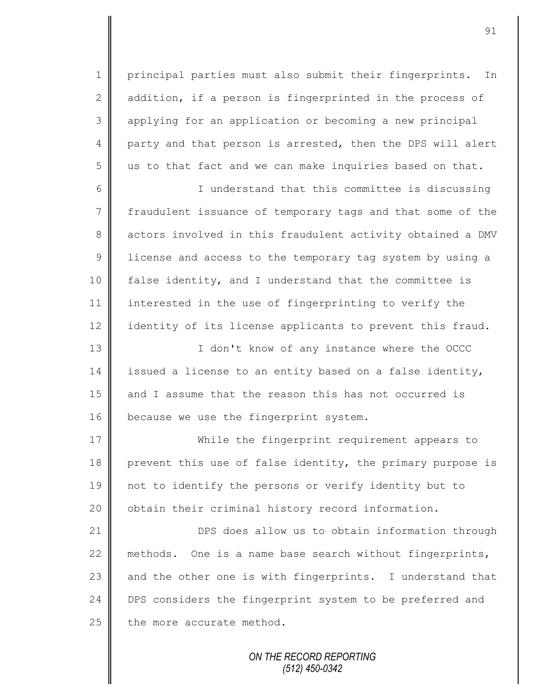1 principal parties must also submit their fingerprints. In 2  $\parallel$  addition, if a person is fingerprinted in the process of 3 applying for an application or becoming a new principal 4 party and that person is arrested, then the DPS will alert  $5 \parallel$  us to that fact and we can make inquiries based on that.

6 I understand that this committee is discussing 7 fraudulent issuance of temporary tags and that some of the 8 actors involved in this fraudulent activity obtained a DMV 9 | license and access to the temporary tag system by using a 10 false identity, and I understand that the committee is 11 interested in the use of fingerprinting to verify the 12 identity of its license applicants to prevent this fraud.

13 | T don't know of any instance where the OCCC 14 issued a license to an entity based on a false identity, 15 and I assume that the reason this has not occurred is 16 | because we use the fingerprint system.

17 While the fingerprint requirement appears to 18 prevent this use of false identity, the primary purpose is 19 not to identify the persons or verify identity but to 20 | obtain their criminal history record information.

21 **DPS** does allow us to obtain information through 22 methods. One is a name base search without fingerprints, 23 and the other one is with fingerprints. I understand that 24 DPS considers the fingerprint system to be preferred and  $25$  the more accurate method.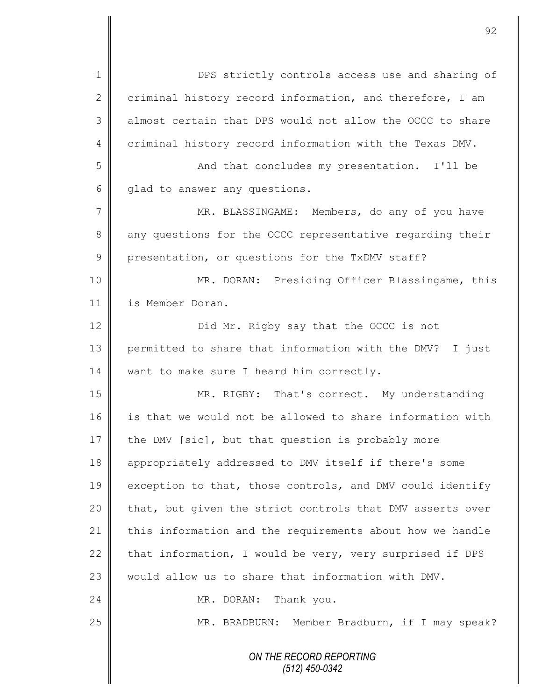*ON THE RECORD REPORTING (512) 450-0342* 1 DPS strictly controls access use and sharing of 2 criminal history record information, and therefore, I am 3 almost certain that DPS would not allow the OCCC to share 4 criminal history record information with the Texas DMV. 5 || And that concludes my presentation. I'll be 6 glad to answer any questions. 7 MR. BLASSINGAME: Members, do any of you have 8 any questions for the OCCC representative regarding their 9 presentation, or questions for the TxDMV staff? 10 MR. DORAN: Presiding Officer Blassingame, this 11 is Member Doran. 12 **Did Mr.** Rigby say that the OCCC is not 13 permitted to share that information with the DMV? I just 14 want to make sure I heard him correctly. 15 || MR. RIGBY: That's correct. My understanding 16 is that we would not be allowed to share information with 17 the DMV [sic], but that question is probably more 18 appropriately addressed to DMV itself if there's some 19 exception to that, those controls, and DMV could identify 20 | that, but given the strict controls that DMV asserts over 21 this information and the requirements about how we handle 22 that information, I would be very, very surprised if DPS 23  $\parallel$  would allow us to share that information with DMV. 24 MR. DORAN: Thank you. 25 | MR. BRADBURN: Member Bradburn, if I may speak?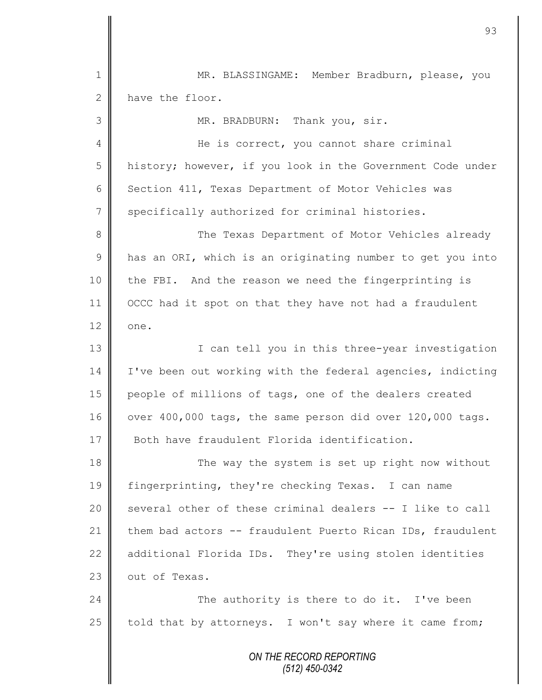*ON THE RECORD REPORTING (512) 450-0342* 1 MR. BLASSINGAME: Member Bradburn, please, you 2 have the floor. 3 MR. BRADBURN: Thank you, sir. 4 He is correct, you cannot share criminal 5 history; however, if you look in the Government Code under 6 Section 411, Texas Department of Motor Vehicles was 7 specifically authorized for criminal histories. 8 The Texas Department of Motor Vehicles already  $9 \parallel$  has an ORI, which is an originating number to get you into 10 the FBI. And the reason we need the fingerprinting is 11 OCCC had it spot on that they have not had a fraudulent  $12 \parallel$  one. 13 | T can tell you in this three-year investigation 14 | I've been out working with the federal agencies, indicting 15 people of millions of tags, one of the dealers created  $16$  over 400,000 tags, the same person did over 120,000 tags. 17 Both have fraudulent Florida identification. 18 The way the system is set up right now without 19 fingerprinting, they're checking Texas. I can name 20  $\parallel$  several other of these criminal dealers -- I like to call 21 them bad actors -- fraudulent Puerto Rican IDs, fraudulent 22  $\parallel$  additional Florida IDs. They're using stolen identities 23 | out of Texas. 24 The authority is there to do it. I've been 25  $\parallel$  told that by attorneys. I won't say where it came from;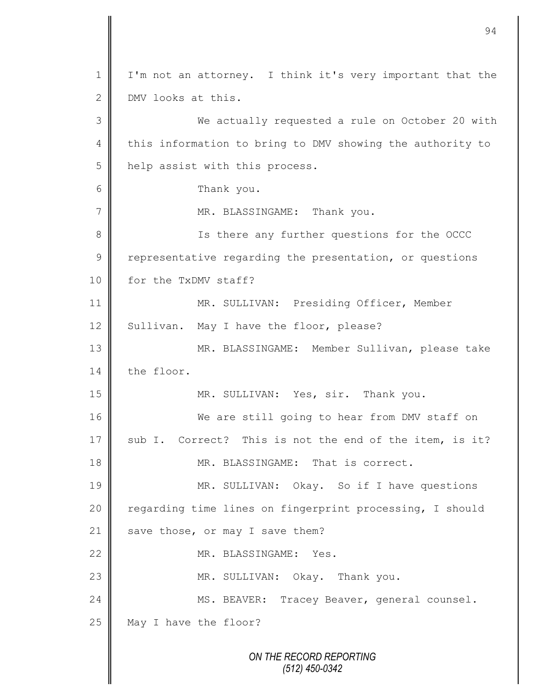*ON THE RECORD REPORTING (512) 450-0342* 1 | I'm not an attorney. I think it's very important that the 2 DMV looks at this. 3 We actually requested a rule on October 20 with 4 this information to bring to DMV showing the authority to 5 | help assist with this process. 6 Thank you. 7 MR. BLASSINGAME: Thank you. 8 || Is there any further questions for the OCCC  $9 \parallel$  representative regarding the presentation, or questions 10 | for the TxDMV staff? 11 | MR. SULLIVAN: Presiding Officer, Member 12 Sullivan. May I have the floor, please? 13 | MR. BLASSINGAME: Member Sullivan, please take 14 the floor. 15 || MR. SULLIVAN: Yes, sir. Thank you. 16 We are still going to hear from DMV staff on 17 sub I. Correct? This is not the end of the item, is it? 18 **MR. BLASSINGAME:** That is correct. 19 | MR. SULLIVAN: Okay. So if I have questions 20 | regarding time lines on fingerprint processing, I should 21 save those, or may I save them? 22 MR. BLASSINGAME: Yes. 23 MR. SULLIVAN: Okay. Thank you. 24 | MS. BEAVER: Tracey Beaver, general counsel.  $25$  May I have the floor?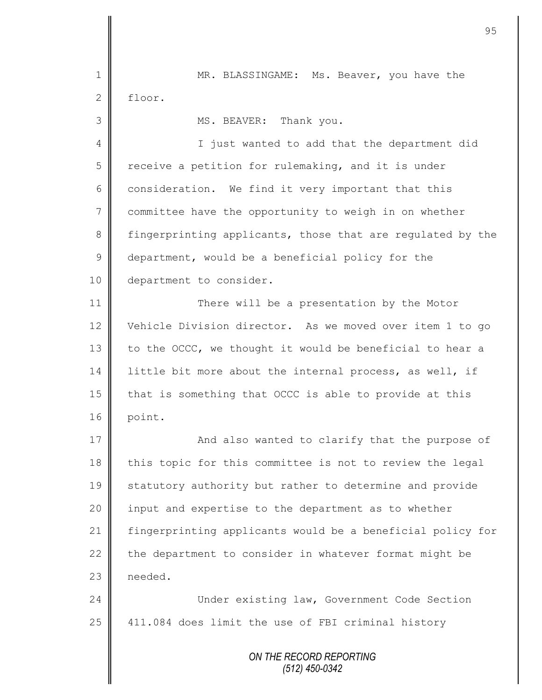*ON THE RECORD REPORTING (512) 450-0342* 1 MR. BLASSINGAME: Ms. Beaver, you have the 2 floor. 3 || MS. BEAVER: Thank you. 4 || I just wanted to add that the department did  $5 \parallel$  receive a petition for rulemaking, and it is under 6 consideration. We find it very important that this 7 committee have the opportunity to weigh in on whether 8 fingerprinting applicants, those that are regulated by the  $9 \parallel$  department, would be a beneficial policy for the 10 department to consider. 11 **There will be a presentation by the Motor** 12 Vehicle Division director. As we moved over item 1 to go 13  $\parallel$  to the OCCC, we thought it would be beneficial to hear a 14 | little bit more about the internal process, as well, if 15 | that is something that OCCC is able to provide at this 16 point. 17 | And also wanted to clarify that the purpose of 18 || this topic for this committee is not to review the legal 19 statutory authority but rather to determine and provide 20 | input and expertise to the department as to whether 21 fingerprinting applicants would be a beneficial policy for 22 the department to consider in whatever format might be 23 needed. 24 Under existing law, Government Code Section  $25$  | 411.084 does limit the use of FBI criminal history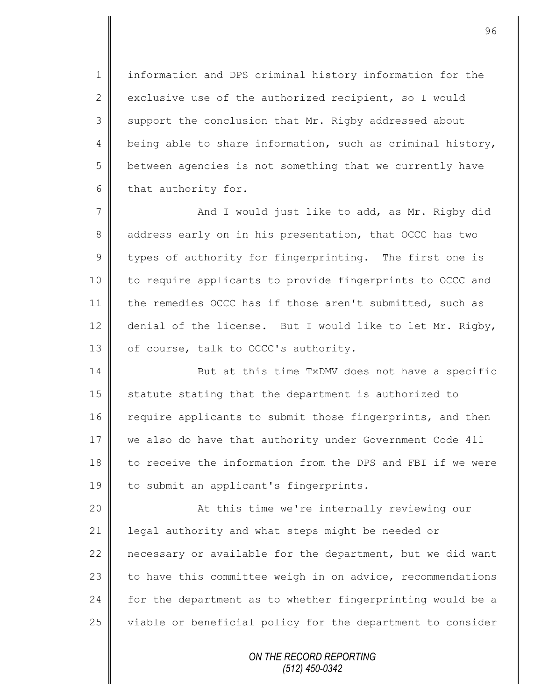1 information and DPS criminal history information for the 2 exclusive use of the authorized recipient, so I would 3 support the conclusion that Mr. Rigby addressed about 4 being able to share information, such as criminal history, 5 | between agencies is not something that we currently have  $6$  that authority for.

7 || And I would just like to add, as Mr. Rigby did 8 ddress early on in his presentation, that OCCC has two  $9 \parallel$  types of authority for fingerprinting. The first one is 10 | to require applicants to provide fingerprints to OCCC and 11 the remedies OCCC has if those aren't submitted, such as 12 denial of the license. But I would like to let Mr. Rigby, 13  $\parallel$  of course, talk to OCCC's authority.

14 But at this time TxDMV does not have a specific 15 statute stating that the department is authorized to 16 require applicants to submit those fingerprints, and then 17 we also do have that authority under Government Code 411 18 to receive the information from the DPS and FBI if we were 19 | to submit an applicant's fingerprints.

20 | At this time we're internally reviewing our 21 | legal authority and what steps might be needed or 22 necessary or available for the department, but we did want 23 to have this committee weigh in on advice, recommendations 24 for the department as to whether fingerprinting would be a 25 | viable or beneficial policy for the department to consider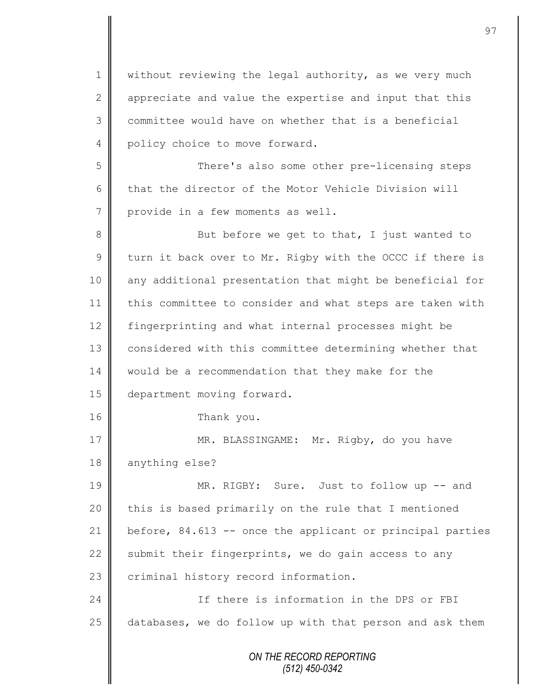*ON THE RECORD REPORTING (512) 450-0342* 1 | without reviewing the legal authority, as we very much 2 appreciate and value the expertise and input that this 3 committee would have on whether that is a beneficial 4 policy choice to move forward. 5 || There's also some other pre-licensing steps 6 that the director of the Motor Vehicle Division will 7 provide in a few moments as well. 8 But before we get to that, I just wanted to  $9 \parallel$  turn it back over to Mr. Rigby with the OCCC if there is 10 || any additional presentation that might be beneficial for 11 | this committee to consider and what steps are taken with 12 | fingerprinting and what internal processes might be 13 considered with this committee determining whether that 14 | would be a recommendation that they make for the 15 | department moving forward. 16 Thank you. 17 | MR. BLASSINGAME: Mr. Rigby, do you have 18 anything else? 19 MR. RIGBY: Sure. Just to follow up -- and 20 this is based primarily on the rule that I mentioned 21 before, 84.613 -- once the applicant or principal parties 22 Submit their fingerprints, we do gain access to any 23 criminal history record information. 24 **If there is information in the DPS or FBI** 25 databases, we do follow up with that person and ask them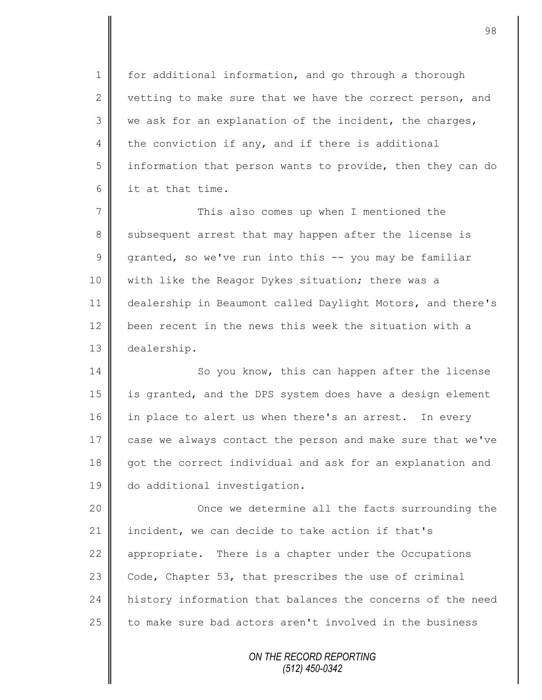1 | for additional information, and go through a thorough 2 vetting to make sure that we have the correct person, and  $3 \parallel$  we ask for an explanation of the incident, the charges, 4 the conviction if any, and if there is additional 5 information that person wants to provide, then they can do 6 **i** it at that time.

7 This also comes up when I mentioned the 8 subsequent arrest that may happen after the license is  $9 \parallel$  granted, so we've run into this -- you may be familiar 10 | with like the Reagor Dykes situation; there was a 11 dealership in Beaumont called Daylight Motors, and there's 12 been recent in the news this week the situation with a 13 dealership.

14 So you know, this can happen after the license 15 | is granted, and the DPS system does have a design element 16 in place to alert us when there's an arrest. In every 17 case we always contact the person and make sure that we've 18 got the correct individual and ask for an explanation and 19 | do additional investigation.

20 || Once we determine all the facts surrounding the 21 incident, we can decide to take action if that's 22 appropriate. There is a chapter under the Occupations 23  $\parallel$  Code, Chapter 53, that prescribes the use of criminal 24 history information that balances the concerns of the need 25 to make sure bad actors aren't involved in the business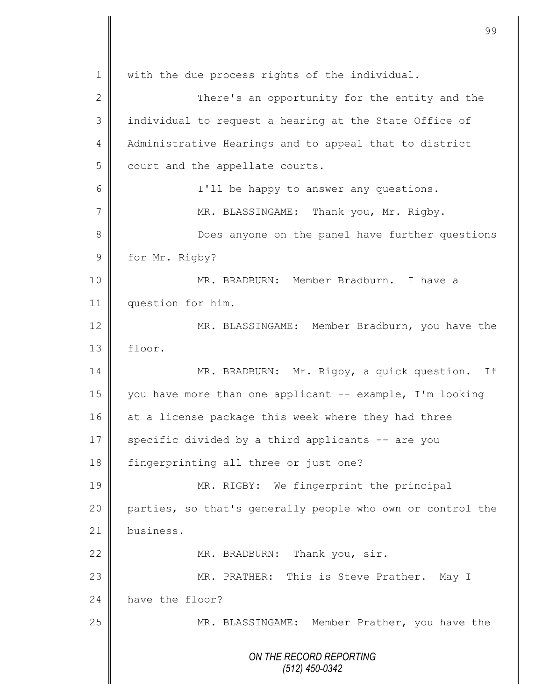*ON THE RECORD REPORTING (512) 450-0342* 1 with the due process rights of the individual. 2 || There's an opportunity for the entity and the 3 || individual to request a hearing at the State Office of 4 | Administrative Hearings and to appeal that to district 5 court and the appellate courts. 6 I'll be happy to answer any questions. 7 | MR. BLASSINGAME: Thank you, Mr. Rigby. 8 **B** Does anyone on the panel have further questions 9 for Mr. Rigby? 10 || MR. BRADBURN: Member Bradburn. I have a 11 | question for him. 12 MR. BLASSINGAME: Member Bradburn, you have the 13 floor. 14 MR. BRADBURN: Mr. Rigby, a quick question. If 15 | you have more than one applicant -- example, I'm looking 16 at a license package this week where they had three 17  $\parallel$  specific divided by a third applicants -- are you 18 fingerprinting all three or just one? 19 MR. RIGBY: We fingerprint the principal 20 parties, so that's generally people who own or control the 21 business. 22 MR. BRADBURN: Thank you, sir. 23 MR. PRATHER: This is Steve Prather. May I 24 have the floor? 25 MR. BLASSINGAME: Member Prather, you have the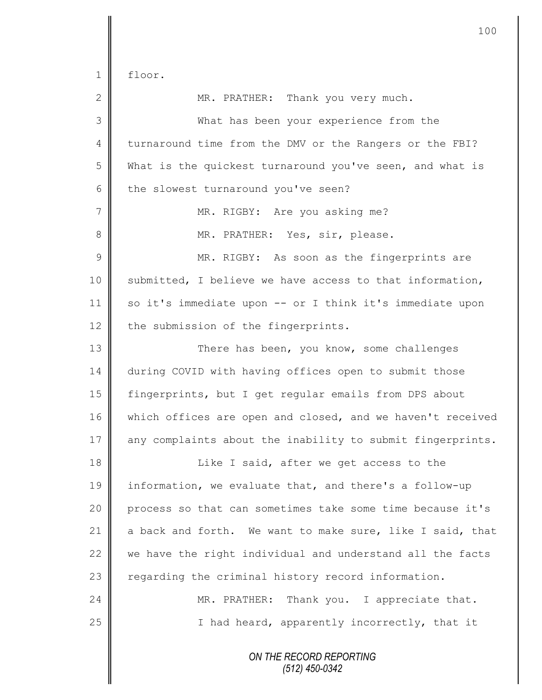floor.

| $\mathbf{2}$   | MR. PRATHER: Thank you very much.                          |  |  |  |
|----------------|------------------------------------------------------------|--|--|--|
| 3              | What has been your experience from the                     |  |  |  |
| 4              | turnaround time from the DMV or the Rangers or the FBI?    |  |  |  |
| 5              | What is the quickest turnaround you've seen, and what is   |  |  |  |
| 6              | the slowest turnaround you've seen?                        |  |  |  |
| $\overline{7}$ | MR. RIGBY: Are you asking me?                              |  |  |  |
| 8              | MR. PRATHER: Yes, sir, please.                             |  |  |  |
| $\overline{9}$ | MR. RIGBY: As soon as the fingerprints are                 |  |  |  |
| 10             | submitted, I believe we have access to that information,   |  |  |  |
| 11             | so it's immediate upon -- or I think it's immediate upon   |  |  |  |
| 12             | the submission of the fingerprints.                        |  |  |  |
| 13             | There has been, you know, some challenges                  |  |  |  |
| 14             | during COVID with having offices open to submit those      |  |  |  |
| 15             | fingerprints, but I get regular emails from DPS about      |  |  |  |
| 16             | which offices are open and closed, and we haven't received |  |  |  |
| 17             | any complaints about the inability to submit fingerprints. |  |  |  |
| 18             | Like I said, after we get access to the                    |  |  |  |
| 19             | information, we evaluate that, and there's a follow-up     |  |  |  |
| 20             | process so that can sometimes take some time because it's  |  |  |  |
| 21             | a back and forth. We want to make sure, like I said, that  |  |  |  |
| 22             | we have the right individual and understand all the facts  |  |  |  |
| 23             | regarding the criminal history record information.         |  |  |  |
| 24             | MR. PRATHER: Thank you. I appreciate that.                 |  |  |  |
| 25             | I had heard, apparently incorrectly, that it               |  |  |  |
|                | ON THE RECORD REPORTING                                    |  |  |  |

*(512) 450-0342*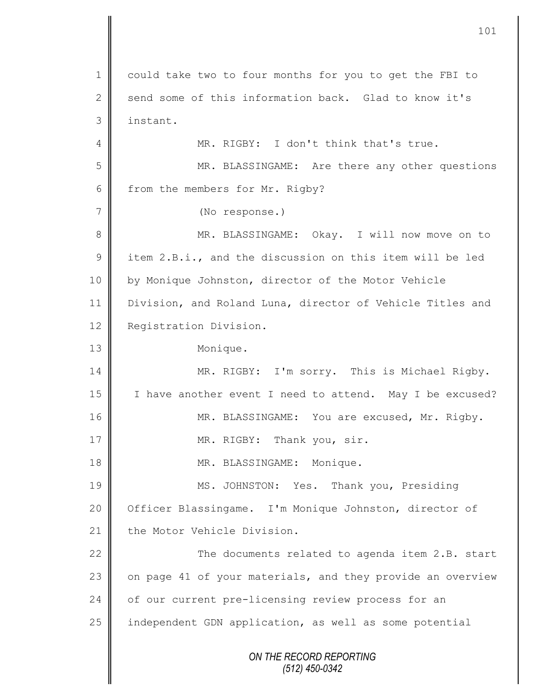*ON THE RECORD REPORTING (512) 450-0342* 1 | could take two to four months for you to get the FBI to 2 send some of this information back. Glad to know it's 3 instant. 4 || MR. RIGBY: I don't think that's true. 5 MR. BLASSINGAME: Are there any other questions 6 from the members for Mr. Rigby? 7 (No response.) 8 || MR. BLASSINGAME: Okay. I will now move on to 9 item 2.B.i., and the discussion on this item will be led 10 by Monique Johnston, director of the Motor Vehicle 11 Division, and Roland Luna, director of Vehicle Titles and 12 **Registration Division.** 13 Monique. 14 MR. RIGBY: I'm sorry. This is Michael Rigby. 15 | I have another event I need to attend. May I be excused? 16 | MR. BLASSINGAME: You are excused, Mr. Rigby. 17 || MR. RIGBY: Thank you, sir. 18 || MR. BLASSINGAME: Monique. 19 MS. JOHNSTON: Yes. Thank you, Presiding 20 | Officer Blassingame. I'm Monique Johnston, director of 21 the Motor Vehicle Division. 22 | The documents related to agenda item 2.B. start 23  $\parallel$  on page 41 of your materials, and they provide an overview 24 of our current pre-licensing review process for an 25 independent GDN application, as well as some potential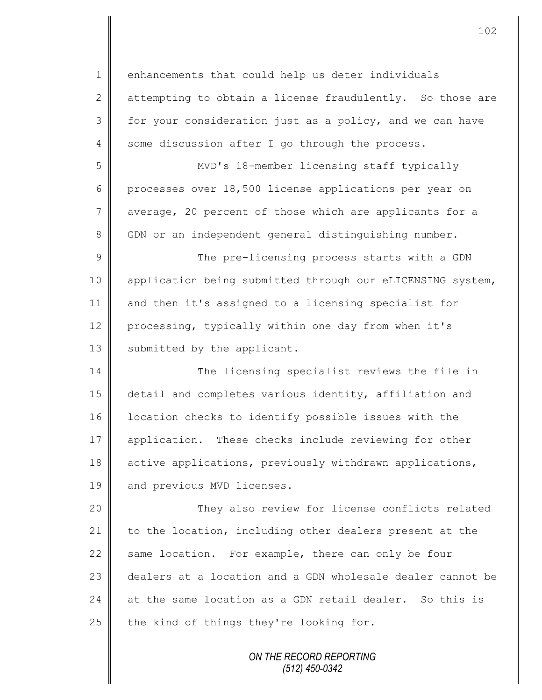1 enhancements that could help us deter individuals 2 attempting to obtain a license fraudulently. So those are 3 for your consideration just as a policy, and we can have  $4 \parallel$  some discussion after I go through the process. 5 MVD's 18-member licensing staff typically 6 processes over 18,500 license applications per year on 7 average, 20 percent of those which are applicants for a 8 GDN or an independent general distinguishing number. 9 || The pre-licensing process starts with a GDN 10 | application being submitted through our eLICENSING system, 11 and then it's assigned to a licensing specialist for 12 processing, typically within one day from when it's 13 | submitted by the applicant. 14 The licensing specialist reviews the file in 15 detail and completes various identity, affiliation and 16 | location checks to identify possible issues with the 17 application. These checks include reviewing for other 18 active applications, previously withdrawn applications, 19 and previous MVD licenses. 20 They also review for license conflicts related 21 to the location, including other dealers present at the 22  $\parallel$  same location. For example, there can only be four 23 dealers at a location and a GDN wholesale dealer cannot be 24  $\parallel$  at the same location as a GDN retail dealer. So this is

25 the kind of things they're looking for.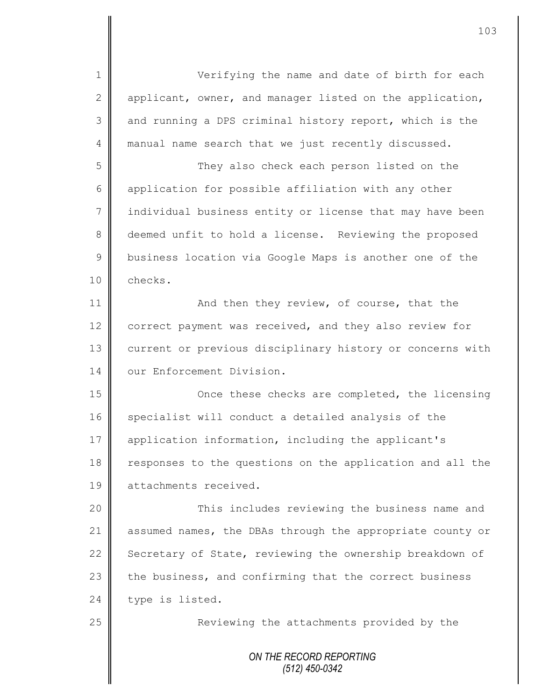1 Verifying the name and date of birth for each 2 applicant, owner, and manager listed on the application, 3 and running a DPS criminal history report, which is the 4 manual name search that we just recently discussed. 5 They also check each person listed on the

6 application for possible affiliation with any other 7 | individual business entity or license that may have been 8 deemed unfit to hold a license. Reviewing the proposed 9 business location via Google Maps is another one of the 10 checks.

11 **And then they review, of course, that the** 12 correct payment was received, and they also review for 13 current or previous disciplinary history or concerns with 14 **I** our Enforcement Division.

15 || Once these checks are completed, the licensing 16 specialist will conduct a detailed analysis of the 17 | application information, including the applicant's 18 Tesponses to the questions on the application and all the 19 **A** attachments received.

20 This includes reviewing the business name and 21 assumed names, the DBAs through the appropriate county or 22 Secretary of State, reviewing the ownership breakdown of 23 the business, and confirming that the correct business  $24$  type is listed.

25 | Reviewing the attachments provided by the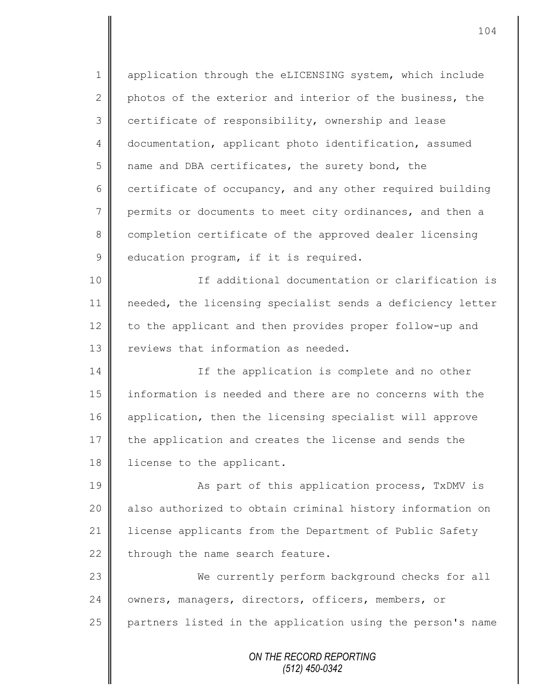1 | application through the eLICENSING system, which include 2 photos of the exterior and interior of the business, the 3 certificate of responsibility, ownership and lease 4 documentation, applicant photo identification, assumed  $5 \parallel$  name and DBA certificates, the surety bond, the 6 certificate of occupancy, and any other required building 7 permits or documents to meet city ordinances, and then a 8 completion certificate of the approved dealer licensing 9 education program, if it is required. 10 If additional documentation or clarification is 11 needed, the licensing specialist sends a deficiency letter 12 to the applicant and then provides proper follow-up and 13 **I** reviews that information as needed. 14 If the application is complete and no other 15 information is needed and there are no concerns with the 16 application, then the licensing specialist will approve 17 the application and creates the license and sends the 18 | license to the applicant. 19 || As part of this application process, TxDMV is 20 | also authorized to obtain criminal history information on 21 | license applicants from the Department of Public Safety  $22$  through the name search feature. 23 We currently perform background checks for all 24 | owners, managers, directors, officers, members, or 25 partners listed in the application using the person's name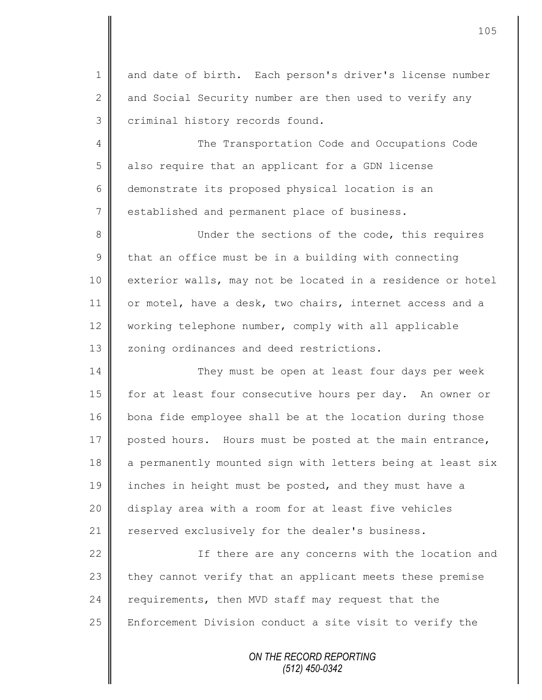1 and date of birth. Each person's driver's license number 2  $\parallel$  and Social Security number are then used to verify any 3 criminal history records found.

4 The Transportation Code and Occupations Code 5 also require that an applicant for a GDN license 6 demonstrate its proposed physical location is an 7 || established and permanent place of business.

8 Under the sections of the code, this requires  $9 \parallel$  that an office must be in a building with connecting 10 exterior walls, may not be located in a residence or hotel 11 or motel, have a desk, two chairs, internet access and a 12 | working telephone number, comply with all applicable 13 | zoning ordinances and deed restrictions.

14 They must be open at least four days per week 15 | for at least four consecutive hours per day. An owner or 16 bona fide employee shall be at the location during those 17 posted hours. Hours must be posted at the main entrance, 18 a permanently mounted sign with letters being at least six 19 inches in height must be posted, and they must have a 20 display area with a room for at least five vehicles 21 | reserved exclusively for the dealer's business.

22 | South 11 If there are any concerns with the location and they cannot verify that an applicant meets these premise requirements, then MVD staff may request that the  $\parallel$  Enforcement Division conduct a site visit to verify the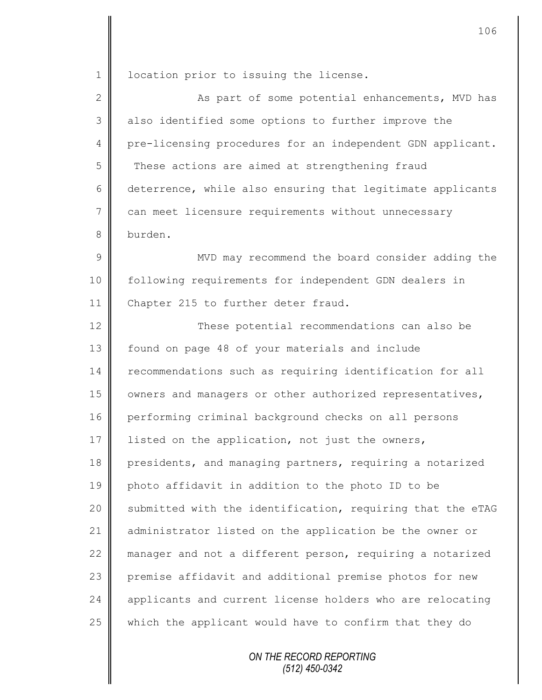1 | location prior to issuing the license.

2 As part of some potential enhancements, MVD has 3 || also identified some options to further improve the 4 pre-licensing procedures for an independent GDN applicant.  $5 \parallel$  These actions are aimed at strengthening fraud 6 deterrence, while also ensuring that legitimate applicants 7 can meet licensure requirements without unnecessary 8 burden.

9 || MVD may recommend the board consider adding the 10 | following requirements for independent GDN dealers in 11 Chapter 215 to further deter fraud.

12 These potential recommendations can also be 13 | found on page 48 of your materials and include 14 | recommendations such as requiring identification for all 15 | owners and managers or other authorized representatives, 16 performing criminal background checks on all persons 17 listed on the application, not just the owners, 18 presidents, and managing partners, requiring a notarized 19 photo affidavit in addition to the photo ID to be 20 Submitted with the identification, requiring that the eTAG 21 administrator listed on the application be the owner or 22 manager and not a different person, requiring a notarized 23 premise affidavit and additional premise photos for new 24 | applicants and current license holders who are relocating 25 which the applicant would have to confirm that they do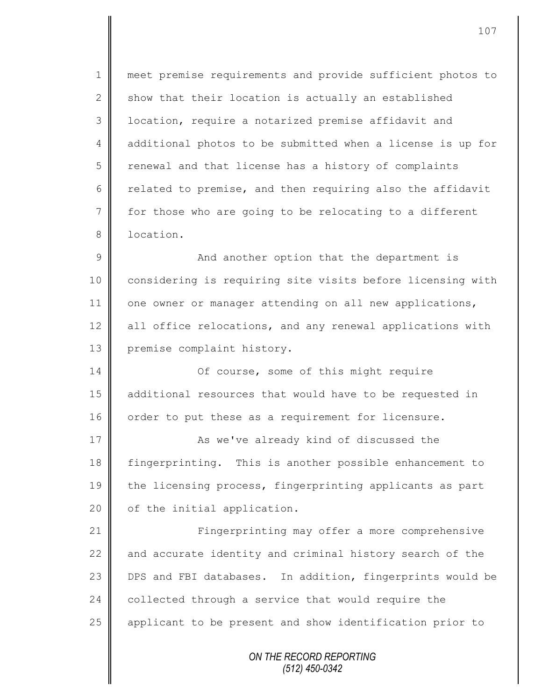1 meet premise requirements and provide sufficient photos to  $2 \parallel$  show that their location is actually an established 3 | location, require a notarized premise affidavit and 4 additional photos to be submitted when a license is up for 5 renewal and that license has a history of complaints 6 celated to premise, and then requiring also the affidavit 7 for those who are going to be relocating to a different 8 **I** location.

9 || And another option that the department is 10 considering is requiring site visits before licensing with  $11$  one owner or manager attending on all new applications, 12 | all office relocations, and any renewal applications with 13 premise complaint history.

14 Of course, some of this might require 15 additional resources that would have to be requested in 16 | order to put these as a requirement for licensure.

17 **As we've already kind of discussed the** 18 fingerprinting. This is another possible enhancement to 19 the licensing process, fingerprinting applicants as part 20 | of the initial application.

21 | Fingerprinting may offer a more comprehensive 22  $\parallel$  and accurate identity and criminal history search of the 23 DPS and FBI databases. In addition, fingerprints would be  $24$  collected through a service that would require the 25 || applicant to be present and show identification prior to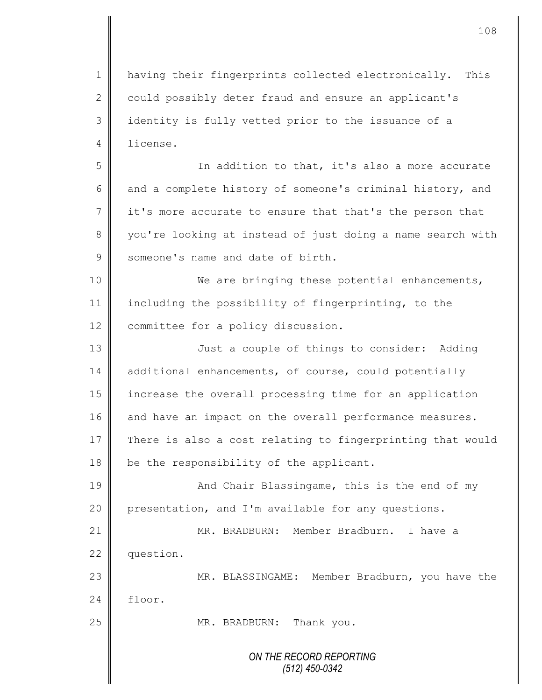1 | having their fingerprints collected electronically. This 2 could possibly deter fraud and ensure an applicant's 3 || identity is fully vetted prior to the issuance of a 4 license.

5 || Solution to that, it's also a more accurate 6 and a complete history of someone's criminal history, and  $7 \parallel$  it's more accurate to ensure that that's the person that 8 you're looking at instead of just doing a name search with 9 Someone's name and date of birth.

10 || We are bringing these potential enhancements, 11 including the possibility of fingerprinting, to the 12 committee for a policy discussion.

13 || Just a couple of things to consider: Adding 14 additional enhancements, of course, could potentially 15 increase the overall processing time for an application 16 || and have an impact on the overall performance measures. 17 There is also a cost relating to fingerprinting that would  $18$  be the responsibility of the applicant.

19 || And Chair Blassingame, this is the end of my 20 presentation, and I'm available for any questions.

21 MR. BRADBURN: Member Bradburn. I have a 22 question.

23 MR. BLASSINGAME: Member Bradburn, you have the 24 floor.

25 || MR. BRADBURN: Thank you.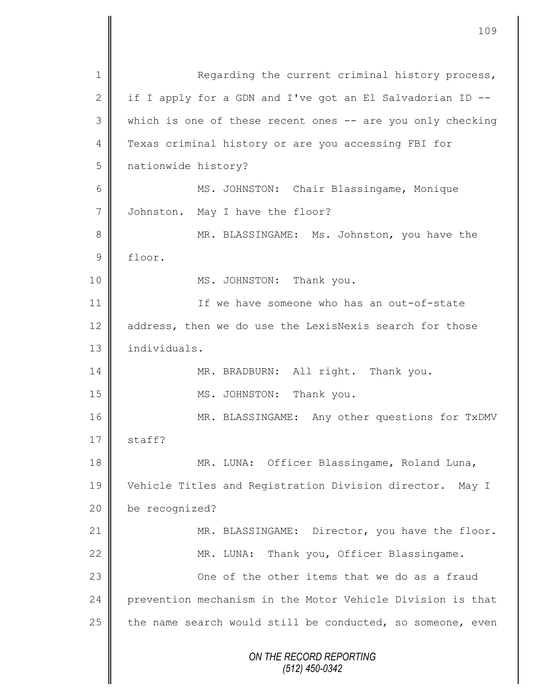*ON THE RECORD REPORTING (512) 450-0342* 1 Regarding the current criminal history process, 2 | if I apply for a GDN and I've got an El Salvadorian ID  $-$ -3 || which is one of these recent ones -- are you only checking 4 Texas criminal history or are you accessing FBI for 5 nationwide history? 6 MS. JOHNSTON: Chair Blassingame, Monique 7 Johnston. May I have the floor? 8 || MR. BLASSINGAME: Ms. Johnston, you have the 9 floor. 10 || MS. JOHNSTON: Thank you. 11 **I** if we have someone who has an out-of-state 12 address, then we do use the LexisNexis search for those 13 | individuals. 14 MR. BRADBURN: All right. Thank you. 15 || MS. JOHNSTON: Thank you. 16 MR. BLASSINGAME: Any other questions for TxDMV  $17 \parallel$  staff? 18 || MR. LUNA: Officer Blassingame, Roland Luna, 19 Vehicle Titles and Registration Division director. May I 20 be recognized? 21 | MR. BLASSINGAME: Director, you have the floor. 22 MR. LUNA: Thank you, Officer Blassingame. 23 **Come of the other items that we do as a fraud** 24 | prevention mechanism in the Motor Vehicle Division is that 25  $\parallel$  the name search would still be conducted, so someone, even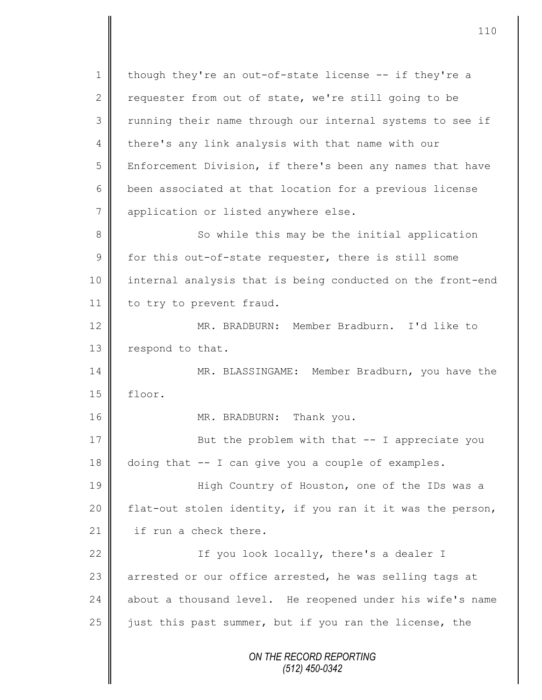1 || though they're an out-of-state license  $-$  if they're a 2 requester from out of state, we're still going to be 3 || running their name through our internal systems to see if 4 there's any link analysis with that name with our 5 Enforcement Division, if there's been any names that have 6 || been associated at that location for a previous license 7 | application or listed anywhere else. 8 So while this may be the initial application  $9 \parallel$  for this out-of-state requester, there is still some 10 internal analysis that is being conducted on the front-end 11 | to try to prevent fraud. 12 MR. BRADBURN: Member Bradburn. I'd like to 13 respond to that. 14 MR. BLASSINGAME: Member Bradburn, you have the 15 floor. 16 MR. BRADBURN: Thank you. 17 || But the problem with that -- I appreciate you 18 doing that -- I can give you a couple of examples. 19 High Country of Houston, one of the IDs was a 20  $\parallel$  flat-out stolen identity, if you ran it it was the person,

21  $\parallel$  if run a check there.

22 | If you look locally, there's a dealer I 23 arrested or our office arrested, he was selling tags at  $24$  about a thousand level. He reopened under his wife's name 25 iust this past summer, but if you ran the license, the

> *ON THE RECORD REPORTING (512) 450-0342*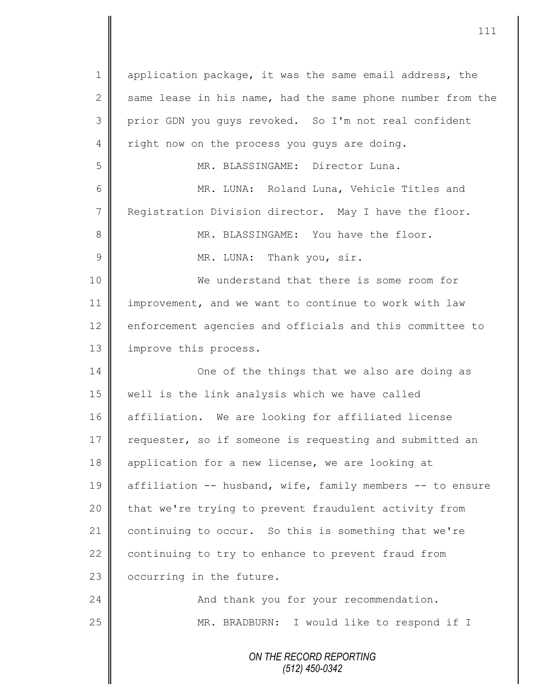*ON THE RECORD REPORTING (512) 450-0342* 1 | application package, it was the same email address, the 2  $\parallel$  same lease in his name, had the same phone number from the 3 || prior GDN you guys revoked. So I'm not real confident 4 Tight now on the process you guys are doing. 5 MR. BLASSINGAME: Director Luna. 6 MR. LUNA: Roland Luna, Vehicle Titles and 7 Registration Division director. May I have the floor. 8 MR. BLASSINGAME: You have the floor. 9 | MR. LUNA: Thank you, sir. 10 We understand that there is some room for 11 | improvement, and we want to continue to work with law 12 enforcement agencies and officials and this committee to 13 | improve this process. 14 One of the things that we also are doing as 15 | well is the link analysis which we have called 16 affiliation. We are looking for affiliated license 17 | requester, so if someone is requesting and submitted an 18 | application for a new license, we are looking at 19 affiliation -- husband, wife, family members -- to ensure 20 | that we're trying to prevent fraudulent activity from 21 continuing to occur. So this is something that we're 22  $\parallel$  continuing to try to enhance to prevent fraud from 23  $\parallel$  occurring in the future. 24 | And thank you for your recommendation. 25 | MR. BRADBURN: I would like to respond if I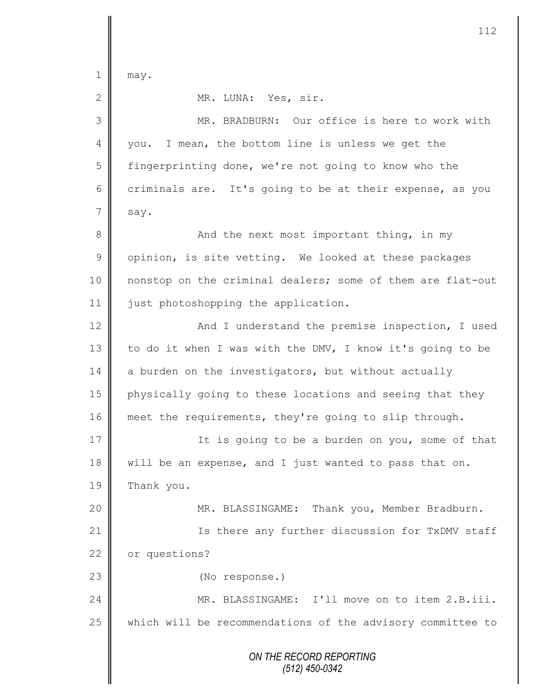$1 \parallel$  may.

2 MR. LUNA: Yes, sir.

*ON THE RECORD REPORTING (512) 450-0342* 3 MR. BRADBURN: Our office is here to work with 4 || you. I mean, the bottom line is unless we get the 5 | fingerprinting done, we're not going to know who the 6 criminals are. It's going to be at their expense, as you  $7 \parallel$  say. 8 And the next most important thing, in my  $9 \parallel$  opinion, is site vetting. We looked at these packages 10 nonstop on the criminal dealers; some of them are flat-out 11 | just photoshopping the application. 12 | And I understand the premise inspection, I used 13 to do it when I was with the DMV, I know it's going to be 14 a burden on the investigators, but without actually 15 physically going to these locations and seeing that they 16 meet the requirements, they're going to slip through. 17 | It is going to be a burden on you, some of that 18 will be an expense, and I just wanted to pass that on. 19 Thank you. 20 | MR. BLASSINGAME: Thank you, Member Bradburn. 21 | Is there any further discussion for TxDMV staff 22 or questions? 23 || (No response.) 24 MR. BLASSINGAME: I'll move on to item 2.B.iii. 25 which will be recommendations of the advisory committee to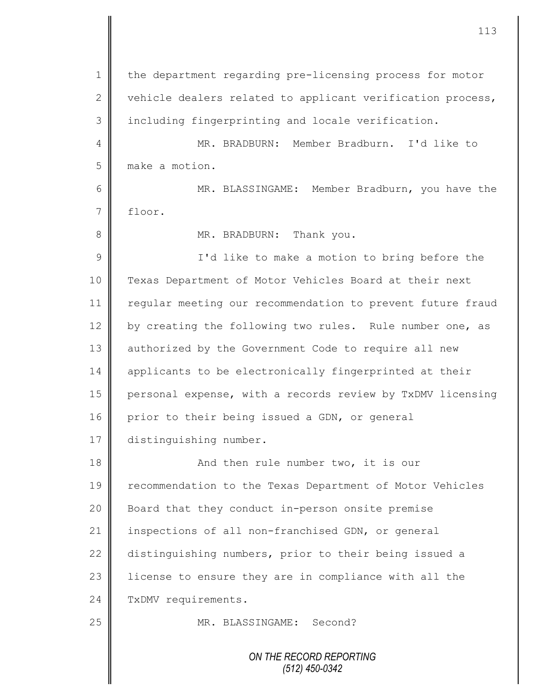| $\mathbf 1$  | the department regarding pre-licensing process for motor   |
|--------------|------------------------------------------------------------|
| $\mathbf{2}$ | vehicle dealers related to applicant verification process, |
| 3            | including fingerprinting and locale verification.          |
| 4            | MR. BRADBURN: Member Bradburn. I'd like to                 |
| 5            | make a motion.                                             |
| 6            | MR. BLASSINGAME: Member Bradburn, you have the             |
| 7            | floor.                                                     |
| 8            | MR. BRADBURN: Thank you.                                   |
| 9            | I'd like to make a motion to bring before the              |
| 10           | Texas Department of Motor Vehicles Board at their next     |
| 11           | regular meeting our recommendation to prevent future fraud |
| 12           | by creating the following two rules. Rule number one, as   |
| 13           | authorized by the Government Code to require all new       |
| 14           | applicants to be electronically fingerprinted at their     |
| 15           | personal expense, with a records review by TxDMV licensing |
| 16           | prior to their being issued a GDN, or general              |
| $17$         | distinguishing number.                                     |
| 18           | And then rule number two, it is our                        |
| 19           | recommendation to the Texas Department of Motor Vehicles   |
| 20           | Board that they conduct in-person onsite premise           |
| 21           | inspections of all non-franchised GDN, or general          |
| 22           | distinguishing numbers, prior to their being issued a      |
| 23           | license to ensure they are in compliance with all the      |
| 24           | TxDMV requirements.                                        |
| 25           | MR. BLASSINGAME: Second?                                   |
|              | ON THE RECORD REPORTING<br>(512) 450-0342                  |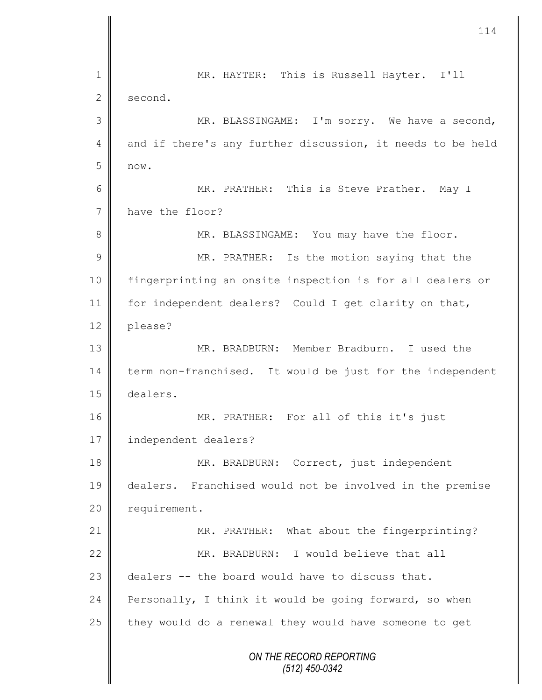|                | 114                                                        |
|----------------|------------------------------------------------------------|
|                |                                                            |
| 1              | MR. HAYTER: This is Russell Hayter. I'll                   |
| $\mathbf{2}$   | second.                                                    |
| 3              | MR. BLASSINGAME: I'm sorry. We have a second,              |
| 4              | and if there's any further discussion, it needs to be held |
| 5              | now.                                                       |
| 6              | MR. PRATHER: This is Steve Prather. May I                  |
| $\overline{7}$ | have the floor?                                            |
| 8              | MR. BLASSINGAME: You may have the floor.                   |
| 9              | MR. PRATHER: Is the motion saying that the                 |
| 10             | fingerprinting an onsite inspection is for all dealers or  |
| 11             | for independent dealers? Could I get clarity on that,      |
| 12             | please?                                                    |
| 13             | MR. BRADBURN: Member Bradburn. I used the                  |
| 14             | term non-franchised. It would be just for the independent  |
| 15             | dealers.                                                   |
| 16             | MR. PRATHER: For all of this it's just                     |
| 17             | independent dealers?                                       |
| 18             | MR. BRADBURN: Correct, just independent                    |
| 19             | dealers. Franchised would not be involved in the premise   |
| 20             | requirement.                                               |
| 21             | MR. PRATHER: What about the fingerprinting?                |
| 22             | MR. BRADBURN: I would believe that all                     |
| 23             | dealers -- the board would have to discuss that.           |
| 24             | Personally, I think it would be going forward, so when     |
| 25             | they would do a renewal they would have someone to get     |
|                | ON THE RECORD REPORTING<br>$(512)$ 450-0342                |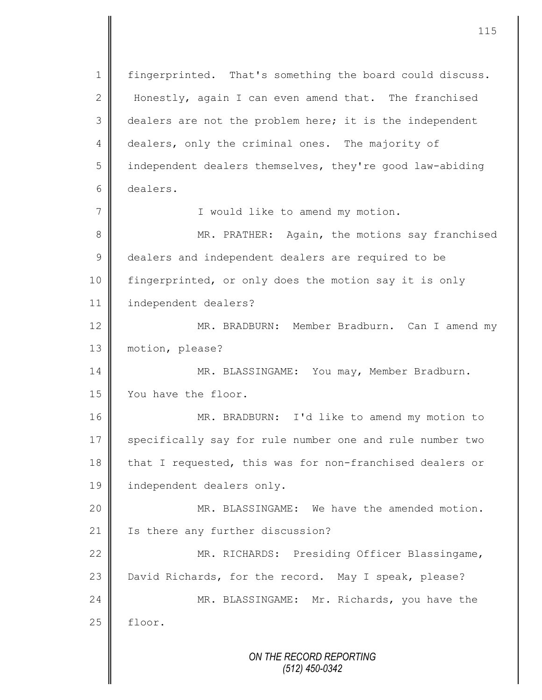*ON THE RECORD REPORTING (512) 450-0342* 1 || fingerprinted. That's something the board could discuss. 2 Honestly, again I can even amend that. The franchised 3 dealers are not the problem here; it is the independent 4 dealers, only the criminal ones. The majority of 5 | independent dealers themselves, they're good law-abiding 6 dealers. 7 || I would like to amend my motion. 8 || MR. PRATHER: Again, the motions say franchised 9 dealers and independent dealers are required to be 10 fingerprinted, or only does the motion say it is only 11 independent dealers? 12 || MR. BRADBURN: Member Bradburn. Can I amend my 13 motion, please? 14 | MR. BLASSINGAME: You may, Member Bradburn. 15 Vou have the floor. 16 MR. BRADBURN: I'd like to amend my motion to 17 specifically say for rule number one and rule number two 18 that I requested, this was for non-franchised dealers or 19 independent dealers only. 20 || MR. BLASSINGAME: We have the amended motion. 21 | Is there any further discussion? 22 MR. RICHARDS: Presiding Officer Blassingame, 23 David Richards, for the record. May I speak, please? 24 MR. BLASSINGAME: Mr. Richards, you have the  $25$  | floor.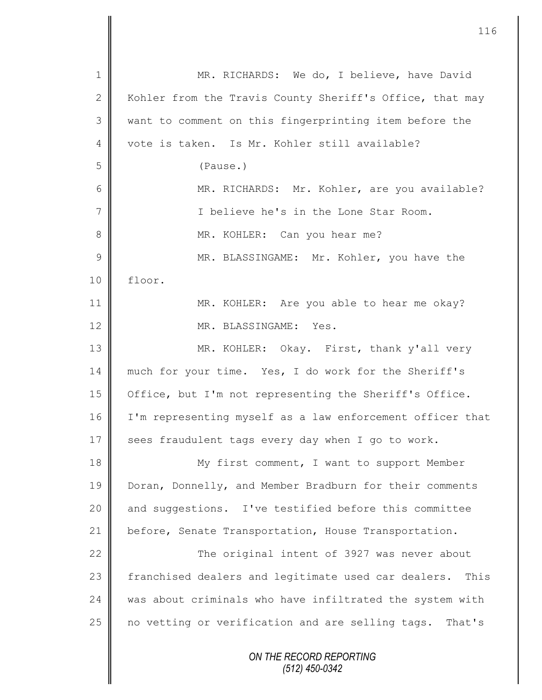| $\mathbf 1$     | MR. RICHARDS: We do, I believe, have David                  |
|-----------------|-------------------------------------------------------------|
| $\mathbf{2}$    | Kohler from the Travis County Sheriff's Office, that may    |
| 3               | want to comment on this fingerprinting item before the      |
| 4               | vote is taken. Is Mr. Kohler still available?               |
| 5               | (Pause.)                                                    |
| 6               | MR. RICHARDS: Mr. Kohler, are you available?                |
| $7\phantom{.0}$ | I believe he's in the Lone Star Room.                       |
| 8               | MR. KOHLER: Can you hear me?                                |
| $\mathsf 9$     | MR. BLASSINGAME: Mr. Kohler, you have the                   |
| 10              | floor.                                                      |
| 11              | MR. KOHLER: Are you able to hear me okay?                   |
| 12              | MR. BLASSINGAME: Yes.                                       |
| 13              | MR. KOHLER: Okay. First, thank y'all very                   |
| 14              | much for your time. Yes, I do work for the Sheriff's        |
| 15              | Office, but I'm not representing the Sheriff's Office.      |
| 16              | I'm representing myself as a law enforcement officer that   |
| 17              | sees fraudulent tags every day when I go to work.           |
| 18              | My first comment, I want to support Member                  |
| 19              | Doran, Donnelly, and Member Bradburn for their comments     |
| 20              | and suggestions. I've testified before this committee       |
| 21              | before, Senate Transportation, House Transportation.        |
| 22              | The original intent of 3927 was never about                 |
| 23              | franchised dealers and legitimate used car dealers.<br>This |
| 24              | was about criminals who have infiltrated the system with    |
| 25              | no vetting or verification and are selling tags. That's     |
|                 | ON THE RECORD REPORTING<br>$(512)$ 450-0342                 |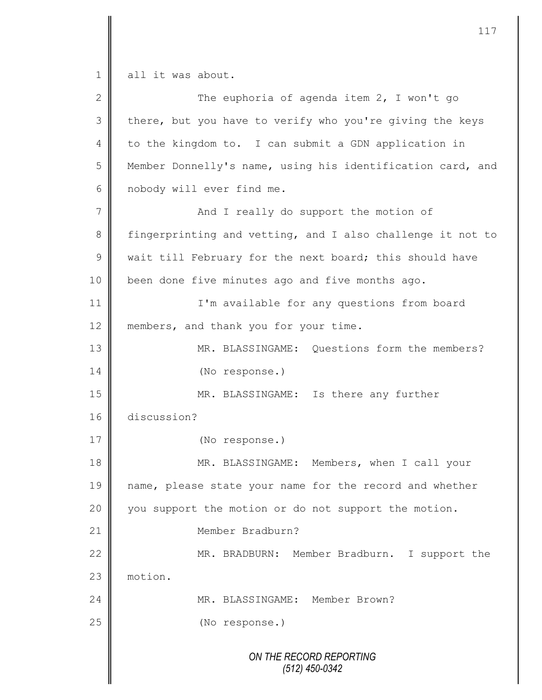$1 \parallel$  all it was about.

| $\overline{2}$ | The euphoria of agenda item 2, I won't go                  |
|----------------|------------------------------------------------------------|
| 3              | there, but you have to verify who you're giving the keys   |
| 4              | to the kingdom to. I can submit a GDN application in       |
| 5              | Member Donnelly's name, using his identification card, and |
| 6              | nobody will ever find me.                                  |
| 7              | And I really do support the motion of                      |
| $8\,$          | fingerprinting and vetting, and I also challenge it not to |
| $\mathcal{G}$  | wait till February for the next board; this should have    |
| 10             | been done five minutes ago and five months ago.            |
| 11             | I'm available for any questions from board                 |
| 12             | members, and thank you for your time.                      |
| 13             | MR. BLASSINGAME: Questions form the members?               |
| 14             | (No response.)                                             |
| 15             | MR. BLASSINGAME: Is there any further                      |
| 16             | discussion?                                                |
| 17             | (No response.)                                             |
| 18             | MR. BLASSINGAME: Members, when I call your                 |
| 19             | name, please state your name for the record and whether    |
| 20             | you support the motion or do not support the motion.       |
| 21             | Member Bradburn?                                           |
| 22             | MR. BRADBURN: Member Bradburn. I support the               |
| 23             | motion.                                                    |
| 24             | MR. BLASSINGAME: Member Brown?                             |
| 25             | (No response.)                                             |
|                | ON THE RECORD REPORTING<br>$(512)$ 450-0342                |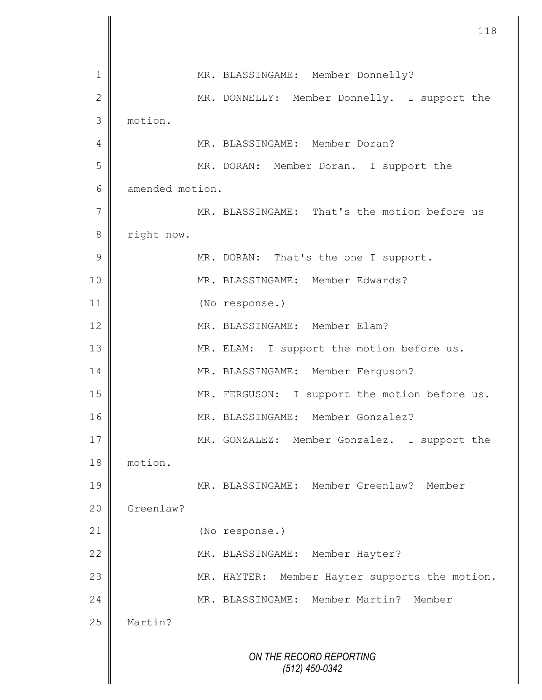|                |                 | 118                                               |
|----------------|-----------------|---------------------------------------------------|
| $\mathbf 1$    |                 | MR. BLASSINGAME: Member Donnelly?                 |
| $\mathbf{2}$   |                 | MR. DONNELLY: Member Donnelly. I support the      |
| $\mathfrak{Z}$ | motion.         |                                                   |
| 4              |                 | MR. BLASSINGAME: Member Doran?                    |
| 5              |                 | MR. DORAN: Member Doran. I support the            |
| 6              | amended motion. |                                                   |
| $\overline{7}$ |                 | MR. BLASSINGAME: That's the motion before us      |
| 8              | right now.      |                                                   |
| $\mathcal{G}$  |                 | MR. DORAN: That's the one I support.              |
| 10             |                 | MR. BLASSINGAME: Member Edwards?                  |
| 11             |                 | (No response.)                                    |
| 12             |                 | MR. BLASSINGAME: Member Elam?                     |
| 13             |                 | MR. ELAM: I support the motion before us.         |
| 14             |                 | MR. BLASSINGAME: Member Ferguson?                 |
| 15             |                 | MR. FERGUSON: I support the motion before us.     |
| 16             |                 | MR. BLASSINGAME: Member Gonzalez?                 |
| 17             |                 | MR. GONZALEZ: Member Gonzalez. I support the      |
| 18             | motion.         |                                                   |
| 19             |                 | MR. BLASSINGAME: Member Greenlaw?<br>Member       |
| 20             | Greenlaw?       |                                                   |
| 21             |                 | (No response.)                                    |
| 22             |                 | MR. BLASSINGAME: Member Hayter?                   |
| 23             |                 | Member Hayter supports the motion.<br>MR. HAYTER: |
| 24             |                 | MR. BLASSINGAME: Member Martin?<br>Member         |
| 25             | Martin?         |                                                   |
|                |                 | ON THE RECORD REPORTING<br>(512) 450-0342         |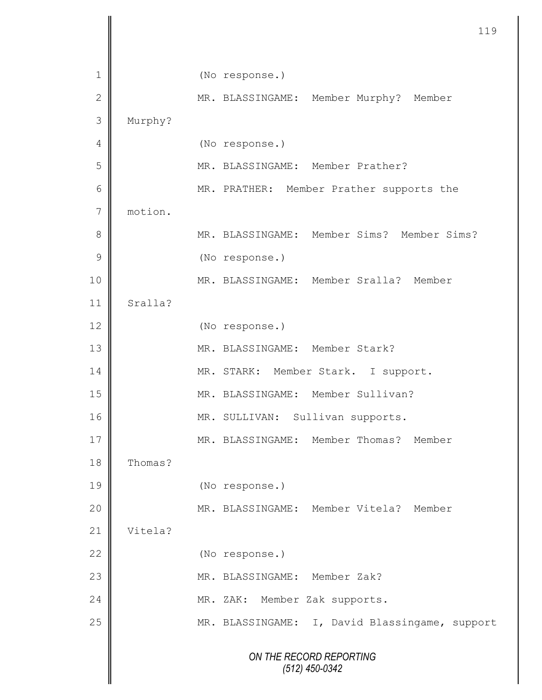|                |         | 119                                            |
|----------------|---------|------------------------------------------------|
| 1              |         | (No response.)                                 |
| $\mathbf 2$    |         | MR. BLASSINGAME: Member Murphy? Member         |
| 3              | Murphy? |                                                |
| $\overline{4}$ |         | (No response.)                                 |
| 5              |         | MR. BLASSINGAME: Member Prather?               |
| $\epsilon$     |         | MR. PRATHER: Member Prather supports the       |
| $\overline{7}$ | motion. |                                                |
| 8              |         | MR. BLASSINGAME: Member Sims? Member Sims?     |
| $\mathcal{G}$  |         | (No response.)                                 |
| 10             |         | MR. BLASSINGAME: Member Sralla? Member         |
| 11             | Sralla? |                                                |
| 12             |         | (No response.)                                 |
| 13             |         | MR. BLASSINGAME: Member Stark?                 |
| 14             |         | MR. STARK: Member Stark. I support.            |
| 15             |         | MR. BLASSINGAME: Member Sullivan?              |
| 16             |         | MR. SULLIVAN:<br>Sullivan supports.            |
| 17             |         | MR. BLASSINGAME: Member Thomas?<br>Member      |
| 18             | Thomas? |                                                |
| 19             |         | (No response.)                                 |
| 20             |         | MR. BLASSINGAME: Member Vitela? Member         |
| 21             | Vitela? |                                                |
| 22             |         | (No response.)                                 |
| 23             |         | MR. BLASSINGAME: Member Zak?                   |
| 24             |         | MR. ZAK:<br>Member Zak supports.               |
| 25             |         | MR. BLASSINGAME: I, David Blassingame, support |
|                |         | ON THE RECORD REPORTING<br>$(512)$ 450-0342    |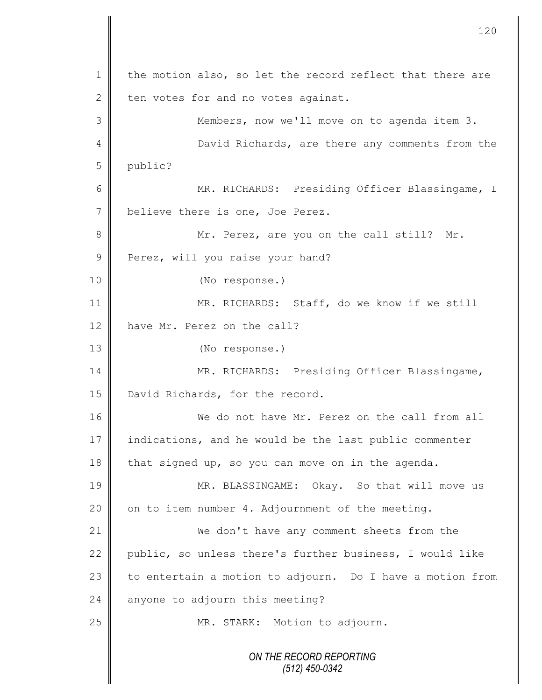*ON THE RECORD REPORTING (512) 450-0342* 1 the motion also, so let the record reflect that there are  $2 \parallel$  ten votes for and no votes against. 3 Members, now we'll move on to agenda item 3. 4 **David Richards, are there any comments from the** 5 public? 6 || MR. RICHARDS: Presiding Officer Blassingame, I 7 believe there is one, Joe Perez. 8 || Mr. Perez, are you on the call still? Mr. 9 Perez, will you raise your hand? 10 (No response.) 11 MR. RICHARDS: Staff, do we know if we still 12 have Mr. Perez on the call? 13 (No response.) 14 MR. RICHARDS: Presiding Officer Blassingame, 15 | David Richards, for the record. 16 We do not have Mr. Perez on the call from all 17 indications, and he would be the last public commenter  $18$  that signed up, so you can move on in the agenda. 19 MR. BLASSINGAME: Okay. So that will move us 20  $\parallel$  on to item number 4. Adjournment of the meeting. 21 | We don't have any comment sheets from the 22 public, so unless there's further business, I would like 23  $\parallel$  to entertain a motion to adjourn. Do I have a motion from 24  $\parallel$  anyone to adjourn this meeting? 25 | MR. STARK: Motion to adjourn.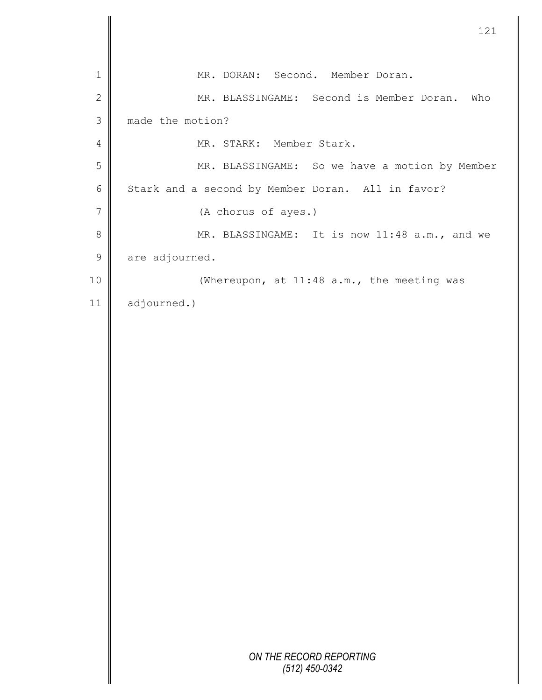|                | 121                                               |
|----------------|---------------------------------------------------|
| $\mathbf 1$    | MR. DORAN: Second. Member Doran.                  |
| $\mathbf{2}$   | MR. BLASSINGAME: Second is Member Doran. Who      |
| 3              | made the motion?                                  |
| 4              | MR. STARK: Member Stark.                          |
| 5              | MR. BLASSINGAME: So we have a motion by Member    |
| $\sqrt{6}$     | Stark and a second by Member Doran. All in favor? |
| $\overline{7}$ | (A chorus of ayes.)                               |
| $\,8\,$        | MR. BLASSINGAME: It is now 11:48 a.m., and we     |
| $\mathsf 9$    | are adjourned.                                    |
| $10$           | (Whereupon, at 11:48 a.m., the meeting was        |
| 11             | adjourned.)                                       |
|                |                                                   |
|                |                                                   |
|                |                                                   |
|                |                                                   |
|                |                                                   |
|                |                                                   |
|                |                                                   |
|                |                                                   |
|                |                                                   |
|                |                                                   |
|                |                                                   |
|                |                                                   |
|                |                                                   |
|                |                                                   |
|                | ON THE RECORD REPORTING<br>$(512)$ 450-0342       |

 $\parallel$